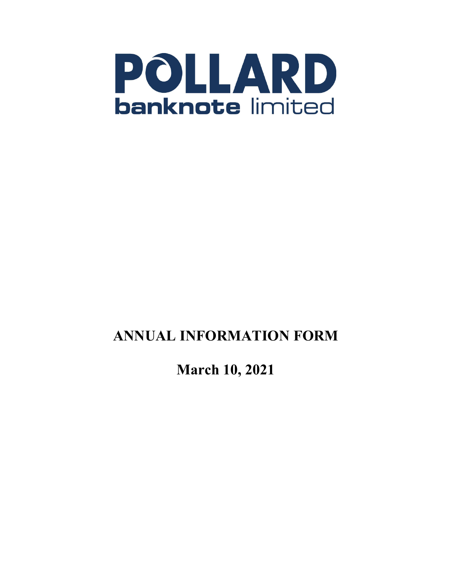

# **ANNUAL INFORMATION FORM**

**March 10, 2021**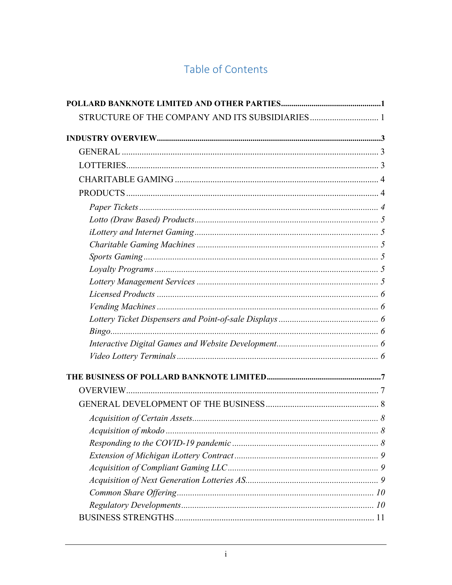## Table of Contents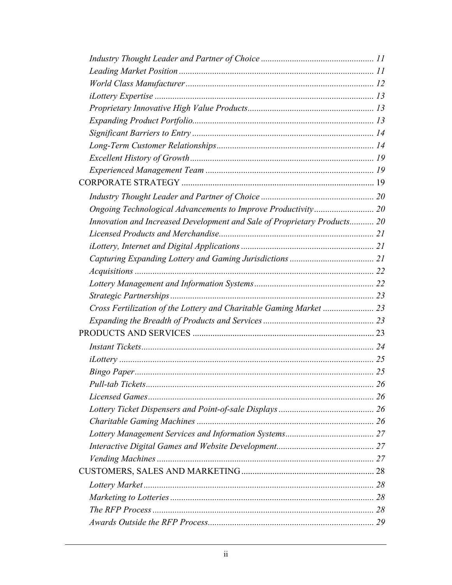| Innovation and Increased Development and Sale of Proprietary Products 20 |  |
|--------------------------------------------------------------------------|--|
|                                                                          |  |
|                                                                          |  |
|                                                                          |  |
|                                                                          |  |
|                                                                          |  |
|                                                                          |  |
| Cross Fertilization of the Lottery and Charitable Gaming Market  23      |  |
|                                                                          |  |
|                                                                          |  |
|                                                                          |  |
|                                                                          |  |
|                                                                          |  |
|                                                                          |  |
|                                                                          |  |
|                                                                          |  |
|                                                                          |  |
|                                                                          |  |
|                                                                          |  |
|                                                                          |  |
|                                                                          |  |
|                                                                          |  |
|                                                                          |  |
|                                                                          |  |
|                                                                          |  |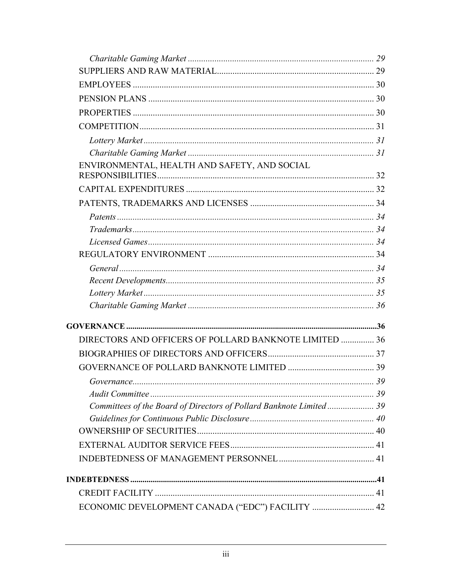| ENVIRONMENTAL, HEALTH AND SAFETY, AND SOCIAL                        |    |
|---------------------------------------------------------------------|----|
|                                                                     |    |
|                                                                     |    |
|                                                                     |    |
|                                                                     |    |
|                                                                     |    |
|                                                                     |    |
|                                                                     |    |
|                                                                     |    |
|                                                                     |    |
|                                                                     |    |
|                                                                     |    |
| DIRECTORS AND OFFICERS OF POLLARD BANKNOTE LIMITED  36              |    |
|                                                                     |    |
|                                                                     |    |
|                                                                     | 39 |
|                                                                     |    |
| Committees of the Board of Directors of Pollard Banknote Limited 39 |    |
|                                                                     |    |
|                                                                     |    |
|                                                                     |    |
|                                                                     |    |
|                                                                     |    |
|                                                                     |    |
| ECONOMIC DEVELOPMENT CANADA ("EDC") FACILITY  42                    |    |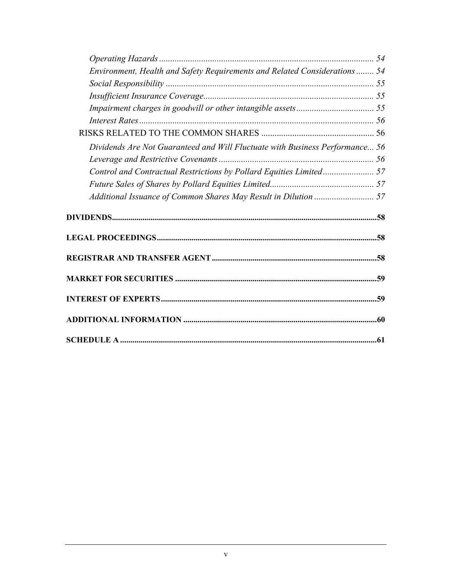| Environment, Health and Safety Requirements and Related Considerations 54    |  |
|------------------------------------------------------------------------------|--|
|                                                                              |  |
|                                                                              |  |
|                                                                              |  |
|                                                                              |  |
|                                                                              |  |
| Dividends Are Not Guaranteed and Will Fluctuate with Business Performance 56 |  |
|                                                                              |  |
| Control and Contractual Restrictions by Pollard Equities Limited 57          |  |
|                                                                              |  |
|                                                                              |  |
|                                                                              |  |
|                                                                              |  |
|                                                                              |  |
|                                                                              |  |
|                                                                              |  |
|                                                                              |  |
|                                                                              |  |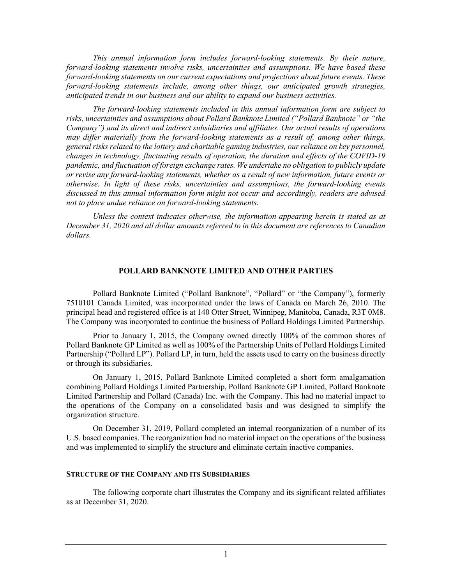*This annual information form includes forward-looking statements. By their nature, forward-looking statements involve risks, uncertainties and assumptions. We have based these forward-looking statements on our current expectations and projections about future events. These forward-looking statements include, among other things, our anticipated growth strategies, anticipated trends in our business and our ability to expand our business activities.* 

*The forward-looking statements included in this annual information form are subject to risks, uncertainties and assumptions about Pollard Banknote Limited ("Pollard Banknote" or "the Company") and its direct and indirect subsidiaries and affiliates. Our actual results of operations may differ materially from the forward-looking statements as a result of, among other things, general risks related to the lottery and charitable gaming industries, our reliance on key personnel, changes in technology, fluctuating results of operation, the duration and effects of the COVID-19 pandemic, and fluctuation of foreign exchange rates. We undertake no obligation to publicly update or revise any forward-looking statements, whether as a result of new information, future events or otherwise. In light of these risks, uncertainties and assumptions, the forward-looking events discussed in this annual information form might not occur and accordingly, readers are advised not to place undue reliance on forward-looking statements.* 

*Unless the context indicates otherwise, the information appearing herein is stated as at December 31, 2020 and all dollar amounts referred to in this document are references to Canadian dollars.* 

#### **POLLARD BANKNOTE LIMITED AND OTHER PARTIES**

Pollard Banknote Limited ("Pollard Banknote", "Pollard" or "the Company"), formerly 7510101 Canada Limited, was incorporated under the laws of Canada on March 26, 2010. The principal head and registered office is at 140 Otter Street, Winnipeg, Manitoba, Canada, R3T 0M8. The Company was incorporated to continue the business of Pollard Holdings Limited Partnership.

Prior to January 1, 2015, the Company owned directly 100% of the common shares of Pollard Banknote GP Limited as well as 100% of the Partnership Units of Pollard Holdings Limited Partnership ("Pollard LP"). Pollard LP, in turn, held the assets used to carry on the business directly or through its subsidiaries.

On January 1, 2015, Pollard Banknote Limited completed a short form amalgamation combining Pollard Holdings Limited Partnership, Pollard Banknote GP Limited, Pollard Banknote Limited Partnership and Pollard (Canada) Inc. with the Company. This had no material impact to the operations of the Company on a consolidated basis and was designed to simplify the organization structure.

On December 31, 2019, Pollard completed an internal reorganization of a number of its U.S. based companies. The reorganization had no material impact on the operations of the business and was implemented to simplify the structure and eliminate certain inactive companies.

### **STRUCTURE OF THE COMPANY AND ITS SUBSIDIARIES**

The following corporate chart illustrates the Company and its significant related affiliates as at December 31, 2020.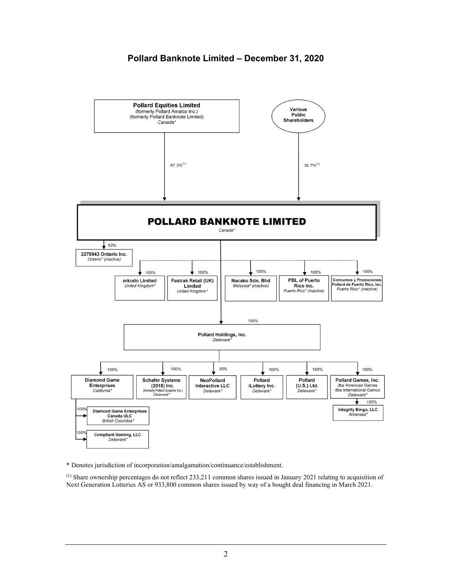## **Pollard Banknote Limited – December 31, 2020**



\* Denotes jurisdiction of incorporation/amalgamation/continuance/establishment.

(1) Share ownership percentages do not reflect 233,211 common shares issued in January 2021 relating to acquisition of Next Generation Lotteries AS or 933,800 common shares issued by way of a bought deal financing in March 2021.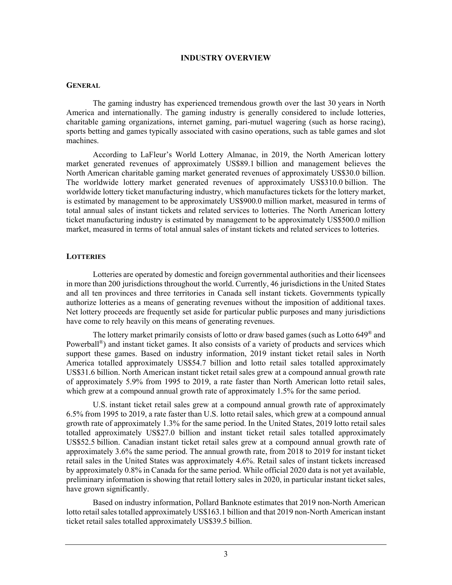### **INDUSTRY OVERVIEW**

### **GENERAL**

The gaming industry has experienced tremendous growth over the last 30 years in North America and internationally. The gaming industry is generally considered to include lotteries, charitable gaming organizations, internet gaming, pari-mutuel wagering (such as horse racing), sports betting and games typically associated with casino operations, such as table games and slot machines.

According to LaFleur's World Lottery Almanac, in 2019, the North American lottery market generated revenues of approximately US\$89.1 billion and management believes the North American charitable gaming market generated revenues of approximately US\$30.0 billion. The worldwide lottery market generated revenues of approximately US\$310.0 billion. The worldwide lottery ticket manufacturing industry, which manufactures tickets for the lottery market, is estimated by management to be approximately US\$900.0 million market, measured in terms of total annual sales of instant tickets and related services to lotteries. The North American lottery ticket manufacturing industry is estimated by management to be approximately US\$500.0 million market, measured in terms of total annual sales of instant tickets and related services to lotteries.

### **LOTTERIES**

Lotteries are operated by domestic and foreign governmental authorities and their licensees in more than 200 jurisdictions throughout the world. Currently, 46 jurisdictions in the United States and all ten provinces and three territories in Canada sell instant tickets. Governments typically authorize lotteries as a means of generating revenues without the imposition of additional taxes. Net lottery proceeds are frequently set aside for particular public purposes and many jurisdictions have come to rely heavily on this means of generating revenues.

The lottery market primarily consists of lotto or draw based games (such as Lotto  $649^{\circ}$  and Powerball®) and instant ticket games. It also consists of a variety of products and services which support these games. Based on industry information, 2019 instant ticket retail sales in North America totalled approximately US\$54.7 billion and lotto retail sales totalled approximately US\$31.6 billion. North American instant ticket retail sales grew at a compound annual growth rate of approximately 5.9% from 1995 to 2019, a rate faster than North American lotto retail sales, which grew at a compound annual growth rate of approximately 1.5% for the same period.

U.S. instant ticket retail sales grew at a compound annual growth rate of approximately 6.5% from 1995 to 2019, a rate faster than U.S. lotto retail sales, which grew at a compound annual growth rate of approximately 1.3% for the same period. In the United States, 2019 lotto retail sales totalled approximately US\$27.0 billion and instant ticket retail sales totalled approximately US\$52.5 billion. Canadian instant ticket retail sales grew at a compound annual growth rate of approximately 3.6% the same period. The annual growth rate, from 2018 to 2019 for instant ticket retail sales in the United States was approximately 4.6%. Retail sales of instant tickets increased by approximately 0.8% in Canada for the same period. While official 2020 data is not yet available, preliminary information is showing that retail lottery sales in 2020, in particular instant ticket sales, have grown significantly.

Based on industry information, Pollard Banknote estimates that 2019 non-North American lotto retail sales totalled approximately US\$163.1 billion and that 2019 non-North American instant ticket retail sales totalled approximately US\$39.5 billion.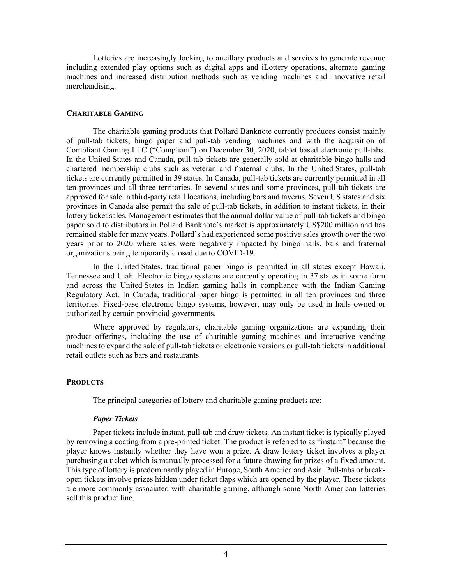Lotteries are increasingly looking to ancillary products and services to generate revenue including extended play options such as digital apps and iLottery operations, alternate gaming machines and increased distribution methods such as vending machines and innovative retail merchandising.

### **CHARITABLE GAMING**

The charitable gaming products that Pollard Banknote currently produces consist mainly of pull-tab tickets, bingo paper and pull-tab vending machines and with the acquisition of Compliant Gaming LLC ("Compliant") on December 30, 2020, tablet based electronic pull-tabs. In the United States and Canada, pull-tab tickets are generally sold at charitable bingo halls and chartered membership clubs such as veteran and fraternal clubs. In the United States, pull-tab tickets are currently permitted in 39 states. In Canada, pull-tab tickets are currently permitted in all ten provinces and all three territories. In several states and some provinces, pull-tab tickets are approved for sale in third-party retail locations, including bars and taverns. Seven US states and six provinces in Canada also permit the sale of pull-tab tickets, in addition to instant tickets, in their lottery ticket sales. Management estimates that the annual dollar value of pull-tab tickets and bingo paper sold to distributors in Pollard Banknote's market is approximately US\$200 million and has remained stable for many years. Pollard's had experienced some positive sales growth over the two years prior to 2020 where sales were negatively impacted by bingo halls, bars and fraternal organizations being temporarily closed due to COVID-19.

In the United States, traditional paper bingo is permitted in all states except Hawaii, Tennessee and Utah. Electronic bingo systems are currently operating in 37 states in some form and across the United States in Indian gaming halls in compliance with the Indian Gaming Regulatory Act. In Canada, traditional paper bingo is permitted in all ten provinces and three territories. Fixed-base electronic bingo systems, however, may only be used in halls owned or authorized by certain provincial governments.

Where approved by regulators, charitable gaming organizations are expanding their product offerings, including the use of charitable gaming machines and interactive vending machines to expand the sale of pull-tab tickets or electronic versions or pull-tab tickets in additional retail outlets such as bars and restaurants.

## **PRODUCTS**

The principal categories of lottery and charitable gaming products are:

## *Paper Tickets*

Paper tickets include instant, pull-tab and draw tickets. An instant ticket is typically played by removing a coating from a pre-printed ticket. The product is referred to as "instant" because the player knows instantly whether they have won a prize. A draw lottery ticket involves a player purchasing a ticket which is manually processed for a future drawing for prizes of a fixed amount. This type of lottery is predominantly played in Europe, South America and Asia. Pull-tabs or breakopen tickets involve prizes hidden under ticket flaps which are opened by the player. These tickets are more commonly associated with charitable gaming, although some North American lotteries sell this product line.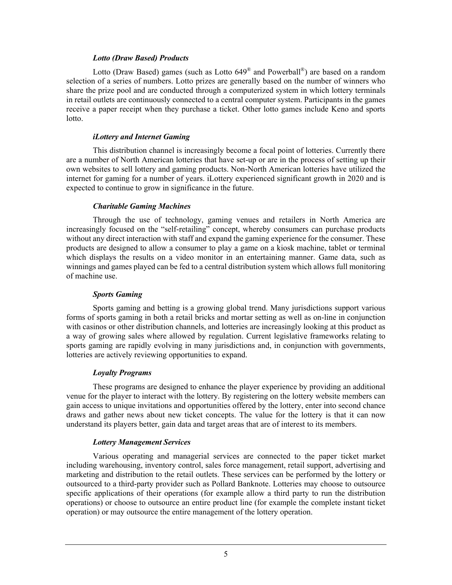## *Lotto (Draw Based) Products*

Lotto (Draw Based) games (such as Lotto 649® and Powerball®) are based on a random selection of a series of numbers. Lotto prizes are generally based on the number of winners who share the prize pool and are conducted through a computerized system in which lottery terminals in retail outlets are continuously connected to a central computer system. Participants in the games receive a paper receipt when they purchase a ticket. Other lotto games include Keno and sports lotto.

## *iLottery and Internet Gaming*

This distribution channel is increasingly become a focal point of lotteries. Currently there are a number of North American lotteries that have set-up or are in the process of setting up their own websites to sell lottery and gaming products. Non-North American lotteries have utilized the internet for gaming for a number of years. iLottery experienced significant growth in 2020 and is expected to continue to grow in significance in the future.

## *Charitable Gaming Machines*

Through the use of technology, gaming venues and retailers in North America are increasingly focused on the "self-retailing" concept, whereby consumers can purchase products without any direct interaction with staff and expand the gaming experience for the consumer. These products are designed to allow a consumer to play a game on a kiosk machine, tablet or terminal which displays the results on a video monitor in an entertaining manner. Game data, such as winnings and games played can be fed to a central distribution system which allows full monitoring of machine use.

## *Sports Gaming*

Sports gaming and betting is a growing global trend. Many jurisdictions support various forms of sports gaming in both a retail bricks and mortar setting as well as on-line in conjunction with casinos or other distribution channels, and lotteries are increasingly looking at this product as a way of growing sales where allowed by regulation. Current legislative frameworks relating to sports gaming are rapidly evolving in many jurisdictions and, in conjunction with governments, lotteries are actively reviewing opportunities to expand.

## *Loyalty Programs*

These programs are designed to enhance the player experience by providing an additional venue for the player to interact with the lottery. By registering on the lottery website members can gain access to unique invitations and opportunities offered by the lottery, enter into second chance draws and gather news about new ticket concepts. The value for the lottery is that it can now understand its players better, gain data and target areas that are of interest to its members.

## *Lottery Management Services*

Various operating and managerial services are connected to the paper ticket market including warehousing, inventory control, sales force management, retail support, advertising and marketing and distribution to the retail outlets. These services can be performed by the lottery or outsourced to a third-party provider such as Pollard Banknote. Lotteries may choose to outsource specific applications of their operations (for example allow a third party to run the distribution operations) or choose to outsource an entire product line (for example the complete instant ticket operation) or may outsource the entire management of the lottery operation.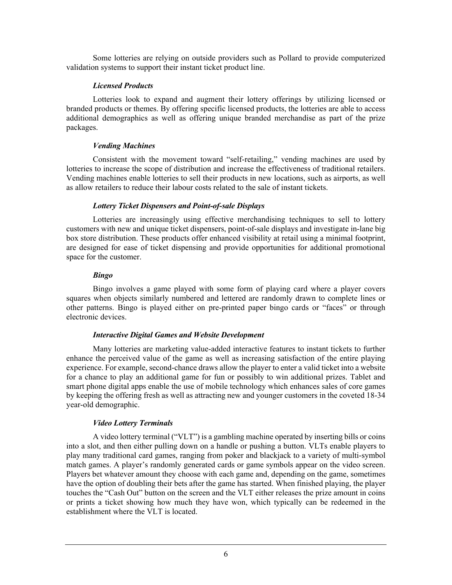Some lotteries are relying on outside providers such as Pollard to provide computerized validation systems to support their instant ticket product line.

## *Licensed Products*

Lotteries look to expand and augment their lottery offerings by utilizing licensed or branded products or themes. By offering specific licensed products, the lotteries are able to access additional demographics as well as offering unique branded merchandise as part of the prize packages.

## *Vending Machines*

Consistent with the movement toward "self-retailing," vending machines are used by lotteries to increase the scope of distribution and increase the effectiveness of traditional retailers. Vending machines enable lotteries to sell their products in new locations, such as airports, as well as allow retailers to reduce their labour costs related to the sale of instant tickets.

## *Lottery Ticket Dispensers and Point-of-sale Displays*

Lotteries are increasingly using effective merchandising techniques to sell to lottery customers with new and unique ticket dispensers, point-of-sale displays and investigate in-lane big box store distribution. These products offer enhanced visibility at retail using a minimal footprint, are designed for ease of ticket dispensing and provide opportunities for additional promotional space for the customer.

## *Bingo*

Bingo involves a game played with some form of playing card where a player covers squares when objects similarly numbered and lettered are randomly drawn to complete lines or other patterns. Bingo is played either on pre-printed paper bingo cards or "faces" or through electronic devices.

## *Interactive Digital Games and Website Development*

Many lotteries are marketing value-added interactive features to instant tickets to further enhance the perceived value of the game as well as increasing satisfaction of the entire playing experience. For example, second-chance draws allow the player to enter a valid ticket into a website for a chance to play an additional game for fun or possibly to win additional prizes. Tablet and smart phone digital apps enable the use of mobile technology which enhances sales of core games by keeping the offering fresh as well as attracting new and younger customers in the coveted 18-34 year-old demographic.

## *Video Lottery Terminals*

A video lottery terminal ("VLT") is a gambling machine operated by inserting bills or coins into a slot, and then either pulling down on a handle or pushing a button. VLTs enable players to play many traditional card games, ranging from poker and blackjack to a variety of multi-symbol match games. A player's randomly generated cards or game symbols appear on the video screen. Players bet whatever amount they choose with each game and, depending on the game, sometimes have the option of doubling their bets after the game has started. When finished playing, the player touches the "Cash Out" button on the screen and the VLT either releases the prize amount in coins or prints a ticket showing how much they have won, which typically can be redeemed in the establishment where the VLT is located.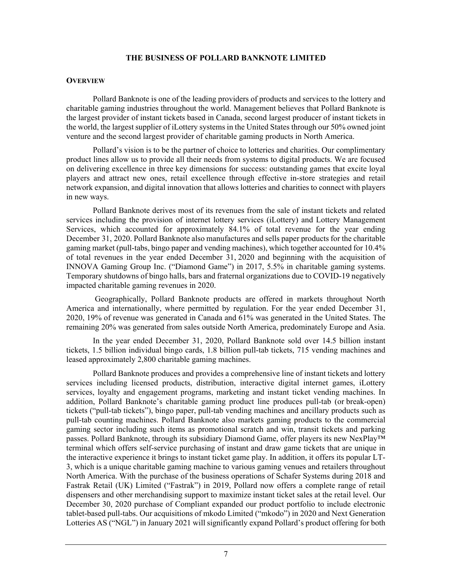## **THE BUSINESS OF POLLARD BANKNOTE LIMITED**

### **OVERVIEW**

Pollard Banknote is one of the leading providers of products and services to the lottery and charitable gaming industries throughout the world. Management believes that Pollard Banknote is the largest provider of instant tickets based in Canada, second largest producer of instant tickets in the world, the largest supplier of iLottery systems in the United States through our 50% owned joint venture and the second largest provider of charitable gaming products in North America.

Pollard's vision is to be the partner of choice to lotteries and charities. Our complimentary product lines allow us to provide all their needs from systems to digital products. We are focused on delivering excellence in three key dimensions for success: outstanding games that excite loyal players and attract new ones, retail excellence through effective in-store strategies and retail network expansion, and digital innovation that allows lotteries and charities to connect with players in new ways.

Pollard Banknote derives most of its revenues from the sale of instant tickets and related services including the provision of internet lottery services (iLottery) and Lottery Management Services, which accounted for approximately 84.1% of total revenue for the year ending December 31, 2020. Pollard Banknote also manufactures and sells paper products for the charitable gaming market (pull-tabs, bingo paper and vending machines), which together accounted for 10.4% of total revenues in the year ended December 31, 2020 and beginning with the acquisition of INNOVA Gaming Group Inc. ("Diamond Game") in 2017, 5.5% in charitable gaming systems. Temporary shutdowns of bingo halls, bars and fraternal organizations due to COVID-19 negatively impacted charitable gaming revenues in 2020.

 Geographically, Pollard Banknote products are offered in markets throughout North America and internationally, where permitted by regulation. For the year ended December 31, 2020, 19% of revenue was generated in Canada and 61% was generated in the United States. The remaining 20% was generated from sales outside North America, predominately Europe and Asia.

In the year ended December 31, 2020, Pollard Banknote sold over 14.5 billion instant tickets, 1.5 billion individual bingo cards, 1.8 billion pull-tab tickets, 715 vending machines and leased approximately 2,800 charitable gaming machines.

Pollard Banknote produces and provides a comprehensive line of instant tickets and lottery services including licensed products, distribution, interactive digital internet games, iLottery services, loyalty and engagement programs, marketing and instant ticket vending machines. In addition, Pollard Banknote's charitable gaming product line produces pull-tab (or break-open) tickets ("pull-tab tickets"), bingo paper, pull-tab vending machines and ancillary products such as pull-tab counting machines. Pollard Banknote also markets gaming products to the commercial gaming sector including such items as promotional scratch and win, transit tickets and parking passes. Pollard Banknote, through its subsidiary Diamond Game, offer players its new NexPlay™ terminal which offers self-service purchasing of instant and draw game tickets that are unique in the interactive experience it brings to instant ticket game play. In addition, it offers its popular LT-3, which is a unique charitable gaming machine to various gaming venues and retailers throughout North America. With the purchase of the business operations of Schafer Systems during 2018 and Fastrak Retail (UK) Limited ("Fastrak") in 2019, Pollard now offers a complete range of retail dispensers and other merchandising support to maximize instant ticket sales at the retail level. Our December 30, 2020 purchase of Compliant expanded our product portfolio to include electronic tablet-based pull-tabs. Our acquisitions of mkodo Limited ("mkodo") in 2020 and Next Generation Lotteries AS ("NGL") in January 2021 will significantly expand Pollard's product offering for both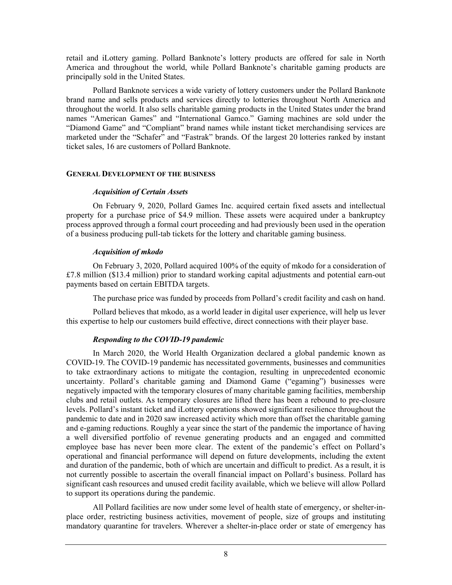retail and iLottery gaming. Pollard Banknote's lottery products are offered for sale in North America and throughout the world, while Pollard Banknote's charitable gaming products are principally sold in the United States.

Pollard Banknote services a wide variety of lottery customers under the Pollard Banknote brand name and sells products and services directly to lotteries throughout North America and throughout the world. It also sells charitable gaming products in the United States under the brand names "American Games" and "International Gamco." Gaming machines are sold under the "Diamond Game" and "Compliant" brand names while instant ticket merchandising services are marketed under the "Schafer" and "Fastrak" brands. Of the largest 20 lotteries ranked by instant ticket sales, 16 are customers of Pollard Banknote.

## **GENERAL DEVELOPMENT OF THE BUSINESS**

### *Acquisition of Certain Assets*

On February 9, 2020, Pollard Games Inc. acquired certain fixed assets and intellectual property for a purchase price of \$4.9 million. These assets were acquired under a bankruptcy process approved through a formal court proceeding and had previously been used in the operation of a business producing pull-tab tickets for the lottery and charitable gaming business.

## *Acquisition of mkodo*

On February 3, 2020, Pollard acquired 100% of the equity of mkodo for a consideration of £7.8 million (\$13.4 million) prior to standard working capital adjustments and potential earn-out payments based on certain EBITDA targets.

The purchase price was funded by proceeds from Pollard's credit facility and cash on hand.

Pollard believes that mkodo, as a world leader in digital user experience, will help us lever this expertise to help our customers build effective, direct connections with their player base.

## *Responding to the COVID-19 pandemic*

In March 2020, the World Health Organization declared a global pandemic known as COVID-19. The COVID-19 pandemic has necessitated governments, businesses and communities to take extraordinary actions to mitigate the contagion, resulting in unprecedented economic uncertainty. Pollard's charitable gaming and Diamond Game ("egaming") businesses were negatively impacted with the temporary closures of many charitable gaming facilities, membership clubs and retail outlets. As temporary closures are lifted there has been a rebound to pre-closure levels. Pollard's instant ticket and iLottery operations showed significant resilience throughout the pandemic to date and in 2020 saw increased activity which more than offset the charitable gaming and e-gaming reductions. Roughly a year since the start of the pandemic the importance of having a well diversified portfolio of revenue generating products and an engaged and committed employee base has never been more clear. The extent of the pandemic's effect on Pollard's operational and financial performance will depend on future developments, including the extent and duration of the pandemic, both of which are uncertain and difficult to predict. As a result, it is not currently possible to ascertain the overall financial impact on Pollard's business. Pollard has significant cash resources and unused credit facility available, which we believe will allow Pollard to support its operations during the pandemic.

All Pollard facilities are now under some level of health state of emergency, or shelter-inplace order, restricting business activities, movement of people, size of groups and instituting mandatory quarantine for travelers. Wherever a shelter-in-place order or state of emergency has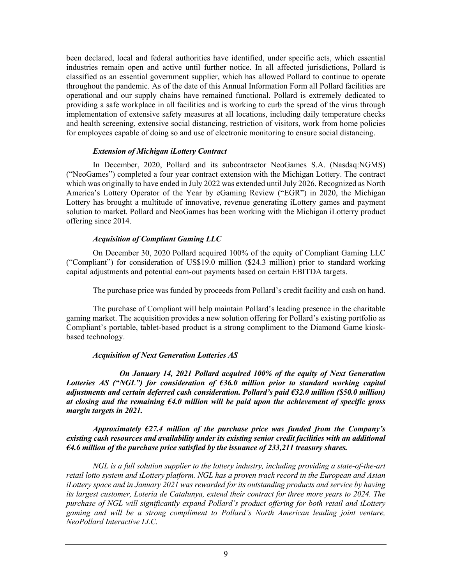been declared, local and federal authorities have identified, under specific acts, which essential industries remain open and active until further notice. In all affected jurisdictions, Pollard is classified as an essential government supplier, which has allowed Pollard to continue to operate throughout the pandemic. As of the date of this Annual Information Form all Pollard facilities are operational and our supply chains have remained functional. Pollard is extremely dedicated to providing a safe workplace in all facilities and is working to curb the spread of the virus through implementation of extensive safety measures at all locations, including daily temperature checks and health screening, extensive social distancing, restriction of visitors, work from home policies for employees capable of doing so and use of electronic monitoring to ensure social distancing.

## *Extension of Michigan iLottery Contract*

In December, 2020, Pollard and its subcontractor NeoGames S.A. (Nasdaq:NGMS) ("NeoGames") completed a four year contract extension with the Michigan Lottery. The contract which was originally to have ended in July 2022 was extended until July 2026. Recognized as North America's Lottery Operator of the Year by eGaming Review ("EGR") in 2020, the Michigan Lottery has brought a multitude of innovative, revenue generating iLottery games and payment solution to market. Pollard and NeoGames has been working with the Michigan iLotterry product offering since 2014.

## *Acquisition of Compliant Gaming LLC*

On December 30, 2020 Pollard acquired 100% of the equity of Compliant Gaming LLC ("Compliant") for consideration of US\$19.0 million (\$24.3 million) prior to standard working capital adjustments and potential earn-out payments based on certain EBITDA targets.

The purchase price was funded by proceeds from Pollard's credit facility and cash on hand.

 The purchase of Compliant will help maintain Pollard's leading presence in the charitable gaming market. The acquisition provides a new solution offering for Pollard's existing portfolio as Compliant's portable, tablet-based product is a strong compliment to the Diamond Game kioskbased technology.

## *Acquisition of Next Generation Lotteries AS*

 *On January 14, 2021 Pollard acquired 100% of the equity of Next Generation Lotteries AS ("NGL") for consideration of €36.0 million prior to standard working capital adjustments and certain deferred cash consideration. Pollard's paid €32.0 million (\$50.0 million) at closing and the remaining €4.0 million will be paid upon the achievement of specific gross margin targets in 2021.* 

## *Approximately €27.4 million of the purchase price was funded from the Company's existing cash resources and availability under its existing senior credit facilities with an additional €4.6 million of the purchase price satisfied by the issuance of 233,211 treasury shares.*

*NGL is a full solution supplier to the lottery industry, including providing a state-of-the-art retail lotto system and iLottery platform. NGL has a proven track record in the European and Asian iLottery space and in January 2021 was rewarded for its outstanding products and service by having its largest customer, Loteria de Catalunya, extend their contract for three more years to 2024. The purchase of NGL will significantly expand Pollard's product offering for both retail and iLottery gaming and will be a strong compliment to Pollard's North American leading joint venture, NeoPollard Interactive LLC.*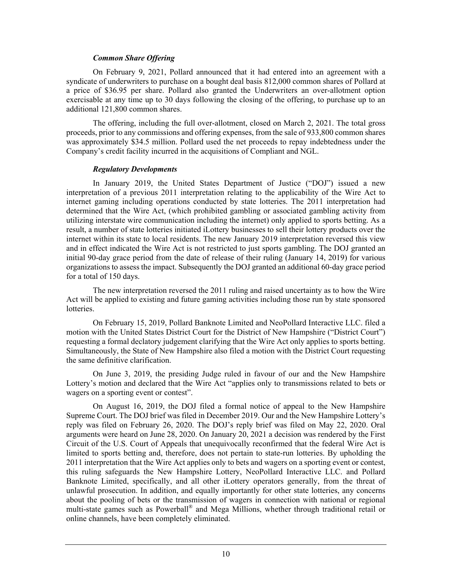### *Common Share Offering*

On February 9, 2021, Pollard announced that it had entered into an agreement with a syndicate of underwriters to purchase on a bought deal basis 812,000 common shares of Pollard at a price of \$36.95 per share. Pollard also granted the Underwriters an over-allotment option exercisable at any time up to 30 days following the closing of the offering, to purchase up to an additional 121,800 common shares.

The offering, including the full over-allotment, closed on March 2, 2021. The total gross proceeds, prior to any commissions and offering expenses, from the sale of 933,800 common shares was approximately \$34.5 million. Pollard used the net proceeds to repay indebtedness under the Company's credit facility incurred in the acquisitions of Compliant and NGL.

## *Regulatory Developments*

In January 2019, the United States Department of Justice ("DOJ") issued a new interpretation of a previous 2011 interpretation relating to the applicability of the Wire Act to internet gaming including operations conducted by state lotteries. The 2011 interpretation had determined that the Wire Act, (which prohibited gambling or associated gambling activity from utilizing interstate wire communication including the internet) only applied to sports betting. As a result, a number of state lotteries initiated iLottery businesses to sell their lottery products over the internet within its state to local residents. The new January 2019 interpretation reversed this view and in effect indicated the Wire Act is not restricted to just sports gambling. The DOJ granted an initial 90-day grace period from the date of release of their ruling (January 14, 2019) for various organizations to assess the impact. Subsequently the DOJ granted an additional 60-day grace period for a total of 150 days.

The new interpretation reversed the 2011 ruling and raised uncertainty as to how the Wire Act will be applied to existing and future gaming activities including those run by state sponsored lotteries.

On February 15, 2019, Pollard Banknote Limited and NeoPollard Interactive LLC. filed a motion with the United States District Court for the District of New Hampshire ("District Court") requesting a formal declatory judgement clarifying that the Wire Act only applies to sports betting. Simultaneously, the State of New Hampshire also filed a motion with the District Court requesting the same definitive clarification.

On June 3, 2019, the presiding Judge ruled in favour of our and the New Hampshire Lottery's motion and declared that the Wire Act "applies only to transmissions related to bets or wagers on a sporting event or contest".

On August 16, 2019, the DOJ filed a formal notice of appeal to the New Hampshire Supreme Court. The DOJ brief was filed in December 2019. Our and the New Hampshire Lottery's reply was filed on February 26, 2020. The DOJ's reply brief was filed on May 22, 2020. Oral arguments were heard on June 28, 2020. On January 20, 2021 a decision was rendered by the First Circuit of the U.S. Court of Appeals that unequivocally reconfirmed that the federal Wire Act is limited to sports betting and, therefore, does not pertain to state-run lotteries. By upholding the 2011 interpretation that the Wire Act applies only to bets and wagers on a sporting event or contest, this ruling safeguards the New Hampshire Lottery, NeoPollard Interactive LLC. and Pollard Banknote Limited, specifically, and all other iLottery operators generally, from the threat of unlawful prosecution. In addition, and equally importantly for other state lotteries, any concerns about the pooling of bets or the transmission of wagers in connection with national or regional multi-state games such as Powerball® and Mega Millions, whether through traditional retail or online channels, have been completely eliminated.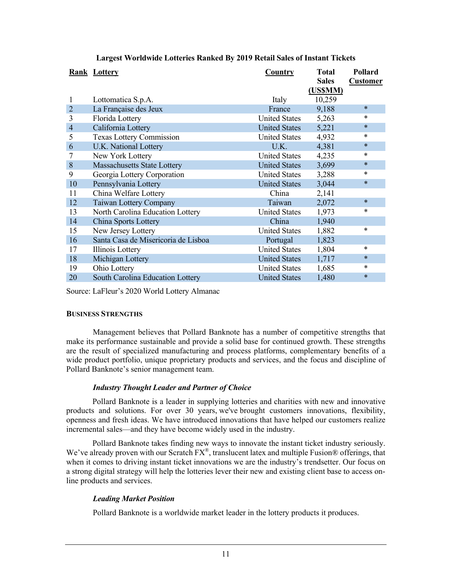|                | Rank Lottery<br>Country             |                      | <b>Total</b> | Pollard         |
|----------------|-------------------------------------|----------------------|--------------|-----------------|
|                |                                     |                      |              | <b>Customer</b> |
|                |                                     |                      | (US\$MM)     |                 |
| 1              | Lottomatica S.p.A.                  | Italy                | 10,259       |                 |
| $\overline{2}$ | La Française des Jeux               | France               | 9,188        | $\ast$          |
| 3              | Florida Lottery                     | <b>United States</b> | 5,263        | *               |
| $\overline{4}$ | California Lottery                  | <b>United States</b> | 5,221        | $\ast$          |
| 5              | <b>Texas Lottery Commission</b>     | <b>United States</b> | 4,932        | *               |
| 6              | U.K. National Lottery               | U.K.                 | 4,381        | $\ast$          |
| 7              | New York Lottery                    | <b>United States</b> | 4,235        | $\ast$          |
| 8              | <b>Massachusetts State Lottery</b>  | <b>United States</b> | 3,699        | $\ast$          |
| 9              | Georgia Lottery Corporation         | <b>United States</b> | 3,288        | $\ast$          |
| 10             | Pennsylvania Lottery                | <b>United States</b> | 3,044        | $\ast$          |
| 11             | China Welfare Lottery               | China                | 2,141        |                 |
| 12             | Taiwan Lottery Company              | Taiwan               | 2,072        | $\ast$          |
| 13             | North Carolina Education Lottery    | <b>United States</b> | 1,973        | $\ast$          |
| 14             | China Sports Lottery                | China                | 1,940        |                 |
| 15             | New Jersey Lottery                  | <b>United States</b> | 1,882        | *               |
| 16             | Santa Casa de Misericoria de Lisboa | Portugal             | 1,823        |                 |
| 17             | Illinois Lottery                    | <b>United States</b> | 1,804        | *               |
| 18             | Michigan Lottery                    | <b>United States</b> | 1,717        | ∗               |
| 19             | Ohio Lottery                        | <b>United States</b> | 1,685        | ∗               |
| 20             | South Carolina Education Lottery    | <b>United States</b> | 1,480        | $\ast$          |

## **Largest Worldwide Lotteries Ranked By 2019 Retail Sales of Instant Tickets**

Source: LaFleur's 2020 World Lottery Almanac

## **BUSINESS STRENGTHS**

Management believes that Pollard Banknote has a number of competitive strengths that make its performance sustainable and provide a solid base for continued growth. These strengths are the result of specialized manufacturing and process platforms, complementary benefits of a wide product portfolio, unique proprietary products and services, and the focus and discipline of Pollard Banknote's senior management team.

## *Industry Thought Leader and Partner of Choice*

Pollard Banknote is a leader in supplying lotteries and charities with new and innovative products and solutions. For over 30 years, we've brought customers innovations, flexibility, openness and fresh ideas. We have introduced innovations that have helped our customers realize incremental sales—and they have become widely used in the industry.

Pollard Banknote takes finding new ways to innovate the instant ticket industry seriously. We've already proven with our Scratch FX®, translucent latex and multiple Fusion® offerings, that when it comes to driving instant ticket innovations we are the industry's trendsetter. Our focus on a strong digital strategy will help the lotteries lever their new and existing client base to access online products and services.

## *Leading Market Position*

Pollard Banknote is a worldwide market leader in the lottery products it produces.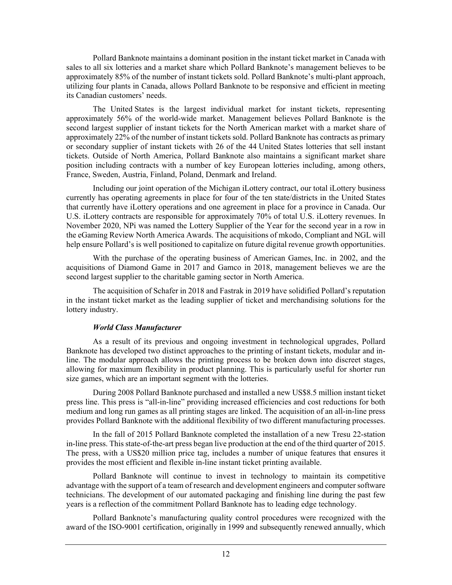Pollard Banknote maintains a dominant position in the instant ticket market in Canada with sales to all six lotteries and a market share which Pollard Banknote's management believes to be approximately 85% of the number of instant tickets sold. Pollard Banknote's multi-plant approach, utilizing four plants in Canada, allows Pollard Banknote to be responsive and efficient in meeting its Canadian customers' needs.

The United States is the largest individual market for instant tickets, representing approximately 56% of the world-wide market. Management believes Pollard Banknote is the second largest supplier of instant tickets for the North American market with a market share of approximately 22% of the number of instant tickets sold. Pollard Banknote has contracts as primary or secondary supplier of instant tickets with 26 of the 44 United States lotteries that sell instant tickets. Outside of North America, Pollard Banknote also maintains a significant market share position including contracts with a number of key European lotteries including, among others, France, Sweden, Austria, Finland, Poland, Denmark and Ireland.

Including our joint operation of the Michigan iLottery contract, our total iLottery business currently has operating agreements in place for four of the ten state/districts in the United States that currently have iLottery operations and one agreement in place for a province in Canada. Our U.S. iLottery contracts are responsible for approximately 70% of total U.S. iLottery revenues. In November 2020, NPi was named the Lottery Supplier of the Year for the second year in a row in the eGaming Review North America Awards. The acquisitions of mkodo, Compliant and NGL will help ensure Pollard's is well positioned to capitalize on future digital revenue growth opportunities.

With the purchase of the operating business of American Games, Inc. in 2002, and the acquisitions of Diamond Game in 2017 and Gamco in 2018, management believes we are the second largest supplier to the charitable gaming sector in North America.

The acquisition of Schafer in 2018 and Fastrak in 2019 have solidified Pollard's reputation in the instant ticket market as the leading supplier of ticket and merchandising solutions for the lottery industry.

## *World Class Manufacturer*

As a result of its previous and ongoing investment in technological upgrades, Pollard Banknote has developed two distinct approaches to the printing of instant tickets, modular and inline. The modular approach allows the printing process to be broken down into discreet stages, allowing for maximum flexibility in product planning. This is particularly useful for shorter run size games, which are an important segment with the lotteries.

During 2008 Pollard Banknote purchased and installed a new US\$8.5 million instant ticket press line. This press is "all-in-line" providing increased efficiencies and cost reductions for both medium and long run games as all printing stages are linked. The acquisition of an all-in-line press provides Pollard Banknote with the additional flexibility of two different manufacturing processes.

In the fall of 2015 Pollard Banknote completed the installation of a new Tresu 22-station in-line press. This state-of-the-art press began live production at the end of the third quarter of 2015. The press, with a US\$20 million price tag, includes a number of unique features that ensures it provides the most efficient and flexible in-line instant ticket printing available.

Pollard Banknote will continue to invest in technology to maintain its competitive advantage with the support of a team of research and development engineers and computer software technicians. The development of our automated packaging and finishing line during the past few years is a reflection of the commitment Pollard Banknote has to leading edge technology.

Pollard Banknote's manufacturing quality control procedures were recognized with the award of the ISO-9001 certification, originally in 1999 and subsequently renewed annually, which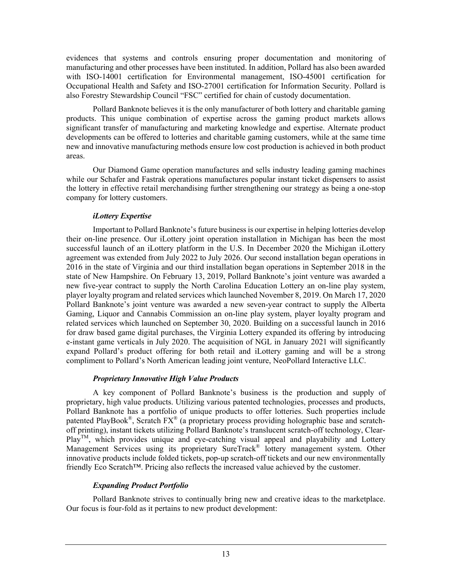evidences that systems and controls ensuring proper documentation and monitoring of manufacturing and other processes have been instituted. In addition, Pollard has also been awarded with ISO-14001 certification for Environmental management, ISO-45001 certification for Occupational Health and Safety and ISO-27001 certification for Information Security. Pollard is also Forestry Stewardship Council "FSC" certified for chain of custody documentation.

Pollard Banknote believes it is the only manufacturer of both lottery and charitable gaming products. This unique combination of expertise across the gaming product markets allows significant transfer of manufacturing and marketing knowledge and expertise. Alternate product developments can be offered to lotteries and charitable gaming customers, while at the same time new and innovative manufacturing methods ensure low cost production is achieved in both product areas.

Our Diamond Game operation manufactures and sells industry leading gaming machines while our Schafer and Fastrak operations manufactures popular instant ticket dispensers to assist the lottery in effective retail merchandising further strengthening our strategy as being a one-stop company for lottery customers.

## *iLottery Expertise*

Important to Pollard Banknote's future business is our expertise in helping lotteries develop their on-line presence. Our iLottery joint operation installation in Michigan has been the most successful launch of an iLottery platform in the U.S. In December 2020 the Michigan iLottery agreement was extended from July 2022 to July 2026. Our second installation began operations in 2016 in the state of Virginia and our third installation began operations in September 2018 in the state of New Hampshire. On February 13, 2019, Pollard Banknote's joint venture was awarded a new five-year contract to supply the North Carolina Education Lottery an on-line play system, player loyalty program and related services which launched November 8, 2019. On March 17, 2020 Pollard Banknote's joint venture was awarded a new seven-year contract to supply the Alberta Gaming, Liquor and Cannabis Commission an on-line play system, player loyalty program and related services which launched on September 30, 2020. Building on a successful launch in 2016 for draw based game digital purchases, the Virginia Lottery expanded its offering by introducing e-instant game verticals in July 2020. The acquisition of NGL in January 2021 will significantly expand Pollard's product offering for both retail and iLottery gaming and will be a strong compliment to Pollard's North American leading joint venture, NeoPollard Interactive LLC.

## *Proprietary Innovative High Value Products*

A key component of Pollard Banknote's business is the production and supply of proprietary, high value products. Utilizing various patented technologies, processes and products, Pollard Banknote has a portfolio of unique products to offer lotteries. Such properties include patented PlayBook®, Scratch  $FX^{\otimes}$  (a proprietary process providing holographic base and scratchoff printing), instant tickets utilizing Pollard Banknote's translucent scratch-off technology, Clear- $Play<sup>TM</sup>$ , which provides unique and eye-catching visual appeal and playability and Lottery Management Services using its proprietary SureTrack® lottery management system. Other innovative products include folded tickets, pop-up scratch-off tickets and our new environmentally friendly Eco Scratch™. Pricing also reflects the increased value achieved by the customer.

## *Expanding Product Portfolio*

Pollard Banknote strives to continually bring new and creative ideas to the marketplace. Our focus is four-fold as it pertains to new product development: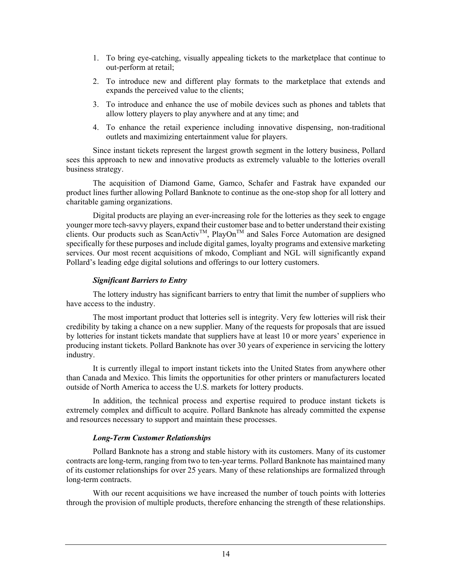- 1. To bring eye-catching, visually appealing tickets to the marketplace that continue to out-perform at retail;
- 2. To introduce new and different play formats to the marketplace that extends and expands the perceived value to the clients;
- 3. To introduce and enhance the use of mobile devices such as phones and tablets that allow lottery players to play anywhere and at any time; and
- 4. To enhance the retail experience including innovative dispensing, non-traditional outlets and maximizing entertainment value for players.

 Since instant tickets represent the largest growth segment in the lottery business, Pollard sees this approach to new and innovative products as extremely valuable to the lotteries overall business strategy.

The acquisition of Diamond Game, Gamco, Schafer and Fastrak have expanded our product lines further allowing Pollard Banknote to continue as the one-stop shop for all lottery and charitable gaming organizations.

Digital products are playing an ever-increasing role for the lotteries as they seek to engage younger more tech-savvy players, expand their customer base and to better understand their existing clients. Our products such as ScanActiv<sup>TM</sup>, PlayOn<sup>TM</sup> and Sales Force Automation are designed specifically for these purposes and include digital games, loyalty programs and extensive marketing services. Our most recent acquisitions of mkodo, Compliant and NGL will significantly expand Pollard's leading edge digital solutions and offerings to our lottery customers.

## *Significant Barriers to Entry*

The lottery industry has significant barriers to entry that limit the number of suppliers who have access to the industry.

The most important product that lotteries sell is integrity. Very few lotteries will risk their credibility by taking a chance on a new supplier. Many of the requests for proposals that are issued by lotteries for instant tickets mandate that suppliers have at least 10 or more years' experience in producing instant tickets. Pollard Banknote has over 30 years of experience in servicing the lottery industry.

It is currently illegal to import instant tickets into the United States from anywhere other than Canada and Mexico. This limits the opportunities for other printers or manufacturers located outside of North America to access the U.S. markets for lottery products.

In addition, the technical process and expertise required to produce instant tickets is extremely complex and difficult to acquire. Pollard Banknote has already committed the expense and resources necessary to support and maintain these processes.

## *Long-Term Customer Relationships*

Pollard Banknote has a strong and stable history with its customers. Many of its customer contracts are long-term, ranging from two to ten-year terms. Pollard Banknote has maintained many of its customer relationships for over 25 years. Many of these relationships are formalized through long-term contracts.

With our recent acquisitions we have increased the number of touch points with lotteries through the provision of multiple products, therefore enhancing the strength of these relationships.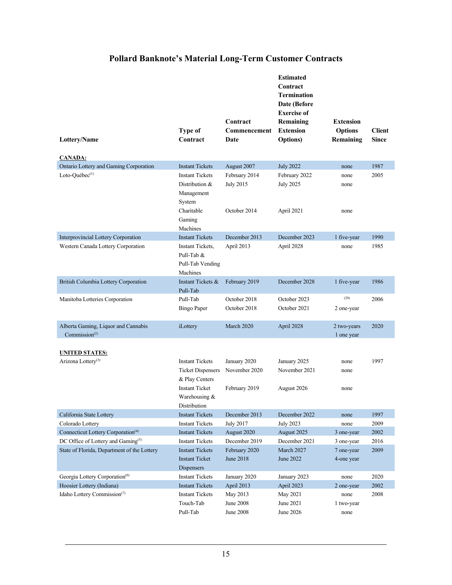## **Pollard Banknote's Material Long-Term Customer Contracts**

| Lottery/Name                                                                  | <b>Type of</b><br>Contract                                                                    | Contract<br>Commencement<br>Date               | <b>Estimated</b><br>Contract<br><b>Termination</b><br>Date (Before<br><b>Exercise of</b><br>Remaining<br><b>Extension</b><br><b>Options</b> ) | <b>Extension</b><br><b>Options</b><br>Remaining | <b>Client</b><br><b>Since</b> |
|-------------------------------------------------------------------------------|-----------------------------------------------------------------------------------------------|------------------------------------------------|-----------------------------------------------------------------------------------------------------------------------------------------------|-------------------------------------------------|-------------------------------|
| <b>CANADA:</b>                                                                |                                                                                               |                                                |                                                                                                                                               |                                                 |                               |
| Ontario Lottery and Gaming Corporation                                        | <b>Instant Tickets</b>                                                                        | August 2007                                    | <b>July 2022</b>                                                                                                                              | none                                            | 1987                          |
| Loto-Québec <sup>(1)</sup>                                                    | <b>Instant Tickets</b><br>Distribution &<br>Management<br>System                              | February 2014<br><b>July 2015</b>              | February 2022<br><b>July 2025</b>                                                                                                             | none<br>none                                    | 2005                          |
|                                                                               | Charitable<br>Gaming<br>Machines                                                              | October 2014                                   | April 2021                                                                                                                                    | none                                            |                               |
| <b>Interprovincial Lottery Corporation</b>                                    | <b>Instant Tickets</b>                                                                        | December 2013                                  | December 2023                                                                                                                                 | 1 five-year                                     | 1990                          |
| Western Canada Lottery Corporation                                            | Instant Tickets,<br>Pull-Tab &<br>Pull-Tab Vending<br>Machines                                | April 2013                                     | April 2028                                                                                                                                    | none                                            | 1985                          |
| British Columbia Lottery Corporation                                          | Instant Tickets &<br>Pull-Tab                                                                 | February 2019                                  | December 2028                                                                                                                                 | 1 five-year                                     | 1986                          |
| Manitoba Lotteries Corporation                                                | Pull-Tab<br><b>Bingo Paper</b>                                                                | October 2018<br>October 2018                   | October 2023<br>October 2021                                                                                                                  | (29)<br>2 one-year                              | 2006                          |
| Alberta Gaming, Liquor and Cannabis<br>Commission <sup><math>(2)</math></sup> | iLottery                                                                                      | March 2020                                     | April 2028                                                                                                                                    | 2 two-years<br>1 one year                       | 2020                          |
| <b>UNITED STATES:</b>                                                         |                                                                                               |                                                |                                                                                                                                               |                                                 |                               |
| Arizona Lottery <sup>(3)</sup>                                                | <b>Instant Tickets</b><br><b>Ticket Dispensers</b><br>& Play Centers<br><b>Instant Ticket</b> | January 2020<br>November 2020<br>February 2019 | January 2025<br>November 2021<br>August 2026                                                                                                  | none<br>none<br>none                            | 1997                          |
|                                                                               | Warehousing &<br>Distribution                                                                 |                                                |                                                                                                                                               |                                                 |                               |
| California State Lottery                                                      | <b>Instant Tickets</b>                                                                        | December 2013                                  | December 2022                                                                                                                                 | none                                            | 1997                          |
| Colorado Lottery                                                              | <b>Instant Tickets</b>                                                                        | <b>July 2017</b>                               | <b>July 2023</b>                                                                                                                              | none                                            | 2009                          |
| Connecticut Lottery Corporation <sup>(4)</sup>                                | <b>Instant Tickets</b>                                                                        | August 2020                                    | August 2025                                                                                                                                   | 3 one-year                                      | 2002                          |
| DC Office of Lottery and Gaming <sup>(5)</sup>                                | <b>Instant Tickets</b>                                                                        | December 2019                                  | December 2021                                                                                                                                 | 3 one-year                                      | 2016                          |
| State of Florida, Department of the Lottery                                   | <b>Instant Tickets</b><br><b>Instant Ticket</b><br>Dispensers                                 | February 2020<br>June 2018                     | March 2027<br>June 2022                                                                                                                       | 7 one-year<br>4-one year                        | 2009                          |
| Georgia Lottery Corporation <sup>(6)</sup>                                    | <b>Instant Tickets</b>                                                                        | January 2020                                   | January 2023                                                                                                                                  | none                                            | 2020                          |
| Hoosier Lottery (Indiana)                                                     | <b>Instant Tickets</b>                                                                        | April 2013                                     | April 2023                                                                                                                                    | 2 one-year                                      | 2002                          |
| Idaho Lottery Commission <sup>(7)</sup>                                       | <b>Instant Tickets</b><br>Touch-Tab<br>Pull-Tab                                               | May 2013<br>June 2008<br>June 2008             | May 2021<br>June 2021<br>June 2026                                                                                                            | none<br>1 two-year<br>none                      | 2008                          |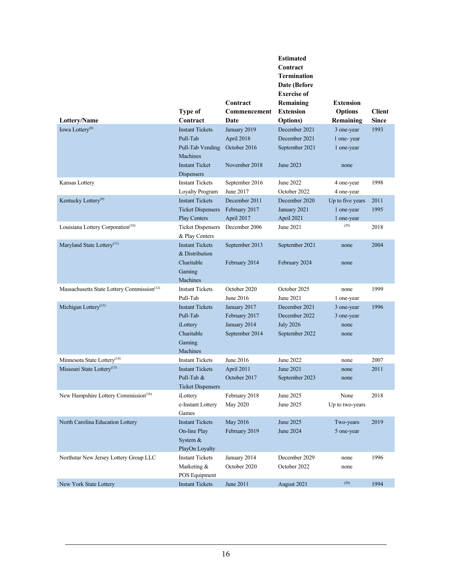|                                                        |                          |                | <b>Estimated</b>   |                  |               |
|--------------------------------------------------------|--------------------------|----------------|--------------------|------------------|---------------|
|                                                        |                          |                | Contract           |                  |               |
|                                                        |                          |                | <b>Termination</b> |                  |               |
|                                                        |                          |                | Date (Before       |                  |               |
|                                                        |                          |                | <b>Exercise of</b> |                  |               |
|                                                        |                          | Contract       | Remaining          | <b>Extension</b> |               |
|                                                        | Type of                  | Commencement   | <b>Extension</b>   | <b>Options</b>   | <b>Client</b> |
| Lottery/Name                                           | Contract                 | Date           | <b>Options</b> )   | Remaining        | <b>Since</b>  |
| Iowa Lottery <sup>(8)</sup>                            | <b>Instant Tickets</b>   | January 2019   | December 2021      | 3 one-year       | 1993          |
|                                                        | Pull-Tab                 | April 2018     | December 2021      | 1 one-year       |               |
|                                                        | Pull-Tab Vending         | October 2016   | September 2021     | 1 one-year       |               |
|                                                        | Machines                 |                |                    |                  |               |
|                                                        | <b>Instant Ticket</b>    | November 2018  | June 2023          | none             |               |
|                                                        | Dispensers               |                |                    |                  |               |
| Kansas Lottery                                         | <b>Instant Tickets</b>   | September 2016 | June 2022          | 4 one-year       | 1998          |
|                                                        | Loyalty Program          | June 2017      | October 2022       | 4 one-year       |               |
| Kentucky Lottery <sup>(9)</sup>                        | <b>Instant Tickets</b>   | December 2011  | December 2020      | Up to five years | 2011          |
|                                                        | <b>Ticket Dispensers</b> | February 2017  | January 2021       | 1 one-year       | 1995          |
|                                                        | <b>Play Centers</b>      | April 2017     | April 2021         | 1 one-year       |               |
| Louisiana Lottery Corporation <sup>(10)</sup>          | <b>Ticket Dispensers</b> | December 2006  | June 2021          | (29)             | 2018          |
|                                                        | & Play Centers           |                |                    |                  |               |
| Maryland State Lottery <sup>(11)</sup>                 | <b>Instant Tickets</b>   | September 2013 | September 2021     | none             | 2004          |
|                                                        | & Distribution           |                |                    |                  |               |
|                                                        | Charitable               | February 2014  | February 2024      | none             |               |
|                                                        | Gaming                   |                |                    |                  |               |
|                                                        | Machines                 |                |                    |                  |               |
| Massachusetts State Lottery Commission <sup>(12)</sup> | <b>Instant Tickets</b>   | October 2020   | October 2025       | none             | 1999          |
|                                                        | Pull-Tab                 | June 2016      | June 2021          | l one-year       |               |
| Michigan Lottery <sup>(13)</sup>                       | <b>Instant Tickets</b>   | January 2017   | December 2021      | 3 one-year       | 1996          |
|                                                        | Pull-Tab                 | February 2017  | December 2022      | 3 one-year       |               |
|                                                        | iLottery                 | January 2014   | <b>July 2026</b>   | none             |               |
|                                                        | Charitable               | September 2014 | September 2022     | none             |               |
|                                                        | Gaming                   |                |                    |                  |               |
|                                                        | <b>Machines</b>          |                |                    |                  |               |
| Minnesota State Lottery <sup>(14)</sup>                | <b>Instant Tickets</b>   | June 2016      | June 2022          | none             | 2007          |
| Missouri State Lottery <sup>(15)</sup>                 | <b>Instant Tickets</b>   | April 2011     | June 2021          | none             | 2011          |
|                                                        | Pull-Tab &               | October 2017   | September 2023     | none             |               |
|                                                        | <b>Ticket Dispensers</b> |                |                    |                  |               |
| New Hampshire Lottery Commission <sup>(16)</sup>       | iLottery                 | February 2018  | June 2025          | None             | 2018          |
|                                                        | e-Instant Lottery        | May 2020       | June 2025          | Up to two-years  |               |
|                                                        | Games                    |                |                    |                  |               |
| North Carolina Education Lottery                       | <b>Instant Tickets</b>   | May 2016       | June 2025          | Two-years        | 2019          |
|                                                        | On-line Play             | February 2019  | June 2024          | 5 one-year       |               |
|                                                        | System $&$               |                |                    |                  |               |
|                                                        | PlayOn Loyalty           |                |                    |                  |               |
| Northstar New Jersey Lottery Group LLC                 | <b>Instant Tickets</b>   | January 2014   | December 2029      | none             | 1996          |
|                                                        | Marketing &              | October 2020   | October 2022       | none             |               |
|                                                        | POS Equipment            |                |                    |                  |               |
| New York State Lottery                                 | <b>Instant Tickets</b>   | June 2011      | August 2021        | (29)             | 1994          |
|                                                        |                          |                |                    |                  |               |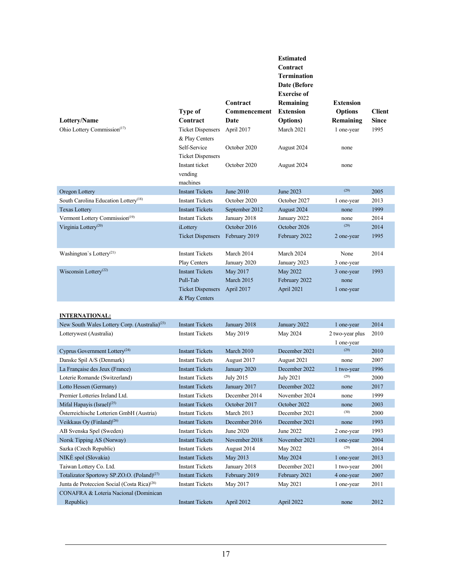| Lottery/Name<br>Ohio Lottery Commission <sup>(17)</sup> | <b>Type of</b><br>Contract<br><b>Ticket Dispensers</b><br>& Play Centers<br>Self-Service<br><b>Ticket Dispensers</b><br>Instant ticket<br>vending | Contract<br>Commencement<br>Date<br>April 2017<br>October 2020<br>October 2020 | <b>Estimated</b><br>Contract<br><b>Termination</b><br>Date (Before<br><b>Exercise of</b><br>Remaining<br><b>Extension</b><br><b>Options</b> )<br>March 2021<br>August 2024<br>August 2024 | <b>Extension</b><br><b>Options</b><br>Remaining<br>1 one-year<br>none<br>none | <b>Client</b><br><b>Since</b><br>1995 |
|---------------------------------------------------------|---------------------------------------------------------------------------------------------------------------------------------------------------|--------------------------------------------------------------------------------|-------------------------------------------------------------------------------------------------------------------------------------------------------------------------------------------|-------------------------------------------------------------------------------|---------------------------------------|
|                                                         | machines                                                                                                                                          |                                                                                |                                                                                                                                                                                           | (29)                                                                          |                                       |
| Oregon Lottery                                          | <b>Instant Tickets</b>                                                                                                                            | <b>June 2010</b>                                                               | <b>June 2023</b>                                                                                                                                                                          |                                                                               | 2005                                  |
| South Carolina Education Lottery <sup>(18)</sup>        | <b>Instant Tickets</b>                                                                                                                            | October 2020                                                                   | October 2027                                                                                                                                                                              | 1 one-year                                                                    | 2013                                  |
| <b>Texas Lottery</b>                                    | <b>Instant Tickets</b>                                                                                                                            | September 2012                                                                 | August 2024                                                                                                                                                                               | none                                                                          | 1999                                  |
| Vermont Lottery Commission <sup>(19)</sup>              | <b>Instant Tickets</b>                                                                                                                            | January 2018                                                                   | January 2022                                                                                                                                                                              | none<br>(29)                                                                  | 2014                                  |
| Virginia Lottery <sup>(20)</sup>                        | iLottery<br><b>Ticket Dispensers</b>                                                                                                              | October 2016<br>February 2019                                                  | October 2026<br>February 2022                                                                                                                                                             | 2 one-year                                                                    | 2014<br>1995                          |
| Washington's Lottery <sup>(21)</sup>                    | <b>Instant Tickets</b><br>Play Centers                                                                                                            | March 2014<br>January 2020                                                     | March 2024<br>January 2023                                                                                                                                                                | None<br>3 one-year                                                            | 2014                                  |
| Wisconsin Lottery <sup>(22)</sup>                       | <b>Instant Tickets</b><br>Pull-Tab<br><b>Ticket Dispensers</b><br>& Play Centers                                                                  | May 2017<br><b>March 2015</b><br>April 2017                                    | May 2022<br>February 2022<br>April 2021                                                                                                                                                   | 3 one-year<br>none<br>1 one-year                                              | 1993                                  |

### **INTERNATIONAL:**

| New South Wales Lottery Corp. (Australia) <sup>(23)</sup> | <b>Instant Tickets</b> | January 2018  | January 2022     | 1 one-year      | 2014 |
|-----------------------------------------------------------|------------------------|---------------|------------------|-----------------|------|
| Lotterywest (Australia)                                   | <b>Instant Tickets</b> | May 2019      | May 2024         | 2 two-year plus | 2010 |
|                                                           |                        |               |                  | 1 one-year      |      |
| Cyprus Government Lottery <sup>(24)</sup>                 | <b>Instant Tickets</b> | March 2010    | December 2021    | (29)            | 2010 |
| Danske Spil A/S (Denmark)                                 | <b>Instant Tickets</b> | August 2017   | August 2021      | none            | 2007 |
| La Française des Jeux (France)                            | <b>Instant Tickets</b> | January 2020  | December 2022    | 1 two-year      | 1996 |
| Loterie Romande (Switzerland)                             | <b>Instant Tickets</b> | July 2015     | <b>July 2021</b> | (29)            | 2000 |
| Lotto Hessen (Germany)                                    | <b>Instant Tickets</b> | January 2017  | December 2022    | none            | 2017 |
| Premier Lotteries Ireland Ltd.                            | <b>Instant Tickets</b> | December 2014 | November 2024    | none            | 1999 |
| Mifal Hapayis $(Israel)^{(25)}$                           | <b>Instant Tickets</b> | October 2017  | October 2022     | none            | 2003 |
| Österreichische Lotterien GmbH (Austria)                  | <b>Instant Tickets</b> | March 2013    | December 2021    | (30)            | 2000 |
| Veikkaus Oy (Finland) <sup>(26)</sup>                     | <b>Instant Tickets</b> | December 2016 | December 2021    | none            | 1993 |
| AB Svenska Spel (Sweden)                                  | <b>Instant Tickets</b> | June 2020     | June 2022        | 2 one-year      | 1993 |
| Norsk Tipping AS (Norway)                                 | <b>Instant Tickets</b> | November 2018 | November 2021    | 1 one-year      | 2004 |
| Sazka (Czech Republic)                                    | <b>Instant Tickets</b> | August 2014   | May 2022         | (29)            | 2014 |
| NIKÉ spol (Slovakia)                                      | <b>Instant Tickets</b> | May 2013      | May 2024         | 1 one-year      | 2013 |
| Taiwan Lottery Co. Ltd.                                   | <b>Instant Tickets</b> | January 2018  | December 2021    | 1 two-year      | 2001 |
| Totalizator Sportowy SP.ZO.O. (Poland) <sup>(27)</sup>    | <b>Instant Tickets</b> | February 2019 | February 2021    | 4 one-year      | 2007 |
| Junta de Proteccion Social (Costa Rica) <sup>(28)</sup>   | <b>Instant Tickets</b> | May 2017      | May 2021         | 1 one-year      | 2011 |
| CONAFRA & Loteria Nacional (Dominican                     |                        |               |                  |                 |      |
| Republic)                                                 | <b>Instant Tickets</b> | April 2012    | April 2022       | none            | 2012 |
|                                                           |                        |               |                  |                 |      |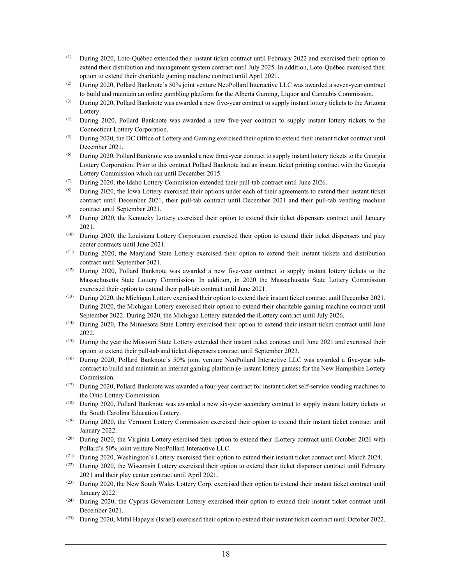- (1) During 2020, Loto-Québec extended their instant ticket contract until February 2022 and exercised their option to extend their distribution and management system contract until July 2025. In addition, Loto-Québec exercised their option to extend their charitable gaming machine contract until April 2021.
- <sup>(2)</sup> During 2020, Pollard Banknote's 50% joint venture NeoPollard Interactive LLC was awarded a seven-year contract to build and maintain an online gambling platform for the Alberta Gaming, Liquor and Cannabis Commission.
- $^{(3)}$  During 2020, Pollard Banknote was awarded a new five-year contract to supply instant lottery tickets to the Arizona Lottery.
- (4) During 2020, Pollard Banknote was awarded a new five-year contract to supply instant lottery tickets to the Connecticut Lottery Corporation.
- (5) During 2020, the DC Office of Lottery and Gaming exercised their option to extend their instant ticket contract until December 2021.
- (6) During 2020, Pollard Banknote was awarded a new three-year contract to supply instant lottery tickets to the Georgia Lottery Corporation. Prior to this contract Pollard Banknote had an instant ticket printing contract with the Georgia Lottery Commission which ran until December 2015.
- (7) During 2020, the Idaho Lottery Commission extended their pull-tab contract until June 2026.
- (8) During 2020, the Iowa Lottery exercised their options under each of their agreements to extend their instant ticket contract until December 2021, their pull-tab contract until December 2021 and their pull-tab vending machine contract until September 2021.
- (9) During 2020, the Kentucky Lottery exercised their option to extend their ticket dispensers contract until January 2021.
- (10) During 2020, the Louisiana Lottery Corporation exercised their option to extend their ticket dispensers and play center contracts until June 2021.
- (11) During 2020, the Maryland State Lottery exercised their option to extend their instant tickets and distribution contract until September 2021.
- (12) During 2020, Pollard Banknote was awarded a new five-year contract to supply instant lottery tickets to the Massachusetts State Lottery Commission. In addition, in 2020 the Massachusetts State Lottery Commission exercised their option to extend their pull-tab contract until June 2021.
- (13) During 2020, the Michigan Lottery exercised their option to extend their instant ticket contract until December 2021. During 2020, the Michigan Lottery exercised their option to extend their charitable gaming machine contract until September 2022. During 2020, the Michigan Lottery extended the iLottery contract until July 2026.
- (14) During 2020, The Minnesota State Lottery exercised their option to extend their instant ticket contract until June 2022.
- (15) During the year the Missouri State Lottery extended their instant ticket contract until June 2021 and exercised their option to extend their pull-tab and ticket dispensers contract until September 2023.
- (16) During 2020, Pollard Banknote's 50% joint venture NeoPollard Interactive LLC was awarded a five-year subcontract to build and maintain an internet gaming platform (e-instant lottery games) for the New Hampshire Lottery Commission.
- (17) During 2020, Pollard Banknote was awarded a four-year contract for instant ticket self-service vending machines to the Ohio Lottery Commission.
- (18) During 2020, Pollard Banknote was awarded a new six-year secondary contract to supply instant lottery tickets to the South Carolina Education Lottery.
- (19) During 2020, the Vermont Lottery Commission exercised their option to extend their instant ticket contract until January 2022.
- (20) During 2020, the Virginia Lottery exercised their option to extend their iLottery contract until October 2026 with Pollard's 50% joint venture NeoPollard Interactive LLC.
- (21) During 2020, Washington's Lottery exercised their option to extend their instant ticket contract until March 2024.
- (22) During 2020, the Wisconsin Lottery exercised their option to extend their ticket dispenser contract until February 2021 and their play center contract until April 2021.
- (23) During 2020, the New South Wales Lottery Corp. exercised their option to extend their instant ticket contract until January 2022.
- (24) During 2020, the Cyprus Government Lottery exercised their option to extend their instant ticket contract until December 2021.
- $(25)$  During 2020, Mifal Hapayis (Israel) exercised their option to extend their instant ticket contract until October 2022.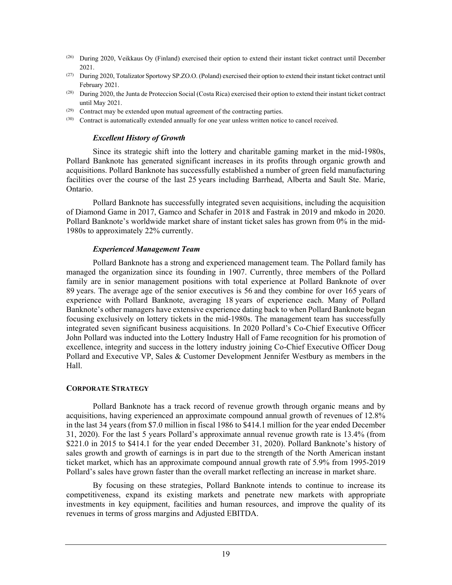- (26) During 2020, Veikkaus Oy (Finland) exercised their option to extend their instant ticket contract until December 2021.
- (27) During 2020, Totalizator Sportowy SP.ZO.O. (Poland) exercised their option to extend their instant ticket contract until February 2021.
- (28) During 2020, the Junta de Proteccion Social (Costa Rica) exercised their option to extend their instant ticket contract until May 2021.
- $(29)$  Contract may be extended upon mutual agreement of the contracting parties.
- (30) Contract is automatically extended annually for one year unless written notice to cancel received.

### *Excellent History of Growth*

Since its strategic shift into the lottery and charitable gaming market in the mid-1980s, Pollard Banknote has generated significant increases in its profits through organic growth and acquisitions. Pollard Banknote has successfully established a number of green field manufacturing facilities over the course of the last 25 years including Barrhead, Alberta and Sault Ste. Marie, Ontario.

Pollard Banknote has successfully integrated seven acquisitions, including the acquisition of Diamond Game in 2017, Gamco and Schafer in 2018 and Fastrak in 2019 and mkodo in 2020. Pollard Banknote's worldwide market share of instant ticket sales has grown from 0% in the mid-1980s to approximately 22% currently.

### *Experienced Management Team*

Pollard Banknote has a strong and experienced management team. The Pollard family has managed the organization since its founding in 1907. Currently, three members of the Pollard family are in senior management positions with total experience at Pollard Banknote of over 89 years. The average age of the senior executives is 56 and they combine for over 165 years of experience with Pollard Banknote, averaging 18 years of experience each. Many of Pollard Banknote's other managers have extensive experience dating back to when Pollard Banknote began focusing exclusively on lottery tickets in the mid-1980s. The management team has successfully integrated seven significant business acquisitions. In 2020 Pollard's Co-Chief Executive Officer John Pollard was inducted into the Lottery Industry Hall of Fame recognition for his promotion of excellence, integrity and success in the lottery industry joining Co-Chief Executive Officer Doug Pollard and Executive VP, Sales & Customer Development Jennifer Westbury as members in the Hall.

## **CORPORATE STRATEGY**

Pollard Banknote has a track record of revenue growth through organic means and by acquisitions, having experienced an approximate compound annual growth of revenues of 12.8% in the last 34 years (from \$7.0 million in fiscal 1986 to \$414.1 million for the year ended December 31, 2020). For the last 5 years Pollard's approximate annual revenue growth rate is 13.4% (from \$221.0 in 2015 to \$414.1 for the year ended December 31, 2020). Pollard Banknote's history of sales growth and growth of earnings is in part due to the strength of the North American instant ticket market, which has an approximate compound annual growth rate of 5.9% from 1995-2019 Pollard's sales have grown faster than the overall market reflecting an increase in market share.

By focusing on these strategies, Pollard Banknote intends to continue to increase its competitiveness, expand its existing markets and penetrate new markets with appropriate investments in key equipment, facilities and human resources, and improve the quality of its revenues in terms of gross margins and Adjusted EBITDA.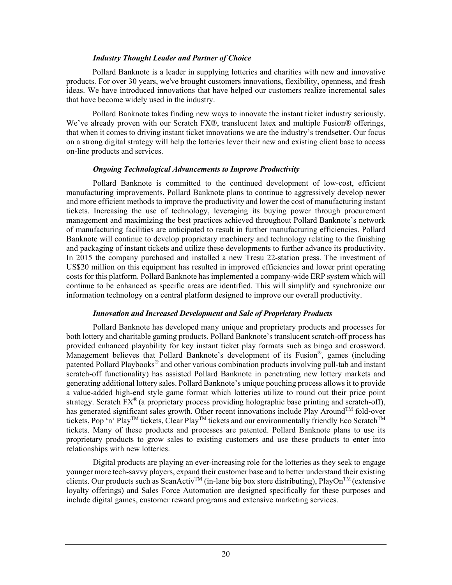## *Industry Thought Leader and Partner of Choice*

Pollard Banknote is a leader in supplying lotteries and charities with new and innovative products. For over 30 years, we've brought customers innovations, flexibility, openness, and fresh ideas. We have introduced innovations that have helped our customers realize incremental sales that have become widely used in the industry.

Pollard Banknote takes finding new ways to innovate the instant ticket industry seriously. We've already proven with our Scratch FX®, translucent latex and multiple Fusion® offerings, that when it comes to driving instant ticket innovations we are the industry's trendsetter. Our focus on a strong digital strategy will help the lotteries lever their new and existing client base to access on-line products and services.

## *Ongoing Technological Advancements to Improve Productivity*

Pollard Banknote is committed to the continued development of low-cost, efficient manufacturing improvements. Pollard Banknote plans to continue to aggressively develop newer and more efficient methods to improve the productivity and lower the cost of manufacturing instant tickets. Increasing the use of technology, leveraging its buying power through procurement management and maximizing the best practices achieved throughout Pollard Banknote's network of manufacturing facilities are anticipated to result in further manufacturing efficiencies. Pollard Banknote will continue to develop proprietary machinery and technology relating to the finishing and packaging of instant tickets and utilize these developments to further advance its productivity. In 2015 the company purchased and installed a new Tresu 22-station press. The investment of US\$20 million on this equipment has resulted in improved efficiencies and lower print operating costs for this platform. Pollard Banknote has implemented a company-wide ERP system which will continue to be enhanced as specific areas are identified. This will simplify and synchronize our information technology on a central platform designed to improve our overall productivity.

## *Innovation and Increased Development and Sale of Proprietary Products*

Pollard Banknote has developed many unique and proprietary products and processes for both lottery and charitable gaming products. Pollard Banknote's translucent scratch-off process has provided enhanced playability for key instant ticket play formats such as bingo and crossword. Management believes that Pollard Banknote's development of its Fusion®, games (including patented Pollard Playbooks® and other various combination products involving pull-tab and instant scratch-off functionality) has assisted Pollard Banknote in penetrating new lottery markets and generating additional lottery sales. Pollard Banknote's unique pouching process allows it to provide a value-added high-end style game format which lotteries utilize to round out their price point strategy. Scratch FX<sup>®</sup> (a proprietary process providing holographic base printing and scratch-off), has generated significant sales growth. Other recent innovations include Play Around<sup>TM</sup> fold-over tickets, Pop 'n' Play<sup>TM</sup> tickets, Clear Play<sup>TM</sup> tickets and our environmentally friendly Eco Scratch<sup>TM</sup> tickets. Many of these products and processes are patented. Pollard Banknote plans to use its proprietary products to grow sales to existing customers and use these products to enter into relationships with new lotteries.

Digital products are playing an ever-increasing role for the lotteries as they seek to engage younger more tech-savvy players, expand their customer base and to better understand their existing clients. Our products such as ScanActiv<sup>TM</sup> (in-lane big box store distributing), PlayOn<sup>TM</sup> (extensive loyalty offerings) and Sales Force Automation are designed specifically for these purposes and include digital games, customer reward programs and extensive marketing services.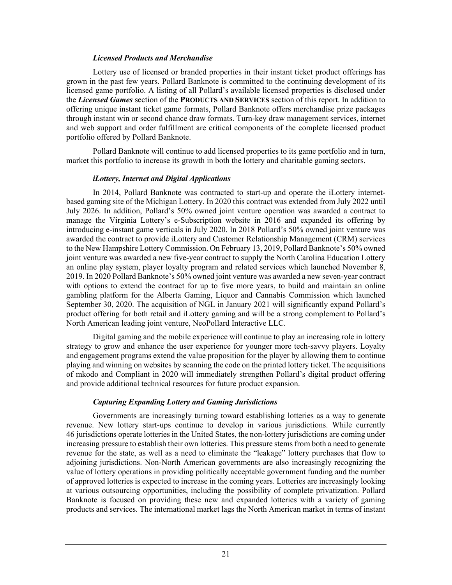### *Licensed Products and Merchandise*

Lottery use of licensed or branded properties in their instant ticket product offerings has grown in the past few years. Pollard Banknote is committed to the continuing development of its licensed game portfolio. A listing of all Pollard's available licensed properties is disclosed under the *Licensed Games* section of the **PRODUCTS AND SERVICES** section of this report. In addition to offering unique instant ticket game formats, Pollard Banknote offers merchandise prize packages through instant win or second chance draw formats. Turn-key draw management services, internet and web support and order fulfillment are critical components of the complete licensed product portfolio offered by Pollard Banknote.

Pollard Banknote will continue to add licensed properties to its game portfolio and in turn, market this portfolio to increase its growth in both the lottery and charitable gaming sectors.

## *iLottery, Internet and Digital Applications*

In 2014, Pollard Banknote was contracted to start-up and operate the iLottery internetbased gaming site of the Michigan Lottery. In 2020 this contract was extended from July 2022 until July 2026. In addition, Pollard's 50% owned joint venture operation was awarded a contract to manage the Virginia Lottery's e-Subscription website in 2016 and expanded its offering by introducing e-instant game verticals in July 2020. In 2018 Pollard's 50% owned joint venture was awarded the contract to provide iLottery and Customer Relationship Management (CRM) services to the New Hampshire Lottery Commission. On February 13, 2019, Pollard Banknote's 50% owned joint venture was awarded a new five-year contract to supply the North Carolina Education Lottery an online play system, player loyalty program and related services which launched November 8, 2019. In 2020 Pollard Banknote's 50% owned joint venture was awarded a new seven-year contract with options to extend the contract for up to five more years, to build and maintain an online gambling platform for the Alberta Gaming, Liquor and Cannabis Commission which launched September 30, 2020. The acquisition of NGL in January 2021 will significantly expand Pollard's product offering for both retail and iLottery gaming and will be a strong complement to Pollard's North American leading joint venture, NeoPollard Interactive LLC.

Digital gaming and the mobile experience will continue to play an increasing role in lottery strategy to grow and enhance the user experience for younger more tech-savvy players. Loyalty and engagement programs extend the value proposition for the player by allowing them to continue playing and winning on websites by scanning the code on the printed lottery ticket. The acquisitions of mkodo and Compliant in 2020 will immediately strengthen Pollard's digital product offering and provide additional technical resources for future product expansion.

## *Capturing Expanding Lottery and Gaming Jurisdictions*

Governments are increasingly turning toward establishing lotteries as a way to generate revenue. New lottery start-ups continue to develop in various jurisdictions. While currently 46 jurisdictions operate lotteries in the United States, the non-lottery jurisdictions are coming under increasing pressure to establish their own lotteries. This pressure stems from both a need to generate revenue for the state, as well as a need to eliminate the "leakage" lottery purchases that flow to adjoining jurisdictions. Non-North American governments are also increasingly recognizing the value of lottery operations in providing politically acceptable government funding and the number of approved lotteries is expected to increase in the coming years. Lotteries are increasingly looking at various outsourcing opportunities, including the possibility of complete privatization. Pollard Banknote is focused on providing these new and expanded lotteries with a variety of gaming products and services. The international market lags the North American market in terms of instant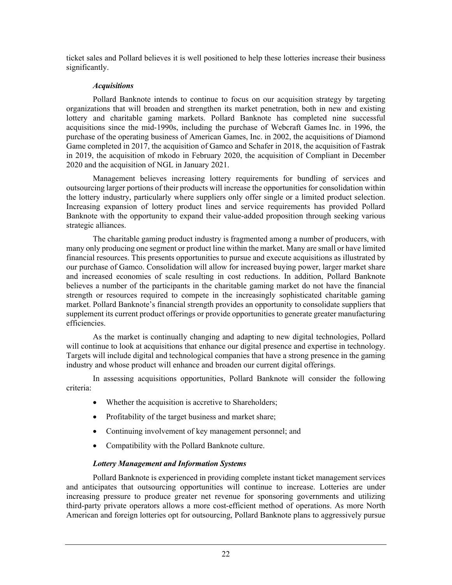ticket sales and Pollard believes it is well positioned to help these lotteries increase their business significantly.

## *Acquisitions*

Pollard Banknote intends to continue to focus on our acquisition strategy by targeting organizations that will broaden and strengthen its market penetration, both in new and existing lottery and charitable gaming markets. Pollard Banknote has completed nine successful acquisitions since the mid-1990s, including the purchase of Webcraft Games Inc. in 1996, the purchase of the operating business of American Games, Inc. in 2002, the acquisitions of Diamond Game completed in 2017, the acquisition of Gamco and Schafer in 2018, the acquisition of Fastrak in 2019, the acquisition of mkodo in February 2020, the acquisition of Compliant in December 2020 and the acquisition of NGL in January 2021.

Management believes increasing lottery requirements for bundling of services and outsourcing larger portions of their products will increase the opportunities for consolidation within the lottery industry, particularly where suppliers only offer single or a limited product selection. Increasing expansion of lottery product lines and service requirements has provided Pollard Banknote with the opportunity to expand their value-added proposition through seeking various strategic alliances.

The charitable gaming product industry is fragmented among a number of producers, with many only producing one segment or product line within the market. Many are small or have limited financial resources. This presents opportunities to pursue and execute acquisitions as illustrated by our purchase of Gamco. Consolidation will allow for increased buying power, larger market share and increased economies of scale resulting in cost reductions. In addition, Pollard Banknote believes a number of the participants in the charitable gaming market do not have the financial strength or resources required to compete in the increasingly sophisticated charitable gaming market. Pollard Banknote's financial strength provides an opportunity to consolidate suppliers that supplement its current product offerings or provide opportunities to generate greater manufacturing efficiencies.

As the market is continually changing and adapting to new digital technologies, Pollard will continue to look at acquisitions that enhance our digital presence and expertise in technology. Targets will include digital and technological companies that have a strong presence in the gaming industry and whose product will enhance and broaden our current digital offerings.

In assessing acquisitions opportunities, Pollard Banknote will consider the following criteria:

- Whether the acquisition is accretive to Shareholders;
- Profitability of the target business and market share;
- Continuing involvement of key management personnel; and
- Compatibility with the Pollard Banknote culture.

## *Lottery Management and Information Systems*

Pollard Banknote is experienced in providing complete instant ticket management services and anticipates that outsourcing opportunities will continue to increase. Lotteries are under increasing pressure to produce greater net revenue for sponsoring governments and utilizing third-party private operators allows a more cost-efficient method of operations. As more North American and foreign lotteries opt for outsourcing, Pollard Banknote plans to aggressively pursue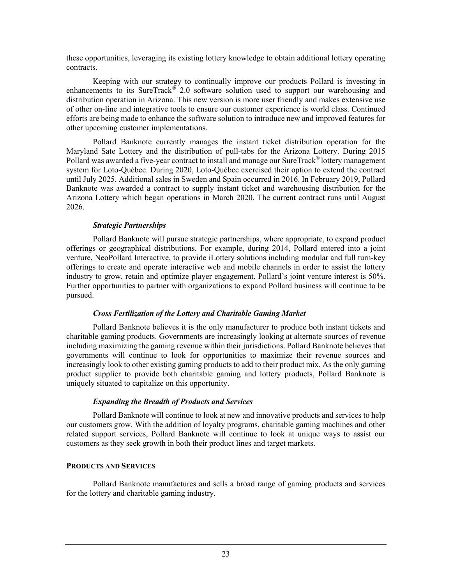these opportunities, leveraging its existing lottery knowledge to obtain additional lottery operating contracts.

Keeping with our strategy to continually improve our products Pollard is investing in enhancements to its SureTrack<sup>®</sup> 2.0 software solution used to support our warehousing and distribution operation in Arizona. This new version is more user friendly and makes extensive use of other on-line and integrative tools to ensure our customer experience is world class. Continued efforts are being made to enhance the software solution to introduce new and improved features for other upcoming customer implementations.

Pollard Banknote currently manages the instant ticket distribution operation for the Maryland Sate Lottery and the distribution of pull-tabs for the Arizona Lottery. During 2015 Pollard was awarded a five-year contract to install and manage our SureTrack<sup>®</sup> lottery management system for Loto-Québec. During 2020, Loto-Québec exercised their option to extend the contract until July 2025. Additional sales in Sweden and Spain occurred in 2016. In February 2019, Pollard Banknote was awarded a contract to supply instant ticket and warehousing distribution for the Arizona Lottery which began operations in March 2020. The current contract runs until August 2026.

## *Strategic Partnerships*

Pollard Banknote will pursue strategic partnerships, where appropriate, to expand product offerings or geographical distributions. For example, during 2014, Pollard entered into a joint venture, NeoPollard Interactive, to provide iLottery solutions including modular and full turn-key offerings to create and operate interactive web and mobile channels in order to assist the lottery industry to grow, retain and optimize player engagement. Pollard's joint venture interest is 50%. Further opportunities to partner with organizations to expand Pollard business will continue to be pursued.

## *Cross Fertilization of the Lottery and Charitable Gaming Market*

Pollard Banknote believes it is the only manufacturer to produce both instant tickets and charitable gaming products. Governments are increasingly looking at alternate sources of revenue including maximizing the gaming revenue within their jurisdictions. Pollard Banknote believes that governments will continue to look for opportunities to maximize their revenue sources and increasingly look to other existing gaming products to add to their product mix. As the only gaming product supplier to provide both charitable gaming and lottery products, Pollard Banknote is uniquely situated to capitalize on this opportunity.

## *Expanding the Breadth of Products and Services*

Pollard Banknote will continue to look at new and innovative products and services to help our customers grow. With the addition of loyalty programs, charitable gaming machines and other related support services, Pollard Banknote will continue to look at unique ways to assist our customers as they seek growth in both their product lines and target markets.

## **PRODUCTS AND SERVICES**

Pollard Banknote manufactures and sells a broad range of gaming products and services for the lottery and charitable gaming industry.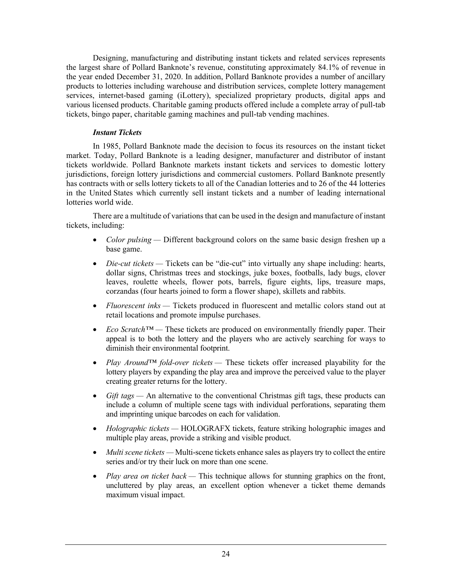Designing, manufacturing and distributing instant tickets and related services represents the largest share of Pollard Banknote's revenue, constituting approximately 84.1% of revenue in the year ended December 31, 2020. In addition, Pollard Banknote provides a number of ancillary products to lotteries including warehouse and distribution services, complete lottery management services, internet-based gaming (iLottery), specialized proprietary products, digital apps and various licensed products. Charitable gaming products offered include a complete array of pull-tab tickets, bingo paper, charitable gaming machines and pull-tab vending machines.

## *Instant Tickets*

In 1985, Pollard Banknote made the decision to focus its resources on the instant ticket market. Today, Pollard Banknote is a leading designer, manufacturer and distributor of instant tickets worldwide. Pollard Banknote markets instant tickets and services to domestic lottery jurisdictions, foreign lottery jurisdictions and commercial customers. Pollard Banknote presently has contracts with or sells lottery tickets to all of the Canadian lotteries and to 26 of the 44 lotteries in the United States which currently sell instant tickets and a number of leading international lotteries world wide.

There are a multitude of variations that can be used in the design and manufacture of instant tickets, including:

- *Color pulsing* Different background colors on the same basic design freshen up a base game.
- *Die-cut tickets* Tickets can be "die-cut" into virtually any shape including: hearts, dollar signs, Christmas trees and stockings, juke boxes, footballs, lady bugs, clover leaves, roulette wheels, flower pots, barrels, figure eights, lips, treasure maps, corzandas (four hearts joined to form a flower shape), skillets and rabbits.
- *Fluorescent inks* Tickets produced in fluorescent and metallic colors stand out at retail locations and promote impulse purchases.
- *Eco Scratch™* These tickets are produced on environmentally friendly paper. Their appeal is to both the lottery and the players who are actively searching for ways to diminish their environmental footprint.
- *Play Around™ fold-over tickets* These tickets offer increased playability for the lottery players by expanding the play area and improve the perceived value to the player creating greater returns for the lottery.
- *Gift tags* An alternative to the conventional Christmas gift tags, these products can include a column of multiple scene tags with individual perforations, separating them and imprinting unique barcodes on each for validation.
- *Holographic tickets* HOLOGRAFX tickets, feature striking holographic images and multiple play areas, provide a striking and visible product.
- *Multi scene tickets* Multi-scene tickets enhance sales as players try to collect the entire series and/or try their luck on more than one scene.
- *Play area on ticket back* This technique allows for stunning graphics on the front, uncluttered by play areas, an excellent option whenever a ticket theme demands maximum visual impact.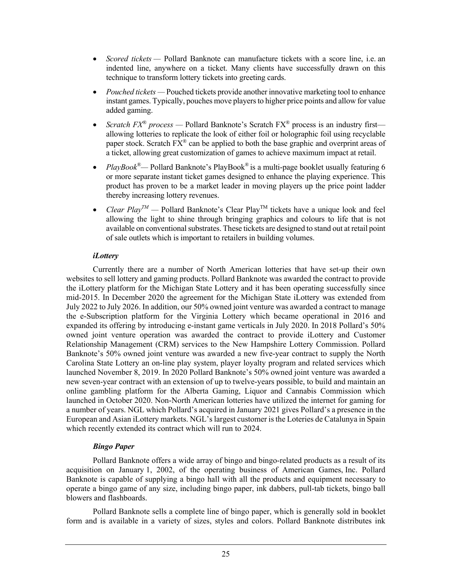- *Scored tickets* Pollard Banknote can manufacture tickets with a score line, i.e. an indented line, anywhere on a ticket. Many clients have successfully drawn on this technique to transform lottery tickets into greeting cards.
- *Pouched tickets* Pouched tickets provide another innovative marketing tool to enhance instant games. Typically, pouches move players to higher price points and allow for value added gaming.
- *Scratch FX® process* Pollard Banknote's Scratch FX® process is an industry first allowing lotteries to replicate the look of either foil or holographic foil using recyclable paper stock. Scratch  $FX^{\circledast}$  can be applied to both the base graphic and overprint areas of a ticket, allowing great customization of games to achieve maximum impact at retail.
- *PlayBook*<sup>®</sup>— Pollard Banknote's PlayBook<sup>®</sup> is a multi-page booklet usually featuring 6 or more separate instant ticket games designed to enhance the playing experience. This product has proven to be a market leader in moving players up the price point ladder thereby increasing lottery revenues.
- *Clear*  $Play^{TM}$  *Pollard Banknote's Clear Play*<sup>TM</sup> tickets have a unique look and feel allowing the light to shine through bringing graphics and colours to life that is not available on conventional substrates. These tickets are designed to stand out at retail point of sale outlets which is important to retailers in building volumes.

## *iLottery*

Currently there are a number of North American lotteries that have set-up their own websites to sell lottery and gaming products. Pollard Banknote was awarded the contract to provide the iLottery platform for the Michigan State Lottery and it has been operating successfully since mid-2015. In December 2020 the agreement for the Michigan State iLottery was extended from July 2022 to July 2026. In addition, our 50% owned joint venture was awarded a contract to manage the e-Subscription platform for the Virginia Lottery which became operational in 2016 and expanded its offering by introducing e-instant game verticals in July 2020. In 2018 Pollard's 50% owned joint venture operation was awarded the contract to provide iLottery and Customer Relationship Management (CRM) services to the New Hampshire Lottery Commission. Pollard Banknote's 50% owned joint venture was awarded a new five-year contract to supply the North Carolina State Lottery an on-line play system, player loyalty program and related services which launched November 8, 2019. In 2020 Pollard Banknote's 50% owned joint venture was awarded a new seven-year contract with an extension of up to twelve-years possible, to build and maintain an online gambling platform for the Alberta Gaming, Liquor and Cannabis Commission which launched in October 2020. Non-North American lotteries have utilized the internet for gaming for a number of years. NGL which Pollard's acquired in January 2021 gives Pollard's a presence in the European and Asian iLottery markets. NGL's largest customer is the Loteries de Catalunya in Spain which recently extended its contract which will run to 2024.

## *Bingo Paper*

Pollard Banknote offers a wide array of bingo and bingo-related products as a result of its acquisition on January 1, 2002, of the operating business of American Games, Inc. Pollard Banknote is capable of supplying a bingo hall with all the products and equipment necessary to operate a bingo game of any size, including bingo paper, ink dabbers, pull-tab tickets, bingo ball blowers and flashboards.

Pollard Banknote sells a complete line of bingo paper, which is generally sold in booklet form and is available in a variety of sizes, styles and colors. Pollard Banknote distributes ink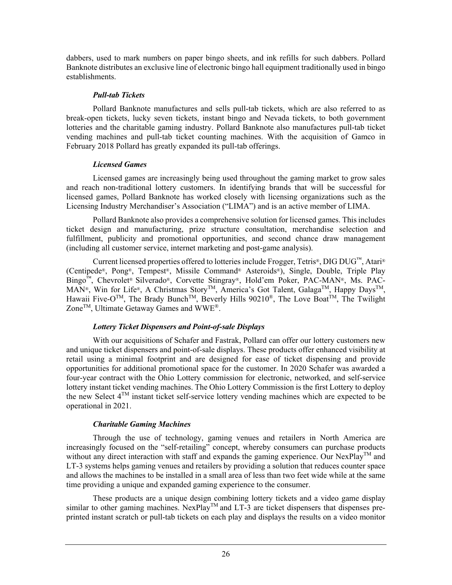dabbers, used to mark numbers on paper bingo sheets, and ink refills for such dabbers. Pollard Banknote distributes an exclusive line of electronic bingo hall equipment traditionally used in bingo establishments.

## *Pull-tab Tickets*

Pollard Banknote manufactures and sells pull-tab tickets, which are also referred to as break-open tickets, lucky seven tickets, instant bingo and Nevada tickets, to both government lotteries and the charitable gaming industry. Pollard Banknote also manufactures pull-tab ticket vending machines and pull-tab ticket counting machines. With the acquisition of Gamco in February 2018 Pollard has greatly expanded its pull-tab offerings.

## *Licensed Games*

Licensed games are increasingly being used throughout the gaming market to grow sales and reach non-traditional lottery customers. In identifying brands that will be successful for licensed games, Pollard Banknote has worked closely with licensing organizations such as the Licensing Industry Merchandiser's Association ("LIMA") and is an active member of LIMA.

Pollard Banknote also provides a comprehensive solution for licensed games. This includes ticket design and manufacturing, prize structure consultation, merchandise selection and fulfillment, publicity and promotional opportunities, and second chance draw management (including all customer service, internet marketing and post-game analysis).

Current licensed properties offered to lotteries include Frogger, Tetris®, DIG DUG™, Atari® (Centipede®, Pong®, Tempest®, Missile Command® Asteroids®), Single, Double, Triple Play Bingo™, Chevrolet® Silverado®, Corvette Stingray®, Hold'em Poker, PAC-MAN®, Ms. PAC-MAN®, Win for Life®, A Christmas Story<sup>TM</sup>, America's Got Talent, Galaga<sup>TM</sup>, Happy Days<sup>TM</sup>, Hawaii Five-O<sup>TM</sup>, The Brady Bunch<sup>TM</sup>, Beverly Hills 90210<sup>®</sup>, The Love Boat<sup>TM</sup>, The Twilight Zone<sup>TM</sup>, Ultimate Getaway Games and WWE<sup>®</sup>.

## *Lottery Ticket Dispensers and Point-of-sale Displays*

With our acquisitions of Schafer and Fastrak, Pollard can offer our lottery customers new and unique ticket dispensers and point-of-sale displays. These products offer enhanced visibility at retail using a minimal footprint and are designed for ease of ticket dispensing and provide opportunities for additional promotional space for the customer. In 2020 Schafer was awarded a four-year contract with the Ohio Lottery commission for electronic, networked, and self-service lottery instant ticket vending machines. The Ohio Lottery Commission is the first Lottery to deploy the new Select  $4^{TM}$  instant ticket self-service lottery vending machines which are expected to be operational in 2021.

## *Charitable Gaming Machines*

Through the use of technology, gaming venues and retailers in North America are increasingly focused on the "self-retailing" concept, whereby consumers can purchase products without any direct interaction with staff and expands the gaming experience. Our NexPlay<sup>TM</sup> and LT-3 systems helps gaming venues and retailers by providing a solution that reduces counter space and allows the machines to be installed in a small area of less than two feet wide while at the same time providing a unique and expanded gaming experience to the consumer.

These products are a unique design combining lottery tickets and a video game display similar to other gaming machines. NexPlay<sup>TM</sup> and LT-3 are ticket dispensers that dispenses preprinted instant scratch or pull-tab tickets on each play and displays the results on a video monitor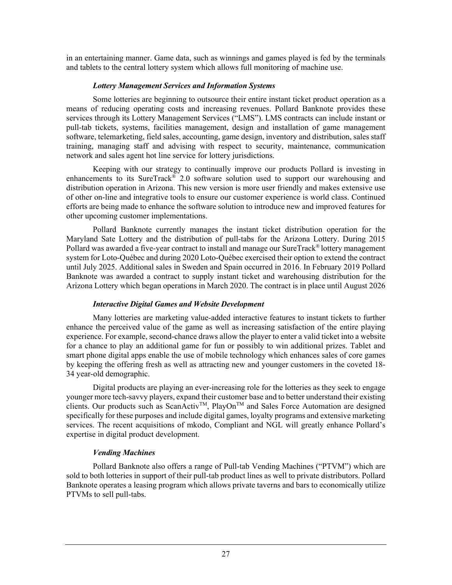in an entertaining manner. Game data, such as winnings and games played is fed by the terminals and tablets to the central lottery system which allows full monitoring of machine use.

## *Lottery Management Services and Information Systems*

Some lotteries are beginning to outsource their entire instant ticket product operation as a means of reducing operating costs and increasing revenues. Pollard Banknote provides these services through its Lottery Management Services ("LMS"). LMS contracts can include instant or pull-tab tickets, systems, facilities management, design and installation of game management software, telemarketing, field sales, accounting, game design, inventory and distribution, sales staff training, managing staff and advising with respect to security, maintenance, communication network and sales agent hot line service for lottery jurisdictions.

Keeping with our strategy to continually improve our products Pollard is investing in enhancements to its SureTrack® 2.0 software solution used to support our warehousing and distribution operation in Arizona. This new version is more user friendly and makes extensive use of other on-line and integrative tools to ensure our customer experience is world class. Continued efforts are being made to enhance the software solution to introduce new and improved features for other upcoming customer implementations.

Pollard Banknote currently manages the instant ticket distribution operation for the Maryland Sate Lottery and the distribution of pull-tabs for the Arizona Lottery. During 2015 Pollard was awarded a five-year contract to install and manage our SureTrack<sup>®</sup> lottery management system for Loto-Québec and during 2020 Loto-Québec exercised their option to extend the contract until July 2025. Additional sales in Sweden and Spain occurred in 2016. In February 2019 Pollard Banknote was awarded a contract to supply instant ticket and warehousing distribution for the Arizona Lottery which began operations in March 2020. The contract is in place until August 2026

## *Interactive Digital Games and Website Development*

Many lotteries are marketing value-added interactive features to instant tickets to further enhance the perceived value of the game as well as increasing satisfaction of the entire playing experience. For example, second-chance draws allow the player to enter a valid ticket into a website for a chance to play an additional game for fun or possibly to win additional prizes. Tablet and smart phone digital apps enable the use of mobile technology which enhances sales of core games by keeping the offering fresh as well as attracting new and younger customers in the coveted 18- 34 year-old demographic.

Digital products are playing an ever-increasing role for the lotteries as they seek to engage younger more tech-savvy players, expand their customer base and to better understand their existing clients. Our products such as ScanActiv<sup>TM</sup>, PlayOn<sup>TM</sup> and Sales Force Automation are designed specifically for these purposes and include digital games, loyalty programs and extensive marketing services. The recent acquisitions of mkodo, Compliant and NGL will greatly enhance Pollard's expertise in digital product development.

## *Vending Machines*

Pollard Banknote also offers a range of Pull-tab Vending Machines ("PTVM") which are sold to both lotteries in support of their pull-tab product lines as well to private distributors. Pollard Banknote operates a leasing program which allows private taverns and bars to economically utilize PTVMs to sell pull-tabs.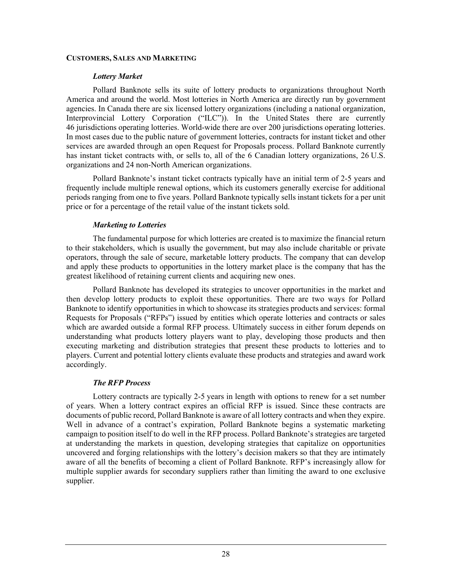### **CUSTOMERS, SALES AND MARKETING**

## *Lottery Market*

Pollard Banknote sells its suite of lottery products to organizations throughout North America and around the world. Most lotteries in North America are directly run by government agencies. In Canada there are six licensed lottery organizations (including a national organization, Interprovincial Lottery Corporation ("ILC")). In the United States there are currently 46 jurisdictions operating lotteries. World-wide there are over 200 jurisdictions operating lotteries. In most cases due to the public nature of government lotteries, contracts for instant ticket and other services are awarded through an open Request for Proposals process. Pollard Banknote currently has instant ticket contracts with, or sells to, all of the 6 Canadian lottery organizations, 26 U.S. organizations and 24 non-North American organizations.

Pollard Banknote's instant ticket contracts typically have an initial term of 2-5 years and frequently include multiple renewal options, which its customers generally exercise for additional periods ranging from one to five years. Pollard Banknote typically sells instant tickets for a per unit price or for a percentage of the retail value of the instant tickets sold.

## *Marketing to Lotteries*

The fundamental purpose for which lotteries are created is to maximize the financial return to their stakeholders, which is usually the government, but may also include charitable or private operators, through the sale of secure, marketable lottery products. The company that can develop and apply these products to opportunities in the lottery market place is the company that has the greatest likelihood of retaining current clients and acquiring new ones.

Pollard Banknote has developed its strategies to uncover opportunities in the market and then develop lottery products to exploit these opportunities. There are two ways for Pollard Banknote to identify opportunities in which to showcase its strategies products and services: formal Requests for Proposals ("RFPs") issued by entities which operate lotteries and contracts or sales which are awarded outside a formal RFP process. Ultimately success in either forum depends on understanding what products lottery players want to play, developing those products and then executing marketing and distribution strategies that present these products to lotteries and to players. Current and potential lottery clients evaluate these products and strategies and award work accordingly.

## *The RFP Process*

Lottery contracts are typically 2-5 years in length with options to renew for a set number of years. When a lottery contract expires an official RFP is issued. Since these contracts are documents of public record, Pollard Banknote is aware of all lottery contracts and when they expire. Well in advance of a contract's expiration, Pollard Banknote begins a systematic marketing campaign to position itself to do well in the RFP process. Pollard Banknote's strategies are targeted at understanding the markets in question, developing strategies that capitalize on opportunities uncovered and forging relationships with the lottery's decision makers so that they are intimately aware of all the benefits of becoming a client of Pollard Banknote. RFP's increasingly allow for multiple supplier awards for secondary suppliers rather than limiting the award to one exclusive supplier.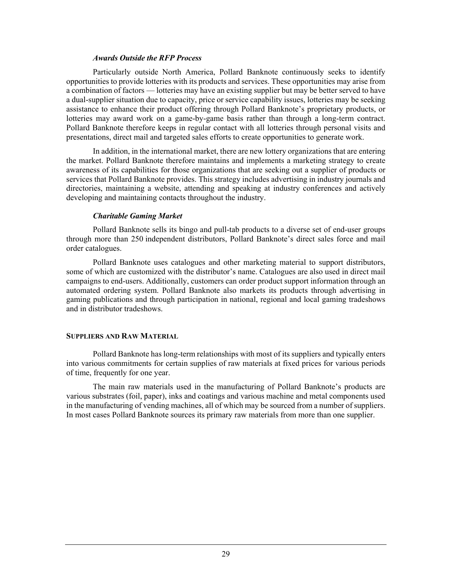### *Awards Outside the RFP Process*

Particularly outside North America, Pollard Banknote continuously seeks to identify opportunities to provide lotteries with its products and services. These opportunities may arise from a combination of factors — lotteries may have an existing supplier but may be better served to have a dual-supplier situation due to capacity, price or service capability issues, lotteries may be seeking assistance to enhance their product offering through Pollard Banknote's proprietary products, or lotteries may award work on a game-by-game basis rather than through a long-term contract. Pollard Banknote therefore keeps in regular contact with all lotteries through personal visits and presentations, direct mail and targeted sales efforts to create opportunities to generate work.

In addition, in the international market, there are new lottery organizations that are entering the market. Pollard Banknote therefore maintains and implements a marketing strategy to create awareness of its capabilities for those organizations that are seeking out a supplier of products or services that Pollard Banknote provides. This strategy includes advertising in industry journals and directories, maintaining a website, attending and speaking at industry conferences and actively developing and maintaining contacts throughout the industry.

## *Charitable Gaming Market*

Pollard Banknote sells its bingo and pull-tab products to a diverse set of end-user groups through more than 250 independent distributors, Pollard Banknote's direct sales force and mail order catalogues.

Pollard Banknote uses catalogues and other marketing material to support distributors, some of which are customized with the distributor's name. Catalogues are also used in direct mail campaigns to end-users. Additionally, customers can order product support information through an automated ordering system. Pollard Banknote also markets its products through advertising in gaming publications and through participation in national, regional and local gaming tradeshows and in distributor tradeshows.

## **SUPPLIERS AND RAW MATERIAL**

Pollard Banknote has long-term relationships with most of its suppliers and typically enters into various commitments for certain supplies of raw materials at fixed prices for various periods of time, frequently for one year.

The main raw materials used in the manufacturing of Pollard Banknote's products are various substrates (foil, paper), inks and coatings and various machine and metal components used in the manufacturing of vending machines, all of which may be sourced from a number of suppliers. In most cases Pollard Banknote sources its primary raw materials from more than one supplier.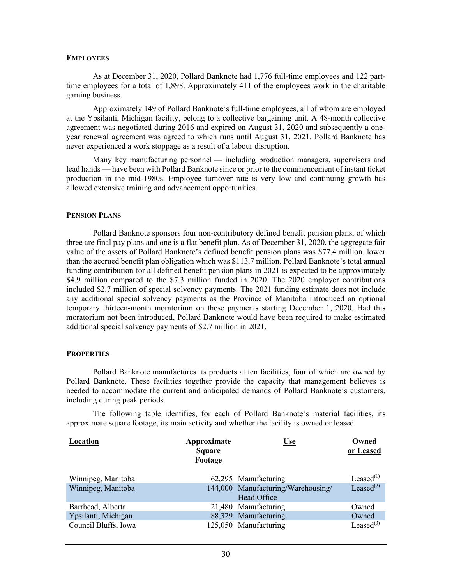#### **EMPLOYEES**

As at December 31, 2020, Pollard Banknote had 1,776 full-time employees and 122 parttime employees for a total of 1,898. Approximately 411 of the employees work in the charitable gaming business.

Approximately 149 of Pollard Banknote's full-time employees, all of whom are employed at the Ypsilanti, Michigan facility, belong to a collective bargaining unit. A 48-month collective agreement was negotiated during 2016 and expired on August 31, 2020 and subsequently a oneyear renewal agreement was agreed to which runs until August 31, 2021. Pollard Banknote has never experienced a work stoppage as a result of a labour disruption.

Many key manufacturing personnel — including production managers, supervisors and lead hands — have been with Pollard Banknote since or prior to the commencement of instant ticket production in the mid-1980s. Employee turnover rate is very low and continuing growth has allowed extensive training and advancement opportunities.

### **PENSION PLANS**

Pollard Banknote sponsors four non-contributory defined benefit pension plans, of which three are final pay plans and one is a flat benefit plan. As of December 31, 2020, the aggregate fair value of the assets of Pollard Banknote's defined benefit pension plans was \$77.4 million, lower than the accrued benefit plan obligation which was \$113.7 million. Pollard Banknote's total annual funding contribution for all defined benefit pension plans in 2021 is expected to be approximately \$4.9 million compared to the \$7.3 million funded in 2020. The 2020 employer contributions included \$2.7 million of special solvency payments. The 2021 funding estimate does not include any additional special solvency payments as the Province of Manitoba introduced an optional temporary thirteen-month moratorium on these payments starting December 1, 2020. Had this moratorium not been introduced, Pollard Banknote would have been required to make estimated additional special solvency payments of \$2.7 million in 2021.

### **PROPERTIES**

Pollard Banknote manufactures its products at ten facilities, four of which are owned by Pollard Banknote. These facilities together provide the capacity that management believes is needed to accommodate the current and anticipated demands of Pollard Banknote's customers, including during peak periods.

The following table identifies, for each of Pollard Banknote's material facilities, its approximate square footage, its main activity and whether the facility is owned or leased.

| Location             | Approximate<br><b>Square</b><br>Footage | <u>Use</u>                                        | Owned<br>or Leased |
|----------------------|-----------------------------------------|---------------------------------------------------|--------------------|
| Winnipeg, Manitoba   |                                         | 62,295 Manufacturing                              | Leased $(1)$       |
| Winnipeg, Manitoba   |                                         | 144,000 Manufacturing/Warehousing/<br>Head Office | Leased $^{(2)}$    |
| Barrhead, Alberta    |                                         | 21,480 Manufacturing                              | Owned              |
| Ypsilanti, Michigan  |                                         | 88,329 Manufacturing                              | Owned              |
| Council Bluffs, Iowa |                                         | 125,050 Manufacturing                             | Leased $^{(3)}$    |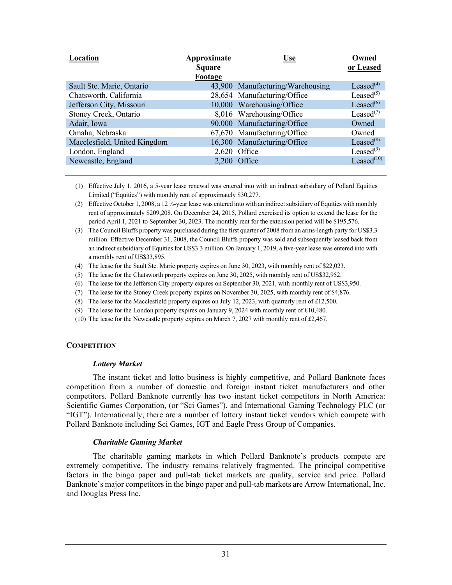| Approximate<br><b>Square</b> | <b>Use</b> | Owned<br>or Leased                                                                                                                                                                                                                                    |
|------------------------------|------------|-------------------------------------------------------------------------------------------------------------------------------------------------------------------------------------------------------------------------------------------------------|
|                              |            |                                                                                                                                                                                                                                                       |
|                              |            | Leased $(4)$                                                                                                                                                                                                                                          |
|                              |            | Leased $(5)$                                                                                                                                                                                                                                          |
|                              |            | Leased $^{(6)}$                                                                                                                                                                                                                                       |
|                              |            | Leased $(7)$                                                                                                                                                                                                                                          |
|                              |            | Owned                                                                                                                                                                                                                                                 |
|                              |            | Owned                                                                                                                                                                                                                                                 |
|                              |            | Leased $(8)$                                                                                                                                                                                                                                          |
|                              |            | Leased $^{(9)}$                                                                                                                                                                                                                                       |
|                              |            | Leased $(10)$                                                                                                                                                                                                                                         |
|                              | Footage    | 43,900 Manufacturing/Warehousing<br>28,654 Manufacturing/Office<br>10,000 Warehousing/Office<br>8,016 Warehousing/Office<br>90,000 Manufacturing/Office<br>67,670 Manufacturing/Office<br>16,300 Manufacturing/Office<br>2,620 Office<br>2,200 Office |

- (1) Effective July 1, 2016, a 5-year lease renewal was entered into with an indirect subsidiary of Pollard Equities Limited ("Equities") with monthly rent of approximately \$30,277.
- (2) Effective October 1, 2008, a 12 ½-year lease was entered into with an indirect subsidiary of Equities with monthly rent of approximately \$209,208. On December 24, 2015, Pollard exercised its option to extend the lease for the period April 1, 2021 to September 30, 2023. The monthly rent for the extension period will be \$195,576.
- (3) The Council Bluffs property was purchased during the first quarter of 2008 from an arms-length party for US\$3.3 million. Effective December 31, 2008, the Council Bluffs property was sold and subsequently leased back from an indirect subsidiary of Equities for US\$3.3 million. On January 1, 2019, a five-year lease was entered into with a monthly rent of US\$33,895.
- (4) The lease for the Sault Ste. Marie property expires on June 30, 2023, with monthly rent of \$22,023.
- (5) The lease for the Chatsworth property expires on June 30, 2025, with monthly rent of US\$32,952.
- (6) The lease for the Jefferson City property expires on September 30, 2021, with monthly rent of US\$3,950.
- (7) The lease for the Stoney Creek property expires on November 30, 2025, with monthly rent of \$4,876.
- (8) The lease for the Macclesfield property expires on July 12, 2023, with quarterly rent of £12,500.
- (9) The lease for the London property expires on January 9, 2024 with monthly rent of £10,480.
- (10) The lease for the Newcastle property expires on March 7, 2027 with monthly rent of £2,467.

#### **COMPETITION**

#### *Lottery Market*

The instant ticket and lotto business is highly competitive, and Pollard Banknote faces competition from a number of domestic and foreign instant ticket manufacturers and other competitors. Pollard Banknote currently has two instant ticket competitors in North America: Scientific Games Corporation, (or "Sci Games"), and International Gaming Technology PLC (or "IGT"). Internationally, there are a number of lottery instant ticket vendors which compete with Pollard Banknote including Sci Games, IGT and Eagle Press Group of Companies.

#### *Charitable Gaming Market*

The charitable gaming markets in which Pollard Banknote's products compete are extremely competitive. The industry remains relatively fragmented. The principal competitive factors in the bingo paper and pull-tab ticket markets are quality, service and price. Pollard Banknote's major competitors in the bingo paper and pull-tab markets are Arrow International, Inc. and Douglas Press Inc.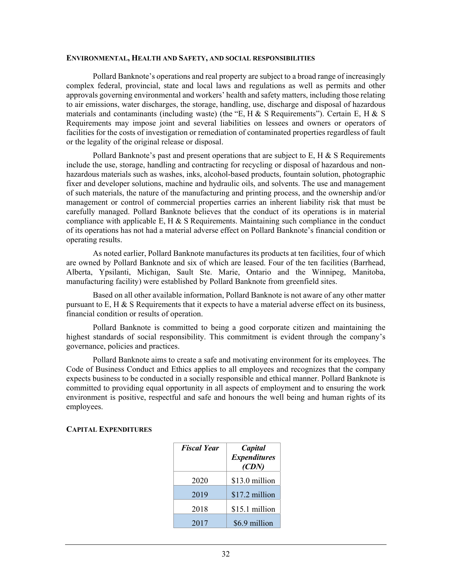#### **ENVIRONMENTAL, HEALTH AND SAFETY, AND SOCIAL RESPONSIBILITIES**

Pollard Banknote's operations and real property are subject to a broad range of increasingly complex federal, provincial, state and local laws and regulations as well as permits and other approvals governing environmental and workers' health and safety matters, including those relating to air emissions, water discharges, the storage, handling, use, discharge and disposal of hazardous materials and contaminants (including waste) (the "E, H & S Requirements"). Certain E, H & S Requirements may impose joint and several liabilities on lessees and owners or operators of facilities for the costs of investigation or remediation of contaminated properties regardless of fault or the legality of the original release or disposal.

Pollard Banknote's past and present operations that are subject to E, H  $&$  S Requirements include the use, storage, handling and contracting for recycling or disposal of hazardous and nonhazardous materials such as washes, inks, alcohol-based products, fountain solution, photographic fixer and developer solutions, machine and hydraulic oils, and solvents. The use and management of such materials, the nature of the manufacturing and printing process, and the ownership and/or management or control of commercial properties carries an inherent liability risk that must be carefully managed. Pollard Banknote believes that the conduct of its operations is in material compliance with applicable E, H  $\&$  S Requirements. Maintaining such compliance in the conduct of its operations has not had a material adverse effect on Pollard Banknote's financial condition or operating results.

As noted earlier, Pollard Banknote manufactures its products at ten facilities, four of which are owned by Pollard Banknote and six of which are leased. Four of the ten facilities (Barrhead, Alberta, Ypsilanti, Michigan, Sault Ste. Marie, Ontario and the Winnipeg, Manitoba, manufacturing facility) were established by Pollard Banknote from greenfield sites.

Based on all other available information, Pollard Banknote is not aware of any other matter pursuant to E, H  $\&$  S Requirements that it expects to have a material adverse effect on its business, financial condition or results of operation.

Pollard Banknote is committed to being a good corporate citizen and maintaining the highest standards of social responsibility. This commitment is evident through the company's governance, policies and practices.

Pollard Banknote aims to create a safe and motivating environment for its employees. The Code of Business Conduct and Ethics applies to all employees and recognizes that the company expects business to be conducted in a socially responsible and ethical manner. Pollard Banknote is committed to providing equal opportunity in all aspects of employment and to ensuring the work environment is positive, respectful and safe and honours the well being and human rights of its employees.

| <b>Fiscal Year</b> | Capital             |  |
|--------------------|---------------------|--|
|                    | <b>Expenditures</b> |  |
|                    | (CDN)               |  |
| 2020               | \$13.0 million      |  |
| 2019               | \$17.2 million      |  |
| 2018               | \$15.1 million      |  |
| 2017               | \$6.9 million       |  |

#### **CAPITAL EXPENDITURES**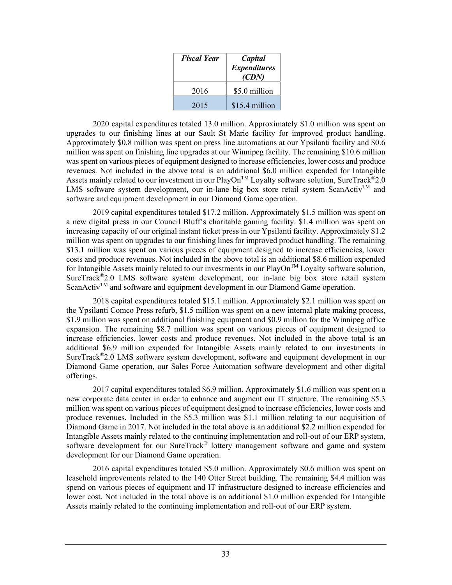| <b>Fiscal Year</b> | Capital<br><b>Expenditures</b><br>(CDN) |
|--------------------|-----------------------------------------|
| 2016               | \$5.0 million                           |
| 2015               | \$15.4 million                          |

2020 capital expenditures totaled 13.0 million. Approximately \$1.0 million was spent on upgrades to our finishing lines at our Sault St Marie facility for improved product handling. Approximately \$0.8 million was spent on press line automations at our Ypsilanti facility and \$0.6 million was spent on finishing line upgrades at our Winnipeg facility. The remaining \$10.6 million was spent on various pieces of equipment designed to increase efficiencies, lower costs and produce revenues. Not included in the above total is an additional \$6.0 million expended for Intangible Assets mainly related to our investment in our PlayOn<sup>TM</sup> Loyalty software solution, SureTrack<sup>®</sup>2.0 LMS software system development, our in-lane big box store retail system ScanActiv<sup>TM</sup> and software and equipment development in our Diamond Game operation.

2019 capital expenditures totaled \$17.2 million. Approximately \$1.5 million was spent on a new digital press in our Council Bluff's charitable gaming facility. \$1.4 million was spent on increasing capacity of our original instant ticket press in our Ypsilanti facility. Approximately \$1.2 million was spent on upgrades to our finishing lines for improved product handling. The remaining \$13.1 million was spent on various pieces of equipment designed to increase efficiencies, lower costs and produce revenues. Not included in the above total is an additional \$8.6 million expended for Intangible Assets mainly related to our investments in our PlayOn<sup>TM</sup> Loyalty software solution, SureTrack®2.0 LMS software system development, our in-lane big box store retail system ScanActiv<sup>TM</sup> and software and equipment development in our Diamond Game operation.

2018 capital expenditures totaled \$15.1 million. Approximately \$2.1 million was spent on the Ypsilanti Comco Press refurb, \$1.5 million was spent on a new internal plate making process, \$1.9 million was spent on additional finishing equipment and \$0.9 million for the Winnipeg office expansion. The remaining \$8.7 million was spent on various pieces of equipment designed to increase efficiencies, lower costs and produce revenues. Not included in the above total is an additional \$6.9 million expended for Intangible Assets mainly related to our investments in SureTrack®2.0 LMS software system development, software and equipment development in our Diamond Game operation, our Sales Force Automation software development and other digital offerings.

2017 capital expenditures totaled \$6.9 million. Approximately \$1.6 million was spent on a new corporate data center in order to enhance and augment our IT structure. The remaining \$5.3 million was spent on various pieces of equipment designed to increase efficiencies, lower costs and produce revenues. Included in the \$5.3 million was \$1.1 million relating to our acquisition of Diamond Game in 2017. Not included in the total above is an additional \$2.2 million expended for Intangible Assets mainly related to the continuing implementation and roll-out of our ERP system, software development for our SureTrack® lottery management software and game and system development for our Diamond Game operation.

2016 capital expenditures totaled \$5.0 million. Approximately \$0.6 million was spent on leasehold improvements related to the 140 Otter Street building. The remaining \$4.4 million was spend on various pieces of equipment and IT infrastructure designed to increase efficiencies and lower cost. Not included in the total above is an additional \$1.0 million expended for Intangible Assets mainly related to the continuing implementation and roll-out of our ERP system.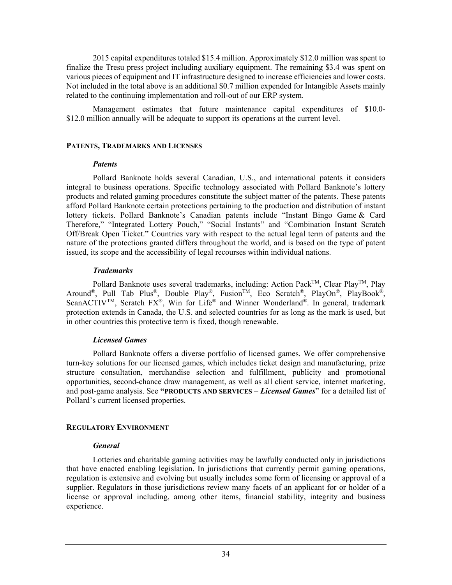2015 capital expenditures totaled \$15.4 million. Approximately \$12.0 million was spent to finalize the Tresu press project including auxiliary equipment. The remaining \$3.4 was spent on various pieces of equipment and IT infrastructure designed to increase efficiencies and lower costs. Not included in the total above is an additional \$0.7 million expended for Intangible Assets mainly related to the continuing implementation and roll-out of our ERP system.

Management estimates that future maintenance capital expenditures of \$10.0- \$12.0 million annually will be adequate to support its operations at the current level.

#### **PATENTS, TRADEMARKS AND LICENSES**

#### *Patents*

Pollard Banknote holds several Canadian, U.S., and international patents it considers integral to business operations. Specific technology associated with Pollard Banknote's lottery products and related gaming procedures constitute the subject matter of the patents. These patents afford Pollard Banknote certain protections pertaining to the production and distribution of instant lottery tickets. Pollard Banknote's Canadian patents include "Instant Bingo Game & Card Therefore," "Integrated Lottery Pouch," "Social Instants" and "Combination Instant Scratch Off/Break Open Ticket." Countries vary with respect to the actual legal term of patents and the nature of the protections granted differs throughout the world, and is based on the type of patent issued, its scope and the accessibility of legal recourses within individual nations.

#### *Trademarks*

Pollard Banknote uses several trademarks, including: Action Pack™, Clear Play™, Play Around<sup>®</sup>, Pull Tab Plus<sup>®</sup>, Double Play<sup>®</sup>, Fusion<sup>TM</sup>, Eco Scratch<sup>®</sup>, PlayOn<sup>®</sup>, PlayBook<sup>®</sup>, ScanACTIV<sup>TM</sup>, Scratch FX<sup>®</sup>, Win for Life<sup>®</sup> and Winner Wonderland®. In general, trademark protection extends in Canada, the U.S. and selected countries for as long as the mark is used, but in other countries this protective term is fixed, though renewable.

# *Licensed Games*

Pollard Banknote offers a diverse portfolio of licensed games. We offer comprehensive turn-key solutions for our licensed games, which includes ticket design and manufacturing, prize structure consultation, merchandise selection and fulfillment, publicity and promotional opportunities, second-chance draw management, as well as all client service, internet marketing, and post-game analysis. See **"PRODUCTS AND SERVICES** – *Licensed Games*" for a detailed list of Pollard's current licensed properties.

#### **REGULATORY ENVIRONMENT**

#### *General*

Lotteries and charitable gaming activities may be lawfully conducted only in jurisdictions that have enacted enabling legislation. In jurisdictions that currently permit gaming operations, regulation is extensive and evolving but usually includes some form of licensing or approval of a supplier. Regulators in those jurisdictions review many facets of an applicant for or holder of a license or approval including, among other items, financial stability, integrity and business experience.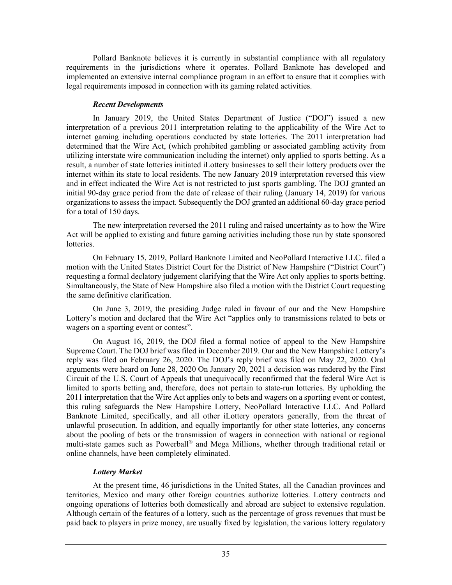Pollard Banknote believes it is currently in substantial compliance with all regulatory requirements in the jurisdictions where it operates. Pollard Banknote has developed and implemented an extensive internal compliance program in an effort to ensure that it complies with legal requirements imposed in connection with its gaming related activities.

#### *Recent Developments*

In January 2019, the United States Department of Justice ("DOJ") issued a new interpretation of a previous 2011 interpretation relating to the applicability of the Wire Act to internet gaming including operations conducted by state lotteries. The 2011 interpretation had determined that the Wire Act, (which prohibited gambling or associated gambling activity from utilizing interstate wire communication including the internet) only applied to sports betting. As a result, a number of state lotteries initiated iLottery businesses to sell their lottery products over the internet within its state to local residents. The new January 2019 interpretation reversed this view and in effect indicated the Wire Act is not restricted to just sports gambling. The DOJ granted an initial 90-day grace period from the date of release of their ruling (January 14, 2019) for various organizations to assess the impact. Subsequently the DOJ granted an additional 60-day grace period for a total of 150 days.

The new interpretation reversed the 2011 ruling and raised uncertainty as to how the Wire Act will be applied to existing and future gaming activities including those run by state sponsored lotteries.

On February 15, 2019, Pollard Banknote Limited and NeoPollard Interactive LLC. filed a motion with the United States District Court for the District of New Hampshire ("District Court") requesting a formal declatory judgement clarifying that the Wire Act only applies to sports betting. Simultaneously, the State of New Hampshire also filed a motion with the District Court requesting the same definitive clarification.

On June 3, 2019, the presiding Judge ruled in favour of our and the New Hampshire Lottery's motion and declared that the Wire Act "applies only to transmissions related to bets or wagers on a sporting event or contest".

On August 16, 2019, the DOJ filed a formal notice of appeal to the New Hampshire Supreme Court. The DOJ brief was filed in December 2019. Our and the New Hampshire Lottery's reply was filed on February 26, 2020. The DOJ's reply brief was filed on May 22, 2020. Oral arguments were heard on June 28, 2020 On January 20, 2021 a decision was rendered by the First Circuit of the U.S. Court of Appeals that unequivocally reconfirmed that the federal Wire Act is limited to sports betting and, therefore, does not pertain to state-run lotteries. By upholding the 2011 interpretation that the Wire Act applies only to bets and wagers on a sporting event or contest, this ruling safeguards the New Hampshire Lottery, NeoPollard Interactive LLC. And Pollard Banknote Limited, specifically, and all other iLottery operators generally, from the threat of unlawful prosecution. In addition, and equally importantly for other state lotteries, any concerns about the pooling of bets or the transmission of wagers in connection with national or regional multi-state games such as Powerball® and Mega Millions, whether through traditional retail or online channels, have been completely eliminated.

# *Lottery Market*

At the present time, 46 jurisdictions in the United States, all the Canadian provinces and territories, Mexico and many other foreign countries authorize lotteries. Lottery contracts and ongoing operations of lotteries both domestically and abroad are subject to extensive regulation. Although certain of the features of a lottery, such as the percentage of gross revenues that must be paid back to players in prize money, are usually fixed by legislation, the various lottery regulatory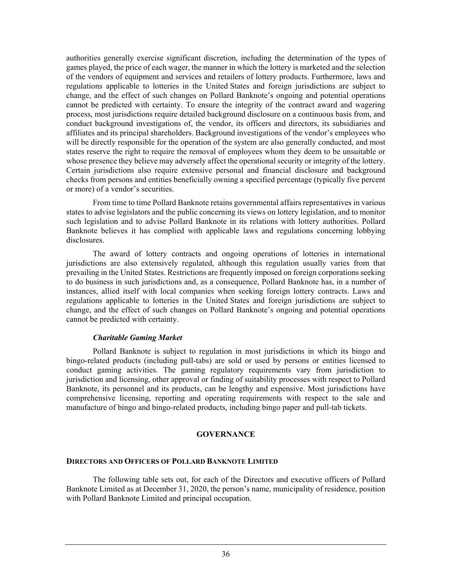authorities generally exercise significant discretion, including the determination of the types of games played, the price of each wager, the manner in which the lottery is marketed and the selection of the vendors of equipment and services and retailers of lottery products. Furthermore, laws and regulations applicable to lotteries in the United States and foreign jurisdictions are subject to change, and the effect of such changes on Pollard Banknote's ongoing and potential operations cannot be predicted with certainty. To ensure the integrity of the contract award and wagering process, most jurisdictions require detailed background disclosure on a continuous basis from, and conduct background investigations of, the vendor, its officers and directors, its subsidiaries and affiliates and its principal shareholders. Background investigations of the vendor's employees who will be directly responsible for the operation of the system are also generally conducted, and most states reserve the right to require the removal of employees whom they deem to be unsuitable or whose presence they believe may adversely affect the operational security or integrity of the lottery. Certain jurisdictions also require extensive personal and financial disclosure and background checks from persons and entities beneficially owning a specified percentage (typically five percent or more) of a vendor's securities.

From time to time Pollard Banknote retains governmental affairs representatives in various states to advise legislators and the public concerning its views on lottery legislation, and to monitor such legislation and to advise Pollard Banknote in its relations with lottery authorities. Pollard Banknote believes it has complied with applicable laws and regulations concerning lobbying disclosures.

The award of lottery contracts and ongoing operations of lotteries in international jurisdictions are also extensively regulated, although this regulation usually varies from that prevailing in the United States. Restrictions are frequently imposed on foreign corporations seeking to do business in such jurisdictions and, as a consequence, Pollard Banknote has, in a number of instances, allied itself with local companies when seeking foreign lottery contracts. Laws and regulations applicable to lotteries in the United States and foreign jurisdictions are subject to change, and the effect of such changes on Pollard Banknote's ongoing and potential operations cannot be predicted with certainty.

#### *Charitable Gaming Market*

Pollard Banknote is subject to regulation in most jurisdictions in which its bingo and bingo-related products (including pull-tabs) are sold or used by persons or entities licensed to conduct gaming activities. The gaming regulatory requirements vary from jurisdiction to jurisdiction and licensing, other approval or finding of suitability processes with respect to Pollard Banknote, its personnel and its products, can be lengthy and expensive. Most jurisdictions have comprehensive licensing, reporting and operating requirements with respect to the sale and manufacture of bingo and bingo-related products, including bingo paper and pull-tab tickets.

#### **GOVERNANCE**

#### **DIRECTORS AND OFFICERS OF POLLARD BANKNOTE LIMITED**

The following table sets out, for each of the Directors and executive officers of Pollard Banknote Limited as at December 31, 2020, the person's name, municipality of residence, position with Pollard Banknote Limited and principal occupation.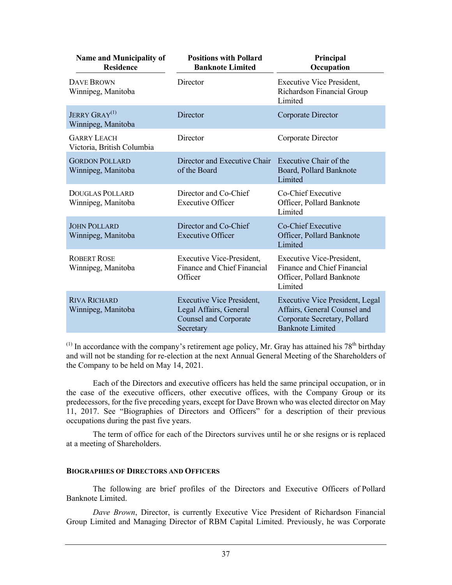| <b>Name and Municipality of</b><br><b>Residence</b>    | <b>Positions with Pollard</b><br><b>Banknote Limited</b>                                                | Principal<br>Occupation                                                                                                           |
|--------------------------------------------------------|---------------------------------------------------------------------------------------------------------|-----------------------------------------------------------------------------------------------------------------------------------|
| <b>DAVE BROWN</b><br>Winnipeg, Manitoba                | Director                                                                                                | Executive Vice President,<br>Richardson Financial Group<br>Limited                                                                |
| <b>JERRY GRAY</b> <sup>(1)</sup><br>Winnipeg, Manitoba | Director                                                                                                | Corporate Director                                                                                                                |
| <b>GARRY LEACH</b><br>Victoria, British Columbia       | Director                                                                                                | Corporate Director                                                                                                                |
| <b>GORDON POLLARD</b><br>Winnipeg, Manitoba            | Director and Executive Chair<br>of the Board                                                            | Executive Chair of the<br>Board, Pollard Banknote<br>Limited                                                                      |
| <b>DOUGLAS POLLARD</b><br>Winnipeg, Manitoba           | Director and Co-Chief<br><b>Executive Officer</b>                                                       | Co-Chief Executive<br>Officer, Pollard Banknote<br>Limited                                                                        |
| <b>JOHN POLLARD</b><br>Winnipeg, Manitoba              | Director and Co-Chief<br><b>Executive Officer</b>                                                       | Co-Chief Executive<br>Officer, Pollard Banknote<br>Limited                                                                        |
| <b>ROBERT ROSE</b><br>Winnipeg, Manitoba               | Executive Vice-President,<br>Finance and Chief Financial<br>Officer                                     | <b>Executive Vice-President,</b><br>Finance and Chief Financial<br>Officer, Pollard Banknote<br>Limited                           |
| <b>RIVA RICHARD</b><br>Winnipeg, Manitoba              | <b>Executive Vice President,</b><br>Legal Affairs, General<br><b>Counsel and Corporate</b><br>Secretary | <b>Executive Vice President, Legal</b><br>Affairs, General Counsel and<br>Corporate Secretary, Pollard<br><b>Banknote Limited</b> |

 $(1)$  In accordance with the company's retirement age policy, Mr. Gray has attained his 78<sup>th</sup> birthday and will not be standing for re-election at the next Annual General Meeting of the Shareholders of the Company to be held on May 14, 2021.

Each of the Directors and executive officers has held the same principal occupation, or in the case of the executive officers, other executive offices, with the Company Group or its predecessors, for the five preceding years, except for Dave Brown who was elected director on May 11, 2017. See "Biographies of Directors and Officers" for a description of their previous occupations during the past five years.

The term of office for each of the Directors survives until he or she resigns or is replaced at a meeting of Shareholders.

#### **BIOGRAPHIES OF DIRECTORS AND OFFICERS**

The following are brief profiles of the Directors and Executive Officers of Pollard Banknote Limited.

*Dave Brown*, Director, is currently Executive Vice President of Richardson Financial Group Limited and Managing Director of RBM Capital Limited. Previously, he was Corporate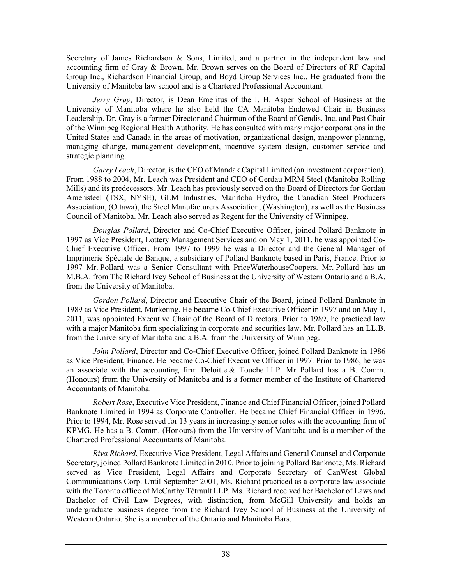Secretary of James Richardson & Sons, Limited, and a partner in the independent law and accounting firm of Gray & Brown. Mr. Brown serves on the Board of Directors of RF Capital Group Inc., Richardson Financial Group, and Boyd Group Services Inc.. He graduated from the University of Manitoba law school and is a Chartered Professional Accountant.

*Jerry Gray*, Director, is Dean Emeritus of the I. H. Asper School of Business at the University of Manitoba where he also held the CA Manitoba Endowed Chair in Business Leadership. Dr. Gray is a former Director and Chairman of the Board of Gendis, Inc. and Past Chair of the Winnipeg Regional Health Authority. He has consulted with many major corporations in the United States and Canada in the areas of motivation, organizational design, manpower planning, managing change, management development, incentive system design, customer service and strategic planning.

*Garry Leach*, Director, is the CEO of Mandak Capital Limited (an investment corporation). From 1988 to 2004, Mr. Leach was President and CEO of Gerdau MRM Steel (Manitoba Rolling Mills) and its predecessors. Mr. Leach has previously served on the Board of Directors for Gerdau Ameristeel (TSX, NYSE), GLM Industries, Manitoba Hydro, the Canadian Steel Producers Association, (Ottawa), the Steel Manufacturers Association, (Washington), as well as the Business Council of Manitoba. Mr. Leach also served as Regent for the University of Winnipeg.

*Douglas Pollard*, Director and Co-Chief Executive Officer, joined Pollard Banknote in 1997 as Vice President, Lottery Management Services and on May 1, 2011, he was appointed Co-Chief Executive Officer. From 1997 to 1999 he was a Director and the General Manager of Imprimerie Spéciale de Banque, a subsidiary of Pollard Banknote based in Paris, France. Prior to 1997 Mr. Pollard was a Senior Consultant with PriceWaterhouseCoopers. Mr. Pollard has an M.B.A. from The Richard Ivey School of Business at the University of Western Ontario and a B.A. from the University of Manitoba.

*Gordon Pollard*, Director and Executive Chair of the Board, joined Pollard Banknote in 1989 as Vice President, Marketing. He became Co-Chief Executive Officer in 1997 and on May 1, 2011, was appointed Executive Chair of the Board of Directors. Prior to 1989, he practiced law with a major Manitoba firm specializing in corporate and securities law. Mr. Pollard has an LL.B. from the University of Manitoba and a B.A. from the University of Winnipeg.

*John Pollard*, Director and Co-Chief Executive Officer, joined Pollard Banknote in 1986 as Vice President, Finance. He became Co-Chief Executive Officer in 1997. Prior to 1986, he was an associate with the accounting firm Deloitte  $&$  Touche LLP. Mr. Pollard has a B. Comm. (Honours) from the University of Manitoba and is a former member of the Institute of Chartered Accountants of Manitoba.

*Robert Rose*, Executive Vice President, Finance and Chief Financial Officer, joined Pollard Banknote Limited in 1994 as Corporate Controller. He became Chief Financial Officer in 1996. Prior to 1994, Mr. Rose served for 13 years in increasingly senior roles with the accounting firm of KPMG. He has a B. Comm. (Honours) from the University of Manitoba and is a member of the Chartered Professional Accountants of Manitoba.

*Riva Richard*, Executive Vice President, Legal Affairs and General Counsel and Corporate Secretary, joined Pollard Banknote Limited in 2010. Prior to joining Pollard Banknote, Ms. Richard served as Vice President, Legal Affairs and Corporate Secretary of CanWest Global Communications Corp. Until September 2001, Ms. Richard practiced as a corporate law associate with the Toronto office of McCarthy Tétrault LLP. Ms. Richard received her Bachelor of Laws and Bachelor of Civil Law Degrees, with distinction, from McGill University and holds an undergraduate business degree from the Richard Ivey School of Business at the University of Western Ontario. She is a member of the Ontario and Manitoba Bars.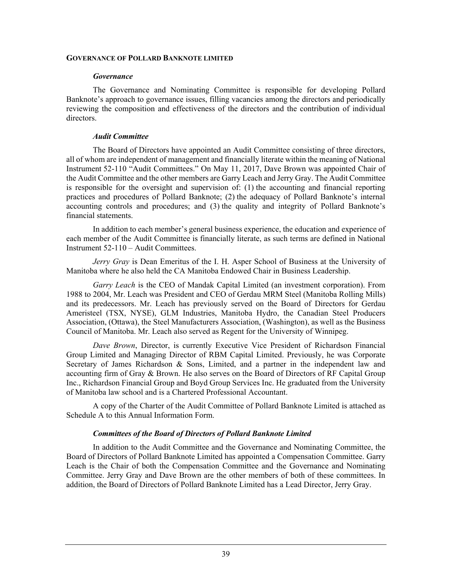#### **GOVERNANCE OF POLLARD BANKNOTE LIMITED**

#### *Governance*

The Governance and Nominating Committee is responsible for developing Pollard Banknote's approach to governance issues, filling vacancies among the directors and periodically reviewing the composition and effectiveness of the directors and the contribution of individual directors.

#### *Audit Committee*

The Board of Directors have appointed an Audit Committee consisting of three directors, all of whom are independent of management and financially literate within the meaning of National Instrument 52-110 "Audit Committees." On May 11, 2017, Dave Brown was appointed Chair of the Audit Committee and the other members are Garry Leach and Jerry Gray. The Audit Committee is responsible for the oversight and supervision of: (1) the accounting and financial reporting practices and procedures of Pollard Banknote; (2) the adequacy of Pollard Banknote's internal accounting controls and procedures; and (3) the quality and integrity of Pollard Banknote's financial statements.

In addition to each member's general business experience, the education and experience of each member of the Audit Committee is financially literate, as such terms are defined in National Instrument 52-110 – Audit Committees.

*Jerry Gray* is Dean Emeritus of the I. H. Asper School of Business at the University of Manitoba where he also held the CA Manitoba Endowed Chair in Business Leadership.

*Garry Leach* is the CEO of Mandak Capital Limited (an investment corporation). From 1988 to 2004, Mr. Leach was President and CEO of Gerdau MRM Steel (Manitoba Rolling Mills) and its predecessors. Mr. Leach has previously served on the Board of Directors for Gerdau Ameristeel (TSX, NYSE), GLM Industries, Manitoba Hydro, the Canadian Steel Producers Association, (Ottawa), the Steel Manufacturers Association, (Washington), as well as the Business Council of Manitoba. Mr. Leach also served as Regent for the University of Winnipeg.

*Dave Brown*, Director, is currently Executive Vice President of Richardson Financial Group Limited and Managing Director of RBM Capital Limited. Previously, he was Corporate Secretary of James Richardson & Sons, Limited, and a partner in the independent law and accounting firm of Gray & Brown. He also serves on the Board of Directors of RF Capital Group Inc., Richardson Financial Group and Boyd Group Services Inc. He graduated from the University of Manitoba law school and is a Chartered Professional Accountant.

A copy of the Charter of the Audit Committee of Pollard Banknote Limited is attached as Schedule A to this Annual Information Form.

#### *Committees of the Board of Directors of Pollard Banknote Limited*

In addition to the Audit Committee and the Governance and Nominating Committee, the Board of Directors of Pollard Banknote Limited has appointed a Compensation Committee. Garry Leach is the Chair of both the Compensation Committee and the Governance and Nominating Committee. Jerry Gray and Dave Brown are the other members of both of these committees. In addition, the Board of Directors of Pollard Banknote Limited has a Lead Director, Jerry Gray.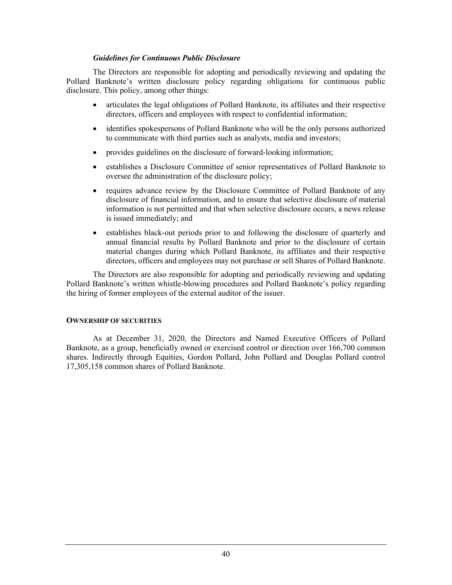#### *Guidelines for Continuous Public Disclosure*

The Directors are responsible for adopting and periodically reviewing and updating the Pollard Banknote's written disclosure policy regarding obligations for continuous public disclosure. This policy, among other things:

- articulates the legal obligations of Pollard Banknote, its affiliates and their respective directors, officers and employees with respect to confidential information;
- identifies spokespersons of Pollard Banknote who will be the only persons authorized to communicate with third parties such as analysts, media and investors;
- provides guidelines on the disclosure of forward-looking information;
- establishes a Disclosure Committee of senior representatives of Pollard Banknote to oversee the administration of the disclosure policy;
- requires advance review by the Disclosure Committee of Pollard Banknote of any disclosure of financial information, and to ensure that selective disclosure of material information is not permitted and that when selective disclosure occurs, a news release is issued immediately; and
- establishes black-out periods prior to and following the disclosure of quarterly and annual financial results by Pollard Banknote and prior to the disclosure of certain material changes during which Pollard Banknote, its affiliates and their respective directors, officers and employees may not purchase or sell Shares of Pollard Banknote.

The Directors are also responsible for adopting and periodically reviewing and updating Pollard Banknote's written whistle-blowing procedures and Pollard Banknote's policy regarding the hiring of former employees of the external auditor of the issuer.

#### **OWNERSHIP OF SECURITIES**

As at December 31, 2020, the Directors and Named Executive Officers of Pollard Banknote, as a group, beneficially owned or exercised control or direction over 166,700 common shares. Indirectly through Equities, Gordon Pollard, John Pollard and Douglas Pollard control 17,305,158 common shares of Pollard Banknote.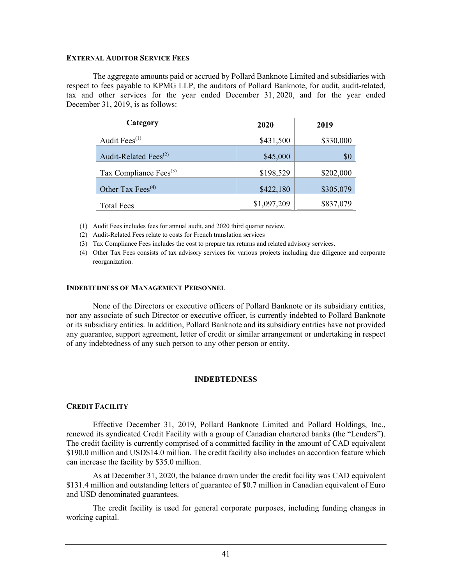#### **EXTERNAL AUDITOR SERVICE FEES**

The aggregate amounts paid or accrued by Pollard Banknote Limited and subsidiaries with respect to fees payable to KPMG LLP, the auditors of Pollard Banknote, for audit, audit-related, tax and other services for the year ended December 31, 2020, and for the year ended December 31, 2019, is as follows:

| Category                                   | 2020        | 2019      |
|--------------------------------------------|-------------|-----------|
| Audit Fees <sup>(1)</sup>                  | \$431,500   | \$330,000 |
| Audit-Related Fees <sup>(2)</sup>          | \$45,000    | \$0       |
| Tax Compliance Fees <sup>(3)</sup>         | \$198,529   | \$202,000 |
| Other Tax Fees <sup><math>(4)</math></sup> | \$422,180   | \$305,079 |
| <b>Total Fees</b>                          | \$1,097,209 | \$837,079 |

(1) Audit Fees includes fees for annual audit, and 2020 third quarter review.

- (2) Audit-Related Fees relate to costs for French translation services
- (3) Tax Compliance Fees includes the cost to prepare tax returns and related advisory services.
- (4) Other Tax Fees consists of tax advisory services for various projects including due diligence and corporate reorganization.

#### **INDEBTEDNESS OF MANAGEMENT PERSONNEL**

None of the Directors or executive officers of Pollard Banknote or its subsidiary entities, nor any associate of such Director or executive officer, is currently indebted to Pollard Banknote or its subsidiary entities. In addition, Pollard Banknote and its subsidiary entities have not provided any guarantee, support agreement, letter of credit or similar arrangement or undertaking in respect of any indebtedness of any such person to any other person or entity.

#### **INDEBTEDNESS**

#### **CREDIT FACILITY**

Effective December 31, 2019, Pollard Banknote Limited and Pollard Holdings, Inc., renewed its syndicated Credit Facility with a group of Canadian chartered banks (the "Lenders"). The credit facility is currently comprised of a committed facility in the amount of CAD equivalent \$190.0 million and USD\$14.0 million. The credit facility also includes an accordion feature which can increase the facility by \$35.0 million.

As at December 31, 2020, the balance drawn under the credit facility was CAD equivalent \$131.4 million and outstanding letters of guarantee of \$0.7 million in Canadian equivalent of Euro and USD denominated guarantees.

The credit facility is used for general corporate purposes, including funding changes in working capital.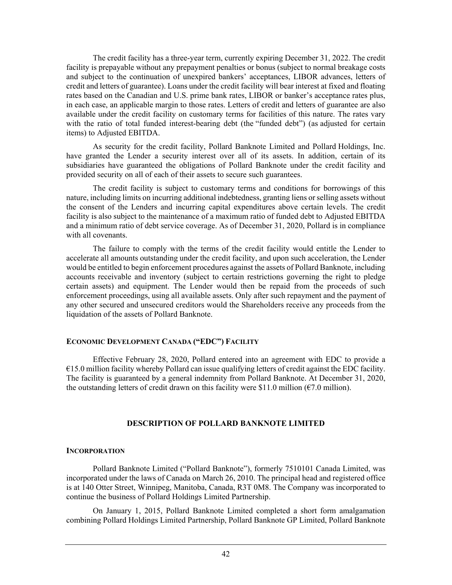The credit facility has a three-year term, currently expiring December 31, 2022. The credit facility is prepayable without any prepayment penalties or bonus (subject to normal breakage costs and subject to the continuation of unexpired bankers' acceptances, LIBOR advances, letters of credit and letters of guarantee). Loans under the credit facility will bear interest at fixed and floating rates based on the Canadian and U.S. prime bank rates, LIBOR or banker's acceptance rates plus, in each case, an applicable margin to those rates. Letters of credit and letters of guarantee are also available under the credit facility on customary terms for facilities of this nature. The rates vary with the ratio of total funded interest-bearing debt (the "funded debt") (as adjusted for certain items) to Adjusted EBITDA.

As security for the credit facility, Pollard Banknote Limited and Pollard Holdings, Inc. have granted the Lender a security interest over all of its assets. In addition, certain of its subsidiaries have guaranteed the obligations of Pollard Banknote under the credit facility and provided security on all of each of their assets to secure such guarantees.

The credit facility is subject to customary terms and conditions for borrowings of this nature, including limits on incurring additional indebtedness, granting liens or selling assets without the consent of the Lenders and incurring capital expenditures above certain levels. The credit facility is also subject to the maintenance of a maximum ratio of funded debt to Adjusted EBITDA and a minimum ratio of debt service coverage. As of December 31, 2020, Pollard is in compliance with all covenants.

The failure to comply with the terms of the credit facility would entitle the Lender to accelerate all amounts outstanding under the credit facility, and upon such acceleration, the Lender would be entitled to begin enforcement procedures against the assets of Pollard Banknote, including accounts receivable and inventory (subject to certain restrictions governing the right to pledge certain assets) and equipment. The Lender would then be repaid from the proceeds of such enforcement proceedings, using all available assets. Only after such repayment and the payment of any other secured and unsecured creditors would the Shareholders receive any proceeds from the liquidation of the assets of Pollard Banknote.

# **ECONOMIC DEVELOPMENT CANADA ("EDC") FACILITY**

Effective February 28, 2020, Pollard entered into an agreement with EDC to provide a  $€15.0$  million facility whereby Pollard can issue qualifying letters of credit against the EDC facility. The facility is guaranteed by a general indemnity from Pollard Banknote. At December 31, 2020, the outstanding letters of credit drawn on this facility were \$11.0 million ( $\epsilon$ 7.0 million).

#### **DESCRIPTION OF POLLARD BANKNOTE LIMITED**

#### **INCORPORATION**

Pollard Banknote Limited ("Pollard Banknote"), formerly 7510101 Canada Limited, was incorporated under the laws of Canada on March 26, 2010. The principal head and registered office is at 140 Otter Street, Winnipeg, Manitoba, Canada, R3T 0M8. The Company was incorporated to continue the business of Pollard Holdings Limited Partnership.

On January 1, 2015, Pollard Banknote Limited completed a short form amalgamation combining Pollard Holdings Limited Partnership, Pollard Banknote GP Limited, Pollard Banknote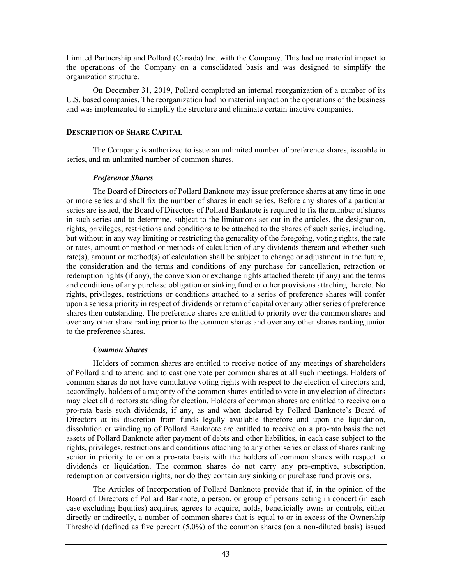Limited Partnership and Pollard (Canada) Inc. with the Company. This had no material impact to the operations of the Company on a consolidated basis and was designed to simplify the organization structure.

On December 31, 2019, Pollard completed an internal reorganization of a number of its U.S. based companies. The reorganization had no material impact on the operations of the business and was implemented to simplify the structure and eliminate certain inactive companies.

#### **DESCRIPTION OF SHARE CAPITAL**

The Company is authorized to issue an unlimited number of preference shares, issuable in series, and an unlimited number of common shares.

# *Preference Shares*

The Board of Directors of Pollard Banknote may issue preference shares at any time in one or more series and shall fix the number of shares in each series. Before any shares of a particular series are issued, the Board of Directors of Pollard Banknote is required to fix the number of shares in such series and to determine, subject to the limitations set out in the articles, the designation, rights, privileges, restrictions and conditions to be attached to the shares of such series, including, but without in any way limiting or restricting the generality of the foregoing, voting rights, the rate or rates, amount or method or methods of calculation of any dividends thereon and whether such rate(s), amount or method(s) of calculation shall be subject to change or adjustment in the future, the consideration and the terms and conditions of any purchase for cancellation, retraction or redemption rights (if any), the conversion or exchange rights attached thereto (if any) and the terms and conditions of any purchase obligation or sinking fund or other provisions attaching thereto. No rights, privileges, restrictions or conditions attached to a series of preference shares will confer upon a series a priority in respect of dividends or return of capital over any other series of preference shares then outstanding. The preference shares are entitled to priority over the common shares and over any other share ranking prior to the common shares and over any other shares ranking junior to the preference shares.

# *Common Shares*

Holders of common shares are entitled to receive notice of any meetings of shareholders of Pollard and to attend and to cast one vote per common shares at all such meetings. Holders of common shares do not have cumulative voting rights with respect to the election of directors and, accordingly, holders of a majority of the common shares entitled to vote in any election of directors may elect all directors standing for election. Holders of common shares are entitled to receive on a pro-rata basis such dividends, if any, as and when declared by Pollard Banknote's Board of Directors at its discretion from funds legally available therefore and upon the liquidation, dissolution or winding up of Pollard Banknote are entitled to receive on a pro-rata basis the net assets of Pollard Banknote after payment of debts and other liabilities, in each case subject to the rights, privileges, restrictions and conditions attaching to any other series or class of shares ranking senior in priority to or on a pro-rata basis with the holders of common shares with respect to dividends or liquidation. The common shares do not carry any pre-emptive, subscription, redemption or conversion rights, nor do they contain any sinking or purchase fund provisions.

The Articles of Incorporation of Pollard Banknote provide that if, in the opinion of the Board of Directors of Pollard Banknote, a person, or group of persons acting in concert (in each case excluding Equities) acquires, agrees to acquire, holds, beneficially owns or controls, either directly or indirectly, a number of common shares that is equal to or in excess of the Ownership Threshold (defined as five percent (5.0%) of the common shares (on a non-diluted basis) issued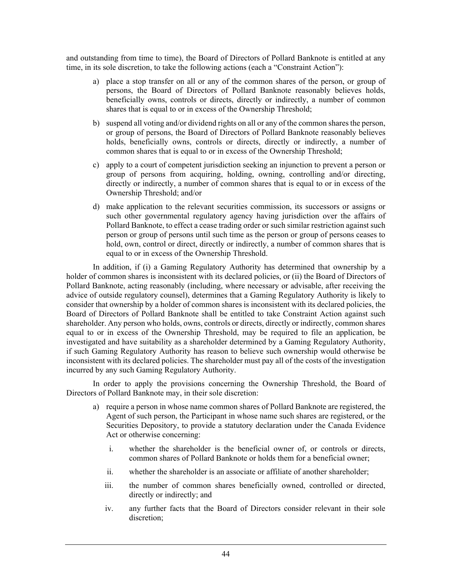and outstanding from time to time), the Board of Directors of Pollard Banknote is entitled at any time, in its sole discretion, to take the following actions (each a "Constraint Action"):

- a) place a stop transfer on all or any of the common shares of the person, or group of persons, the Board of Directors of Pollard Banknote reasonably believes holds, beneficially owns, controls or directs, directly or indirectly, a number of common shares that is equal to or in excess of the Ownership Threshold;
- b) suspend all voting and/or dividend rights on all or any of the common shares the person, or group of persons, the Board of Directors of Pollard Banknote reasonably believes holds, beneficially owns, controls or directs, directly or indirectly, a number of common shares that is equal to or in excess of the Ownership Threshold;
- c) apply to a court of competent jurisdiction seeking an injunction to prevent a person or group of persons from acquiring, holding, owning, controlling and/or directing, directly or indirectly, a number of common shares that is equal to or in excess of the Ownership Threshold; and/or
- d) make application to the relevant securities commission, its successors or assigns or such other governmental regulatory agency having jurisdiction over the affairs of Pollard Banknote, to effect a cease trading order or such similar restriction against such person or group of persons until such time as the person or group of persons ceases to hold, own, control or direct, directly or indirectly, a number of common shares that is equal to or in excess of the Ownership Threshold.

In addition, if (i) a Gaming Regulatory Authority has determined that ownership by a holder of common shares is inconsistent with its declared policies, or (ii) the Board of Directors of Pollard Banknote, acting reasonably (including, where necessary or advisable, after receiving the advice of outside regulatory counsel), determines that a Gaming Regulatory Authority is likely to consider that ownership by a holder of common shares is inconsistent with its declared policies, the Board of Directors of Pollard Banknote shall be entitled to take Constraint Action against such shareholder. Any person who holds, owns, controls or directs, directly or indirectly, common shares equal to or in excess of the Ownership Threshold, may be required to file an application, be investigated and have suitability as a shareholder determined by a Gaming Regulatory Authority, if such Gaming Regulatory Authority has reason to believe such ownership would otherwise be inconsistent with its declared policies. The shareholder must pay all of the costs of the investigation incurred by any such Gaming Regulatory Authority.

In order to apply the provisions concerning the Ownership Threshold, the Board of Directors of Pollard Banknote may, in their sole discretion:

- a) require a person in whose name common shares of Pollard Banknote are registered, the Agent of such person, the Participant in whose name such shares are registered, or the Securities Depository, to provide a statutory declaration under the Canada Evidence Act or otherwise concerning:
	- i. whether the shareholder is the beneficial owner of, or controls or directs, common shares of Pollard Banknote or holds them for a beneficial owner;
	- ii. whether the shareholder is an associate or affiliate of another shareholder;
	- iii. the number of common shares beneficially owned, controlled or directed, directly or indirectly; and
	- iv. any further facts that the Board of Directors consider relevant in their sole discretion;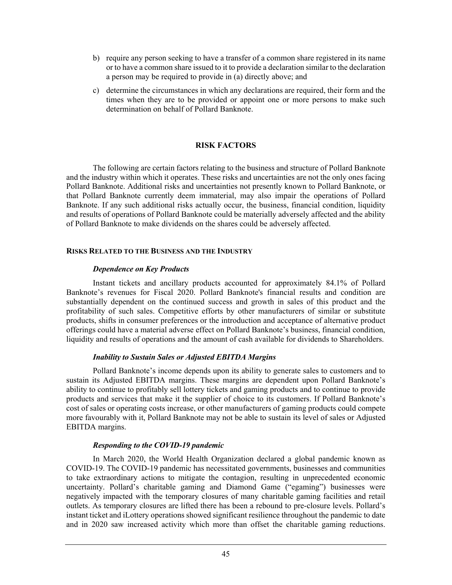- b) require any person seeking to have a transfer of a common share registered in its name or to have a common share issued to it to provide a declaration similar to the declaration a person may be required to provide in (a) directly above; and
- c) determine the circumstances in which any declarations are required, their form and the times when they are to be provided or appoint one or more persons to make such determination on behalf of Pollard Banknote.

#### **RISK FACTORS**

The following are certain factors relating to the business and structure of Pollard Banknote and the industry within which it operates. These risks and uncertainties are not the only ones facing Pollard Banknote. Additional risks and uncertainties not presently known to Pollard Banknote, or that Pollard Banknote currently deem immaterial, may also impair the operations of Pollard Banknote. If any such additional risks actually occur, the business, financial condition, liquidity and results of operations of Pollard Banknote could be materially adversely affected and the ability of Pollard Banknote to make dividends on the shares could be adversely affected.

#### **RISKS RELATED TO THE BUSINESS AND THE INDUSTRY**

#### *Dependence on Key Products*

Instant tickets and ancillary products accounted for approximately 84.1% of Pollard Banknote's revenues for Fiscal 2020. Pollard Banknote's financial results and condition are substantially dependent on the continued success and growth in sales of this product and the profitability of such sales. Competitive efforts by other manufacturers of similar or substitute products, shifts in consumer preferences or the introduction and acceptance of alternative product offerings could have a material adverse effect on Pollard Banknote's business, financial condition, liquidity and results of operations and the amount of cash available for dividends to Shareholders.

# *Inability to Sustain Sales or Adjusted EBITDA Margins*

Pollard Banknote's income depends upon its ability to generate sales to customers and to sustain its Adjusted EBITDA margins. These margins are dependent upon Pollard Banknote's ability to continue to profitably sell lottery tickets and gaming products and to continue to provide products and services that make it the supplier of choice to its customers. If Pollard Banknote's cost of sales or operating costs increase, or other manufacturers of gaming products could compete more favourably with it, Pollard Banknote may not be able to sustain its level of sales or Adjusted EBITDA margins.

# *Responding to the COVID-19 pandemic*

In March 2020, the World Health Organization declared a global pandemic known as COVID-19. The COVID-19 pandemic has necessitated governments, businesses and communities to take extraordinary actions to mitigate the contagion, resulting in unprecedented economic uncertainty. Pollard's charitable gaming and Diamond Game ("egaming") businesses were negatively impacted with the temporary closures of many charitable gaming facilities and retail outlets. As temporary closures are lifted there has been a rebound to pre-closure levels. Pollard's instant ticket and iLottery operations showed significant resilience throughout the pandemic to date and in 2020 saw increased activity which more than offset the charitable gaming reductions.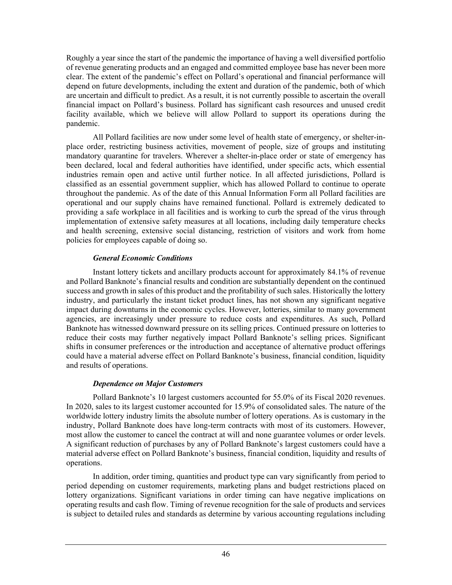Roughly a year since the start of the pandemic the importance of having a well diversified portfolio of revenue generating products and an engaged and committed employee base has never been more clear. The extent of the pandemic's effect on Pollard's operational and financial performance will depend on future developments, including the extent and duration of the pandemic, both of which are uncertain and difficult to predict. As a result, it is not currently possible to ascertain the overall financial impact on Pollard's business. Pollard has significant cash resources and unused credit facility available, which we believe will allow Pollard to support its operations during the pandemic.

All Pollard facilities are now under some level of health state of emergency, or shelter-inplace order, restricting business activities, movement of people, size of groups and instituting mandatory quarantine for travelers. Wherever a shelter-in-place order or state of emergency has been declared, local and federal authorities have identified, under specific acts, which essential industries remain open and active until further notice. In all affected jurisdictions, Pollard is classified as an essential government supplier, which has allowed Pollard to continue to operate throughout the pandemic. As of the date of this Annual Information Form all Pollard facilities are operational and our supply chains have remained functional. Pollard is extremely dedicated to providing a safe workplace in all facilities and is working to curb the spread of the virus through implementation of extensive safety measures at all locations, including daily temperature checks and health screening, extensive social distancing, restriction of visitors and work from home policies for employees capable of doing so.

# *General Economic Conditions*

Instant lottery tickets and ancillary products account for approximately 84.1% of revenue and Pollard Banknote's financial results and condition are substantially dependent on the continued success and growth in sales of this product and the profitability of such sales. Historically the lottery industry, and particularly the instant ticket product lines, has not shown any significant negative impact during downturns in the economic cycles. However, lotteries, similar to many government agencies, are increasingly under pressure to reduce costs and expenditures. As such, Pollard Banknote has witnessed downward pressure on its selling prices. Continued pressure on lotteries to reduce their costs may further negatively impact Pollard Banknote's selling prices. Significant shifts in consumer preferences or the introduction and acceptance of alternative product offerings could have a material adverse effect on Pollard Banknote's business, financial condition, liquidity and results of operations.

# *Dependence on Major Customers*

Pollard Banknote's 10 largest customers accounted for 55.0% of its Fiscal 2020 revenues. In 2020, sales to its largest customer accounted for 15.9% of consolidated sales. The nature of the worldwide lottery industry limits the absolute number of lottery operations. As is customary in the industry, Pollard Banknote does have long-term contracts with most of its customers. However, most allow the customer to cancel the contract at will and none guarantee volumes or order levels. A significant reduction of purchases by any of Pollard Banknote's largest customers could have a material adverse effect on Pollard Banknote's business, financial condition, liquidity and results of operations.

In addition, order timing, quantities and product type can vary significantly from period to period depending on customer requirements, marketing plans and budget restrictions placed on lottery organizations. Significant variations in order timing can have negative implications on operating results and cash flow. Timing of revenue recognition for the sale of products and services is subject to detailed rules and standards as determine by various accounting regulations including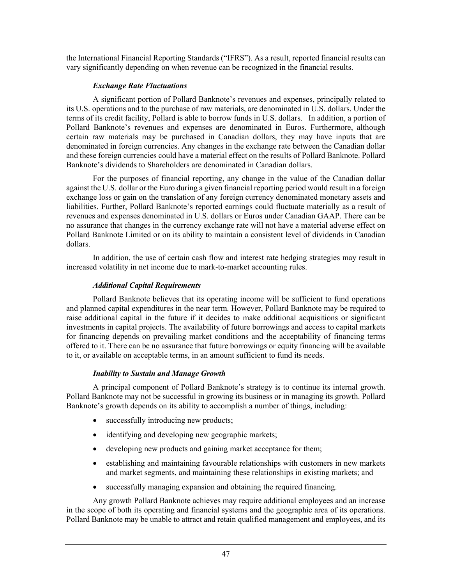the International Financial Reporting Standards ("IFRS"). As a result, reported financial results can vary significantly depending on when revenue can be recognized in the financial results.

# *Exchange Rate Fluctuations*

A significant portion of Pollard Banknote's revenues and expenses, principally related to its U.S. operations and to the purchase of raw materials, are denominated in U.S. dollars. Under the terms of its credit facility, Pollard is able to borrow funds in U.S. dollars. In addition, a portion of Pollard Banknote's revenues and expenses are denominated in Euros. Furthermore, although certain raw materials may be purchased in Canadian dollars, they may have inputs that are denominated in foreign currencies. Any changes in the exchange rate between the Canadian dollar and these foreign currencies could have a material effect on the results of Pollard Banknote. Pollard Banknote's dividends to Shareholders are denominated in Canadian dollars.

For the purposes of financial reporting, any change in the value of the Canadian dollar against the U.S. dollar or the Euro during a given financial reporting period would result in a foreign exchange loss or gain on the translation of any foreign currency denominated monetary assets and liabilities. Further, Pollard Banknote's reported earnings could fluctuate materially as a result of revenues and expenses denominated in U.S. dollars or Euros under Canadian GAAP. There can be no assurance that changes in the currency exchange rate will not have a material adverse effect on Pollard Banknote Limited or on its ability to maintain a consistent level of dividends in Canadian dollars.

In addition, the use of certain cash flow and interest rate hedging strategies may result in increased volatility in net income due to mark-to-market accounting rules.

# *Additional Capital Requirements*

Pollard Banknote believes that its operating income will be sufficient to fund operations and planned capital expenditures in the near term. However, Pollard Banknote may be required to raise additional capital in the future if it decides to make additional acquisitions or significant investments in capital projects. The availability of future borrowings and access to capital markets for financing depends on prevailing market conditions and the acceptability of financing terms offered to it. There can be no assurance that future borrowings or equity financing will be available to it, or available on acceptable terms, in an amount sufficient to fund its needs.

# *Inability to Sustain and Manage Growth*

A principal component of Pollard Banknote's strategy is to continue its internal growth. Pollard Banknote may not be successful in growing its business or in managing its growth. Pollard Banknote's growth depends on its ability to accomplish a number of things, including:

- successfully introducing new products;
- identifying and developing new geographic markets;
- developing new products and gaining market acceptance for them;
- establishing and maintaining favourable relationships with customers in new markets and market segments, and maintaining these relationships in existing markets; and
- successfully managing expansion and obtaining the required financing.

Any growth Pollard Banknote achieves may require additional employees and an increase in the scope of both its operating and financial systems and the geographic area of its operations. Pollard Banknote may be unable to attract and retain qualified management and employees, and its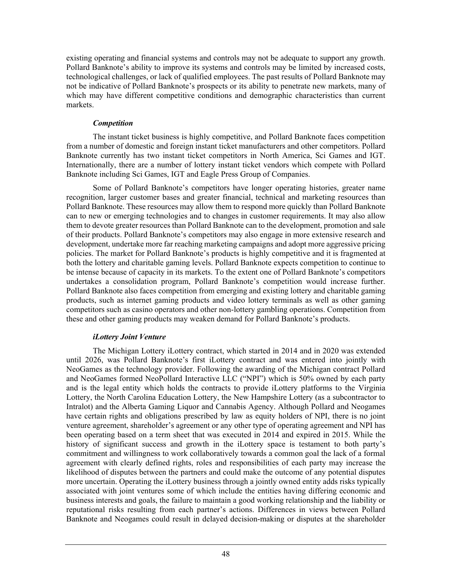existing operating and financial systems and controls may not be adequate to support any growth. Pollard Banknote's ability to improve its systems and controls may be limited by increased costs, technological challenges, or lack of qualified employees. The past results of Pollard Banknote may not be indicative of Pollard Banknote's prospects or its ability to penetrate new markets, many of which may have different competitive conditions and demographic characteristics than current markets.

#### *Competition*

The instant ticket business is highly competitive, and Pollard Banknote faces competition from a number of domestic and foreign instant ticket manufacturers and other competitors. Pollard Banknote currently has two instant ticket competitors in North America, Sci Games and IGT. Internationally, there are a number of lottery instant ticket vendors which compete with Pollard Banknote including Sci Games, IGT and Eagle Press Group of Companies.

Some of Pollard Banknote's competitors have longer operating histories, greater name recognition, larger customer bases and greater financial, technical and marketing resources than Pollard Banknote. These resources may allow them to respond more quickly than Pollard Banknote can to new or emerging technologies and to changes in customer requirements. It may also allow them to devote greater resources than Pollard Banknote can to the development, promotion and sale of their products. Pollard Banknote's competitors may also engage in more extensive research and development, undertake more far reaching marketing campaigns and adopt more aggressive pricing policies. The market for Pollard Banknote's products is highly competitive and it is fragmented at both the lottery and charitable gaming levels. Pollard Banknote expects competition to continue to be intense because of capacity in its markets. To the extent one of Pollard Banknote's competitors undertakes a consolidation program, Pollard Banknote's competition would increase further. Pollard Banknote also faces competition from emerging and existing lottery and charitable gaming products, such as internet gaming products and video lottery terminals as well as other gaming competitors such as casino operators and other non-lottery gambling operations. Competition from these and other gaming products may weaken demand for Pollard Banknote's products.

# *iLottery Joint Venture*

The Michigan Lottery iLottery contract, which started in 2014 and in 2020 was extended until 2026, was Pollard Banknote's first iLottery contract and was entered into jointly with NeoGames as the technology provider. Following the awarding of the Michigan contract Pollard and NeoGames formed NeoPollard Interactive LLC ("NPI") which is 50% owned by each party and is the legal entity which holds the contracts to provide iLottery platforms to the Virginia Lottery, the North Carolina Education Lottery, the New Hampshire Lottery (as a subcontractor to Intralot) and the Alberta Gaming Liquor and Cannabis Agency. Although Pollard and Neogames have certain rights and obligations prescribed by law as equity holders of NPI, there is no joint venture agreement, shareholder's agreement or any other type of operating agreement and NPI has been operating based on a term sheet that was executed in 2014 and expired in 2015. While the history of significant success and growth in the iLottery space is testament to both party's commitment and willingness to work collaboratively towards a common goal the lack of a formal agreement with clearly defined rights, roles and responsibilities of each party may increase the likelihood of disputes between the partners and could make the outcome of any potential disputes more uncertain. Operating the iLottery business through a jointly owned entity adds risks typically associated with joint ventures some of which include the entities having differing economic and business interests and goals, the failure to maintain a good working relationship and the liability or reputational risks resulting from each partner's actions. Differences in views between Pollard Banknote and Neogames could result in delayed decision-making or disputes at the shareholder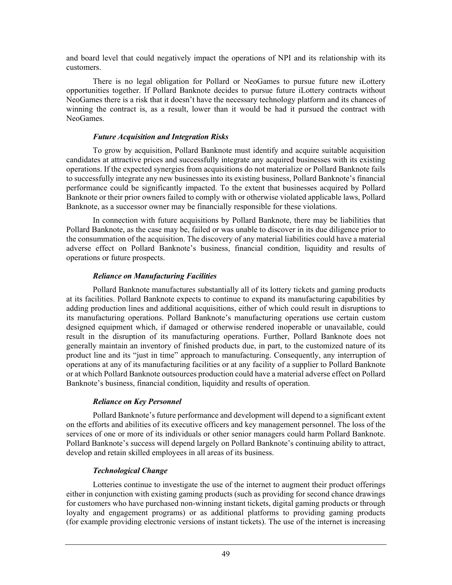and board level that could negatively impact the operations of NPI and its relationship with its customers.

There is no legal obligation for Pollard or NeoGames to pursue future new iLottery opportunities together. If Pollard Banknote decides to pursue future iLottery contracts without NeoGames there is a risk that it doesn't have the necessary technology platform and its chances of winning the contract is, as a result, lower than it would be had it pursued the contract with NeoGames.

# *Future Acquisition and Integration Risks*

To grow by acquisition, Pollard Banknote must identify and acquire suitable acquisition candidates at attractive prices and successfully integrate any acquired businesses with its existing operations. If the expected synergies from acquisitions do not materialize or Pollard Banknote fails to successfully integrate any new businesses into its existing business, Pollard Banknote's financial performance could be significantly impacted. To the extent that businesses acquired by Pollard Banknote or their prior owners failed to comply with or otherwise violated applicable laws, Pollard Banknote, as a successor owner may be financially responsible for these violations.

In connection with future acquisitions by Pollard Banknote, there may be liabilities that Pollard Banknote, as the case may be, failed or was unable to discover in its due diligence prior to the consummation of the acquisition. The discovery of any material liabilities could have a material adverse effect on Pollard Banknote's business, financial condition, liquidity and results of operations or future prospects.

# *Reliance on Manufacturing Facilities*

Pollard Banknote manufactures substantially all of its lottery tickets and gaming products at its facilities. Pollard Banknote expects to continue to expand its manufacturing capabilities by adding production lines and additional acquisitions, either of which could result in disruptions to its manufacturing operations. Pollard Banknote's manufacturing operations use certain custom designed equipment which, if damaged or otherwise rendered inoperable or unavailable, could result in the disruption of its manufacturing operations. Further, Pollard Banknote does not generally maintain an inventory of finished products due, in part, to the customized nature of its product line and its "just in time" approach to manufacturing. Consequently, any interruption of operations at any of its manufacturing facilities or at any facility of a supplier to Pollard Banknote or at which Pollard Banknote outsources production could have a material adverse effect on Pollard Banknote's business, financial condition, liquidity and results of operation.

# *Reliance on Key Personnel*

Pollard Banknote's future performance and development will depend to a significant extent on the efforts and abilities of its executive officers and key management personnel. The loss of the services of one or more of its individuals or other senior managers could harm Pollard Banknote. Pollard Banknote's success will depend largely on Pollard Banknote's continuing ability to attract, develop and retain skilled employees in all areas of its business.

# *Technological Change*

Lotteries continue to investigate the use of the internet to augment their product offerings either in conjunction with existing gaming products (such as providing for second chance drawings for customers who have purchased non-winning instant tickets, digital gaming products or through loyalty and engagement programs) or as additional platforms to providing gaming products (for example providing electronic versions of instant tickets). The use of the internet is increasing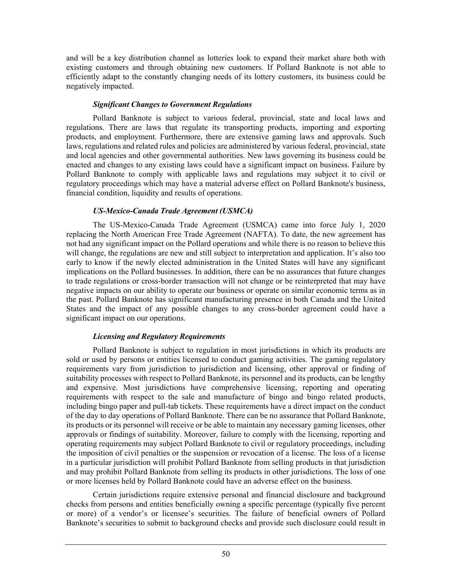and will be a key distribution channel as lotteries look to expand their market share both with existing customers and through obtaining new customers. If Pollard Banknote is not able to efficiently adapt to the constantly changing needs of its lottery customers, its business could be negatively impacted.

#### *Significant Changes to Government Regulations*

Pollard Banknote is subject to various federal, provincial, state and local laws and regulations. There are laws that regulate its transporting products, importing and exporting products, and employment. Furthermore, there are extensive gaming laws and approvals. Such laws, regulations and related rules and policies are administered by various federal, provincial, state and local agencies and other governmental authorities. New laws governing its business could be enacted and changes to any existing laws could have a significant impact on business. Failure by Pollard Banknote to comply with applicable laws and regulations may subject it to civil or regulatory proceedings which may have a material adverse effect on Pollard Banknote's business, financial condition, liquidity and results of operations.

# *US-Mexico-Canada Trade Agreement (USMCA)*

 The US-Mexico-Canada Trade Agreement (USMCA) came into force July 1, 2020 replacing the North American Free Trade Agreement (NAFTA). To date, the new agreement has not had any significant impact on the Pollard operations and while there is no reason to believe this will change, the regulations are new and still subject to interpretation and application. It's also too early to know if the newly elected administration in the United States will have any significant implications on the Pollard businesses. In addition, there can be no assurances that future changes to trade regulations or cross-border transaction will not change or be reinterpreted that may have negative impacts on our ability to operate our business or operate on similar economic terms as in the past. Pollard Banknote has significant manufacturing presence in both Canada and the United States and the impact of any possible changes to any cross-border agreement could have a significant impact on our operations.

# *Licensing and Regulatory Requirements*

Pollard Banknote is subject to regulation in most jurisdictions in which its products are sold or used by persons or entities licensed to conduct gaming activities. The gaming regulatory requirements vary from jurisdiction to jurisdiction and licensing, other approval or finding of suitability processes with respect to Pollard Banknote, its personnel and its products, can be lengthy and expensive. Most jurisdictions have comprehensive licensing, reporting and operating requirements with respect to the sale and manufacture of bingo and bingo related products, including bingo paper and pull-tab tickets. These requirements have a direct impact on the conduct of the day to day operations of Pollard Banknote. There can be no assurance that Pollard Banknote, its products or its personnel will receive or be able to maintain any necessary gaming licenses, other approvals or findings of suitability. Moreover, failure to comply with the licensing, reporting and operating requirements may subject Pollard Banknote to civil or regulatory proceedings, including the imposition of civil penalties or the suspension or revocation of a license. The loss of a license in a particular jurisdiction will prohibit Pollard Banknote from selling products in that jurisdiction and may prohibit Pollard Banknote from selling its products in other jurisdictions. The loss of one or more licenses held by Pollard Banknote could have an adverse effect on the business.

Certain jurisdictions require extensive personal and financial disclosure and background checks from persons and entities beneficially owning a specific percentage (typically five percent or more) of a vendor's or licensee's securities. The failure of beneficial owners of Pollard Banknote's securities to submit to background checks and provide such disclosure could result in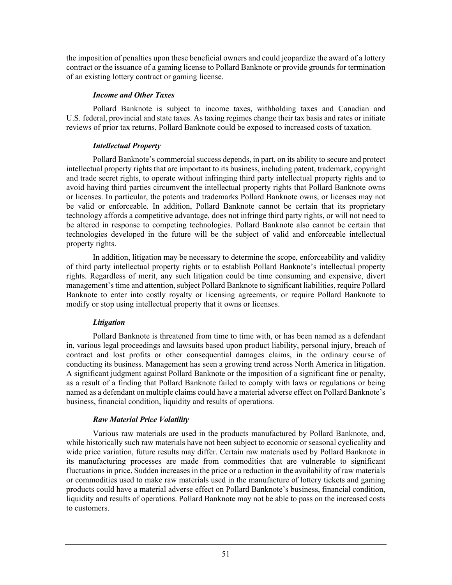the imposition of penalties upon these beneficial owners and could jeopardize the award of a lottery contract or the issuance of a gaming license to Pollard Banknote or provide grounds for termination of an existing lottery contract or gaming license.

# *Income and Other Taxes*

Pollard Banknote is subject to income taxes, withholding taxes and Canadian and U.S. federal, provincial and state taxes. As taxing regimes change their tax basis and rates or initiate reviews of prior tax returns, Pollard Banknote could be exposed to increased costs of taxation.

# *Intellectual Property*

Pollard Banknote's commercial success depends, in part, on its ability to secure and protect intellectual property rights that are important to its business, including patent, trademark, copyright and trade secret rights, to operate without infringing third party intellectual property rights and to avoid having third parties circumvent the intellectual property rights that Pollard Banknote owns or licenses. In particular, the patents and trademarks Pollard Banknote owns, or licenses may not be valid or enforceable. In addition, Pollard Banknote cannot be certain that its proprietary technology affords a competitive advantage, does not infringe third party rights, or will not need to be altered in response to competing technologies. Pollard Banknote also cannot be certain that technologies developed in the future will be the subject of valid and enforceable intellectual property rights.

In addition, litigation may be necessary to determine the scope, enforceability and validity of third party intellectual property rights or to establish Pollard Banknote's intellectual property rights. Regardless of merit, any such litigation could be time consuming and expensive, divert management's time and attention, subject Pollard Banknote to significant liabilities, require Pollard Banknote to enter into costly royalty or licensing agreements, or require Pollard Banknote to modify or stop using intellectual property that it owns or licenses.

# *Litigation*

Pollard Banknote is threatened from time to time with, or has been named as a defendant in, various legal proceedings and lawsuits based upon product liability, personal injury, breach of contract and lost profits or other consequential damages claims, in the ordinary course of conducting its business. Management has seen a growing trend across North America in litigation. A significant judgment against Pollard Banknote or the imposition of a significant fine or penalty, as a result of a finding that Pollard Banknote failed to comply with laws or regulations or being named as a defendant on multiple claims could have a material adverse effect on Pollard Banknote's business, financial condition, liquidity and results of operations.

# *Raw Material Price Volatility*

Various raw materials are used in the products manufactured by Pollard Banknote, and, while historically such raw materials have not been subject to economic or seasonal cyclicality and wide price variation, future results may differ. Certain raw materials used by Pollard Banknote in its manufacturing processes are made from commodities that are vulnerable to significant fluctuations in price. Sudden increases in the price or a reduction in the availability of raw materials or commodities used to make raw materials used in the manufacture of lottery tickets and gaming products could have a material adverse effect on Pollard Banknote's business, financial condition, liquidity and results of operations. Pollard Banknote may not be able to pass on the increased costs to customers.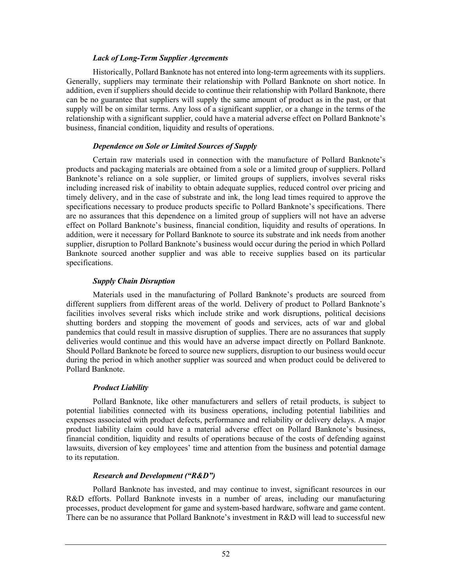#### *Lack of Long-Term Supplier Agreements*

Historically, Pollard Banknote has not entered into long-term agreements with its suppliers. Generally, suppliers may terminate their relationship with Pollard Banknote on short notice. In addition, even if suppliers should decide to continue their relationship with Pollard Banknote, there can be no guarantee that suppliers will supply the same amount of product as in the past, or that supply will be on similar terms. Any loss of a significant supplier, or a change in the terms of the relationship with a significant supplier, could have a material adverse effect on Pollard Banknote's business, financial condition, liquidity and results of operations.

#### *Dependence on Sole or Limited Sources of Supply*

Certain raw materials used in connection with the manufacture of Pollard Banknote's products and packaging materials are obtained from a sole or a limited group of suppliers. Pollard Banknote's reliance on a sole supplier, or limited groups of suppliers, involves several risks including increased risk of inability to obtain adequate supplies, reduced control over pricing and timely delivery, and in the case of substrate and ink, the long lead times required to approve the specifications necessary to produce products specific to Pollard Banknote's specifications. There are no assurances that this dependence on a limited group of suppliers will not have an adverse effect on Pollard Banknote's business, financial condition, liquidity and results of operations. In addition, were it necessary for Pollard Banknote to source its substrate and ink needs from another supplier, disruption to Pollard Banknote's business would occur during the period in which Pollard Banknote sourced another supplier and was able to receive supplies based on its particular specifications.

# *Supply Chain Disruption*

Materials used in the manufacturing of Pollard Banknote's products are sourced from different suppliers from different areas of the world. Delivery of product to Pollard Banknote's facilities involves several risks which include strike and work disruptions, political decisions shutting borders and stopping the movement of goods and services, acts of war and global pandemics that could result in massive disruption of supplies. There are no assurances that supply deliveries would continue and this would have an adverse impact directly on Pollard Banknote. Should Pollard Banknote be forced to source new suppliers, disruption to our business would occur during the period in which another supplier was sourced and when product could be delivered to Pollard Banknote.

# *Product Liability*

Pollard Banknote, like other manufacturers and sellers of retail products, is subject to potential liabilities connected with its business operations, including potential liabilities and expenses associated with product defects, performance and reliability or delivery delays. A major product liability claim could have a material adverse effect on Pollard Banknote's business, financial condition, liquidity and results of operations because of the costs of defending against lawsuits, diversion of key employees' time and attention from the business and potential damage to its reputation.

# *Research and Development ("R&D")*

Pollard Banknote has invested, and may continue to invest, significant resources in our R&D efforts. Pollard Banknote invests in a number of areas, including our manufacturing processes, product development for game and system-based hardware, software and game content. There can be no assurance that Pollard Banknote's investment in R&D will lead to successful new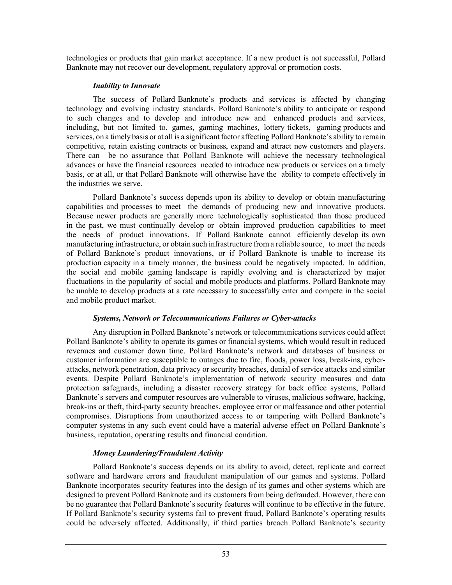technologies or products that gain market acceptance. If a new product is not successful, Pollard Banknote may not recover our development, regulatory approval or promotion costs.

# *Inability to Innovate*

The success of Pollard Banknote's products and services is affected by changing technology and evolving industry standards. Pollard Banknote's ability to anticipate or respond to such changes and to develop and introduce new and enhanced products and services, including, but not limited to, games, gaming machines, lottery tickets, gaming products and services, on a timely basis or at all is a significant factor affecting Pollard Banknote's ability to remain competitive, retain existing contracts or business, expand and attract new customers and players. There can be no assurance that Pollard Banknote will achieve the necessary technological advances or have the financial resources needed to introduce new products or services on a timely basis, or at all, or that Pollard Banknote will otherwise have the ability to compete effectively in the industries we serve.

Pollard Banknote's success depends upon its ability to develop or obtain manufacturing capabilities and processes to meet the demands of producing new and innovative products. Because newer products are generally more technologically sophisticated than those produced in the past, we must continually develop or obtain improved production capabilities to meet the needs of product innovations. If Pollard Banknote cannot efficiently develop its own manufacturing infrastructure, or obtain such infrastructure from a reliable source, to meet the needs of Pollard Banknote's product innovations, or if Pollard Banknote is unable to increase its production capacity in a timely manner, the business could be negatively impacted. In addition, the social and mobile gaming landscape is rapidly evolving and is characterized by major fluctuations in the popularity of social and mobile products and platforms. Pollard Banknote may be unable to develop products at a rate necessary to successfully enter and compete in the social and mobile product market.

# *Systems, Network or Telecommunications Failures or Cyber-attacks*

Any disruption in Pollard Banknote's network or telecommunications services could affect Pollard Banknote's ability to operate its games or financial systems, which would result in reduced revenues and customer down time. Pollard Banknote's network and databases of business or customer information are susceptible to outages due to fire, floods, power loss, break-ins, cyberattacks, network penetration, data privacy or security breaches, denial of service attacks and similar events. Despite Pollard Banknote's implementation of network security measures and data protection safeguards, including a disaster recovery strategy for back office systems, Pollard Banknote's servers and computer resources are vulnerable to viruses, malicious software, hacking, break-ins or theft, third-party security breaches, employee error or malfeasance and other potential compromises. Disruptions from unauthorized access to or tampering with Pollard Banknote's computer systems in any such event could have a material adverse effect on Pollard Banknote's business, reputation, operating results and financial condition.

# *Money Laundering/Fraudulent Activity*

Pollard Banknote's success depends on its ability to avoid, detect, replicate and correct software and hardware errors and fraudulent manipulation of our games and systems. Pollard Banknote incorporates security features into the design of its games and other systems which are designed to prevent Pollard Banknote and its customers from being defrauded. However, there can be no guarantee that Pollard Banknote's security features will continue to be effective in the future. If Pollard Banknote's security systems fail to prevent fraud, Pollard Banknote's operating results could be adversely affected. Additionally, if third parties breach Pollard Banknote's security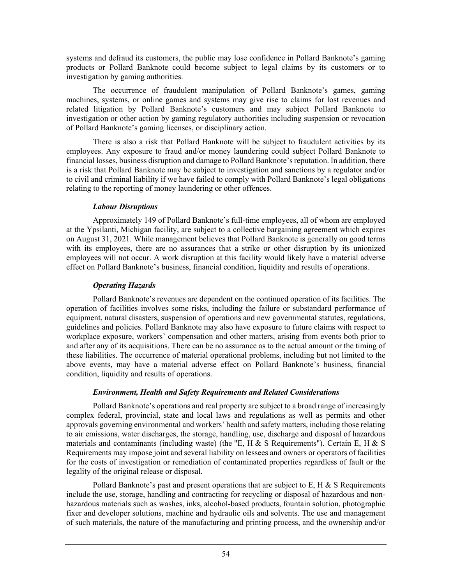systems and defraud its customers, the public may lose confidence in Pollard Banknote's gaming products or Pollard Banknote could become subject to legal claims by its customers or to investigation by gaming authorities.

The occurrence of fraudulent manipulation of Pollard Banknote's games, gaming machines, systems, or online games and systems may give rise to claims for lost revenues and related litigation by Pollard Banknote's customers and may subject Pollard Banknote to investigation or other action by gaming regulatory authorities including suspension or revocation of Pollard Banknote's gaming licenses, or disciplinary action.

There is also a risk that Pollard Banknote will be subject to fraudulent activities by its employees. Any exposure to fraud and/or money laundering could subject Pollard Banknote to financial losses, business disruption and damage to Pollard Banknote's reputation. In addition, there is a risk that Pollard Banknote may be subject to investigation and sanctions by a regulator and/or to civil and criminal liability if we have failed to comply with Pollard Banknote's legal obligations relating to the reporting of money laundering or other offences.

# *Labour Disruptions*

Approximately 149 of Pollard Banknote's full-time employees, all of whom are employed at the Ypsilanti, Michigan facility, are subject to a collective bargaining agreement which expires on August 31, 2021. While management believes that Pollard Banknote is generally on good terms with its employees, there are no assurances that a strike or other disruption by its unionized employees will not occur. A work disruption at this facility would likely have a material adverse effect on Pollard Banknote's business, financial condition, liquidity and results of operations.

# *Operating Hazards*

Pollard Banknote's revenues are dependent on the continued operation of its facilities. The operation of facilities involves some risks, including the failure or substandard performance of equipment, natural disasters, suspension of operations and new governmental statutes, regulations, guidelines and policies. Pollard Banknote may also have exposure to future claims with respect to workplace exposure, workers' compensation and other matters, arising from events both prior to and after any of its acquisitions. There can be no assurance as to the actual amount or the timing of these liabilities. The occurrence of material operational problems, including but not limited to the above events, may have a material adverse effect on Pollard Banknote's business, financial condition, liquidity and results of operations.

# *Environment, Health and Safety Requirements and Related Considerations*

Pollard Banknote's operations and real property are subject to a broad range of increasingly complex federal, provincial, state and local laws and regulations as well as permits and other approvals governing environmental and workers' health and safety matters, including those relating to air emissions, water discharges, the storage, handling, use, discharge and disposal of hazardous materials and contaminants (including waste) (the "E, H  $\&$  S Requirements"). Certain E, H  $\&$  S Requirements may impose joint and several liability on lessees and owners or operators of facilities for the costs of investigation or remediation of contaminated properties regardless of fault or the legality of the original release or disposal.

Pollard Banknote's past and present operations that are subject to E, H  $&$  S Requirements include the use, storage, handling and contracting for recycling or disposal of hazardous and nonhazardous materials such as washes, inks, alcohol-based products, fountain solution, photographic fixer and developer solutions, machine and hydraulic oils and solvents. The use and management of such materials, the nature of the manufacturing and printing process, and the ownership and/or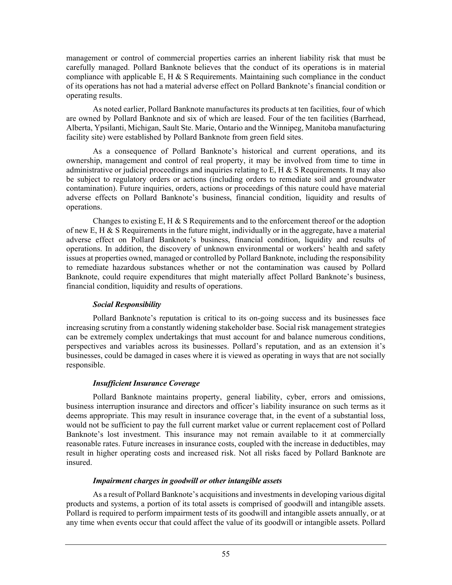management or control of commercial properties carries an inherent liability risk that must be carefully managed. Pollard Banknote believes that the conduct of its operations is in material compliance with applicable E, H  $\&$  S Requirements. Maintaining such compliance in the conduct of its operations has not had a material adverse effect on Pollard Banknote's financial condition or operating results.

As noted earlier, Pollard Banknote manufactures its products at ten facilities, four of which are owned by Pollard Banknote and six of which are leased. Four of the ten facilities (Barrhead, Alberta, Ypsilanti, Michigan, Sault Ste. Marie, Ontario and the Winnipeg, Manitoba manufacturing facility site) were established by Pollard Banknote from green field sites.

As a consequence of Pollard Banknote's historical and current operations, and its ownership, management and control of real property, it may be involved from time to time in administrative or judicial proceedings and inquiries relating to  $E$ ,  $H \& S$  Requirements. It may also be subject to regulatory orders or actions (including orders to remediate soil and groundwater contamination). Future inquiries, orders, actions or proceedings of this nature could have material adverse effects on Pollard Banknote's business, financial condition, liquidity and results of operations.

Changes to existing  $E$ ,  $H \& S$  Requirements and to the enforcement thereof or the adoption of new E, H & S Requirements in the future might, individually or in the aggregate, have a material adverse effect on Pollard Banknote's business, financial condition, liquidity and results of operations. In addition, the discovery of unknown environmental or workers' health and safety issues at properties owned, managed or controlled by Pollard Banknote, including the responsibility to remediate hazardous substances whether or not the contamination was caused by Pollard Banknote, could require expenditures that might materially affect Pollard Banknote's business, financial condition, liquidity and results of operations.

# *Social Responsibility*

Pollard Banknote's reputation is critical to its on-going success and its businesses face increasing scrutiny from a constantly widening stakeholder base. Social risk management strategies can be extremely complex undertakings that must account for and balance numerous conditions, perspectives and variables across its businesses. Pollard's reputation, and as an extension it's businesses, could be damaged in cases where it is viewed as operating in ways that are not socially responsible.

# *Insufficient Insurance Coverage*

Pollard Banknote maintains property, general liability, cyber, errors and omissions, business interruption insurance and directors and officer's liability insurance on such terms as it deems appropriate. This may result in insurance coverage that, in the event of a substantial loss, would not be sufficient to pay the full current market value or current replacement cost of Pollard Banknote's lost investment. This insurance may not remain available to it at commercially reasonable rates. Future increases in insurance costs, coupled with the increase in deductibles, may result in higher operating costs and increased risk. Not all risks faced by Pollard Banknote are insured.

# *Impairment charges in goodwill or other intangible assets*

As a result of Pollard Banknote's acquisitions and investments in developing various digital products and systems, a portion of its total assets is comprised of goodwill and intangible assets. Pollard is required to perform impairment tests of its goodwill and intangible assets annually, or at any time when events occur that could affect the value of its goodwill or intangible assets. Pollard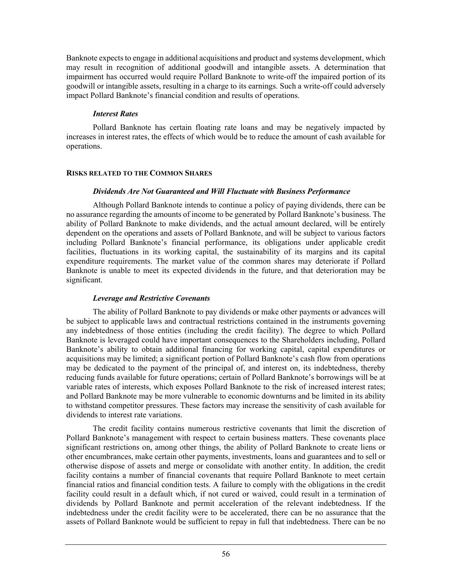Banknote expects to engage in additional acquisitions and product and systems development, which may result in recognition of additional goodwill and intangible assets. A determination that impairment has occurred would require Pollard Banknote to write-off the impaired portion of its goodwill or intangible assets, resulting in a charge to its earnings. Such a write-off could adversely impact Pollard Banknote's financial condition and results of operations.

# *Interest Rates*

Pollard Banknote has certain floating rate loans and may be negatively impacted by increases in interest rates, the effects of which would be to reduce the amount of cash available for operations.

#### **RISKS RELATED TO THE COMMON SHARES**

#### *Dividends Are Not Guaranteed and Will Fluctuate with Business Performance*

Although Pollard Banknote intends to continue a policy of paying dividends, there can be no assurance regarding the amounts of income to be generated by Pollard Banknote's business. The ability of Pollard Banknote to make dividends, and the actual amount declared, will be entirely dependent on the operations and assets of Pollard Banknote, and will be subject to various factors including Pollard Banknote's financial performance, its obligations under applicable credit facilities, fluctuations in its working capital, the sustainability of its margins and its capital expenditure requirements. The market value of the common shares may deteriorate if Pollard Banknote is unable to meet its expected dividends in the future, and that deterioration may be significant.

# *Leverage and Restrictive Covenants*

The ability of Pollard Banknote to pay dividends or make other payments or advances will be subject to applicable laws and contractual restrictions contained in the instruments governing any indebtedness of those entities (including the credit facility). The degree to which Pollard Banknote is leveraged could have important consequences to the Shareholders including, Pollard Banknote's ability to obtain additional financing for working capital, capital expenditures or acquisitions may be limited; a significant portion of Pollard Banknote's cash flow from operations may be dedicated to the payment of the principal of, and interest on, its indebtedness, thereby reducing funds available for future operations; certain of Pollard Banknote's borrowings will be at variable rates of interests, which exposes Pollard Banknote to the risk of increased interest rates; and Pollard Banknote may be more vulnerable to economic downturns and be limited in its ability to withstand competitor pressures. These factors may increase the sensitivity of cash available for dividends to interest rate variations.

The credit facility contains numerous restrictive covenants that limit the discretion of Pollard Banknote's management with respect to certain business matters. These covenants place significant restrictions on, among other things, the ability of Pollard Banknote to create liens or other encumbrances, make certain other payments, investments, loans and guarantees and to sell or otherwise dispose of assets and merge or consolidate with another entity. In addition, the credit facility contains a number of financial covenants that require Pollard Banknote to meet certain financial ratios and financial condition tests. A failure to comply with the obligations in the credit facility could result in a default which, if not cured or waived, could result in a termination of dividends by Pollard Banknote and permit acceleration of the relevant indebtedness. If the indebtedness under the credit facility were to be accelerated, there can be no assurance that the assets of Pollard Banknote would be sufficient to repay in full that indebtedness. There can be no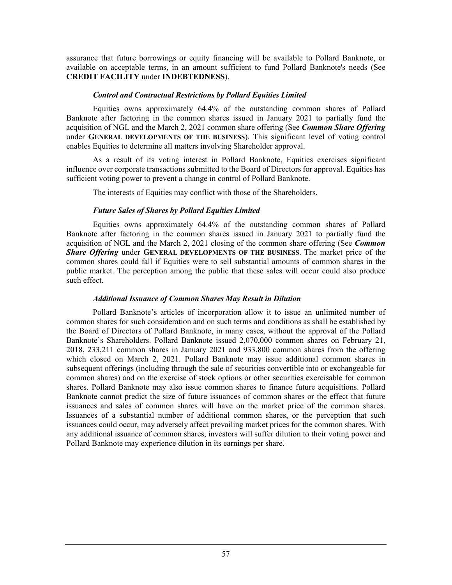assurance that future borrowings or equity financing will be available to Pollard Banknote, or available on acceptable terms, in an amount sufficient to fund Pollard Banknote's needs (See **CREDIT FACILITY** under **INDEBTEDNESS**).

#### *Control and Contractual Restrictions by Pollard Equities Limited*

Equities owns approximately 64.4% of the outstanding common shares of Pollard Banknote after factoring in the common shares issued in January 2021 to partially fund the acquisition of NGL and the March 2, 2021 common share offering (See *Common Share Offering* under **GENERAL DEVELOPMENTS OF THE BUSINESS**). This significant level of voting control enables Equities to determine all matters involving Shareholder approval.

As a result of its voting interest in Pollard Banknote, Equities exercises significant influence over corporate transactions submitted to the Board of Directors for approval. Equities has sufficient voting power to prevent a change in control of Pollard Banknote.

The interests of Equities may conflict with those of the Shareholders.

# *Future Sales of Shares by Pollard Equities Limited*

Equities owns approximately 64.4% of the outstanding common shares of Pollard Banknote after factoring in the common shares issued in January 2021 to partially fund the acquisition of NGL and the March 2, 2021 closing of the common share offering (See *Common Share Offering* under **GENERAL DEVELOPMENTS OF THE BUSINESS**. The market price of the common shares could fall if Equities were to sell substantial amounts of common shares in the public market. The perception among the public that these sales will occur could also produce such effect.

# *Additional Issuance of Common Shares May Result in Dilution*

Pollard Banknote's articles of incorporation allow it to issue an unlimited number of common shares for such consideration and on such terms and conditions as shall be established by the Board of Directors of Pollard Banknote, in many cases, without the approval of the Pollard Banknote's Shareholders. Pollard Banknote issued 2,070,000 common shares on February 21, 2018, 233,211 common shares in January 2021 and 933,800 common shares from the offering which closed on March 2, 2021. Pollard Banknote may issue additional common shares in subsequent offerings (including through the sale of securities convertible into or exchangeable for common shares) and on the exercise of stock options or other securities exercisable for common shares. Pollard Banknote may also issue common shares to finance future acquisitions. Pollard Banknote cannot predict the size of future issuances of common shares or the effect that future issuances and sales of common shares will have on the market price of the common shares. Issuances of a substantial number of additional common shares, or the perception that such issuances could occur, may adversely affect prevailing market prices for the common shares. With any additional issuance of common shares, investors will suffer dilution to their voting power and Pollard Banknote may experience dilution in its earnings per share.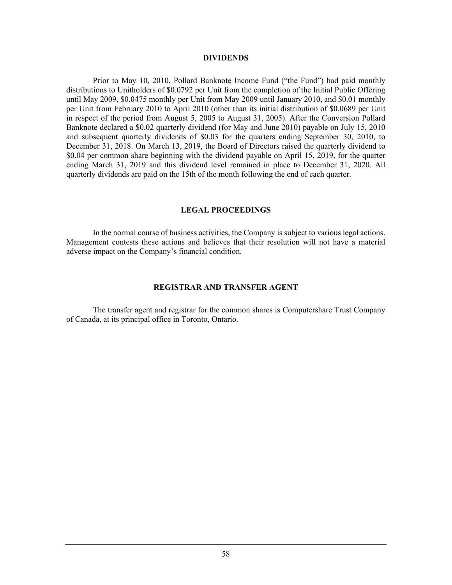#### **DIVIDENDS**

Prior to May 10, 2010, Pollard Banknote Income Fund ("the Fund") had paid monthly distributions to Unitholders of \$0.0792 per Unit from the completion of the Initial Public Offering until May 2009, \$0.0475 monthly per Unit from May 2009 until January 2010, and \$0.01 monthly per Unit from February 2010 to April 2010 (other than its initial distribution of \$0.0689 per Unit in respect of the period from August 5, 2005 to August 31, 2005). After the Conversion Pollard Banknote declared a \$0.02 quarterly dividend (for May and June 2010) payable on July 15, 2010 and subsequent quarterly dividends of \$0.03 for the quarters ending September 30, 2010, to December 31, 2018. On March 13, 2019, the Board of Directors raised the quarterly dividend to \$0.04 per common share beginning with the dividend payable on April 15, 2019, for the quarter ending March 31, 2019 and this dividend level remained in place to December 31, 2020. All quarterly dividends are paid on the 15th of the month following the end of each quarter.

#### **LEGAL PROCEEDINGS**

In the normal course of business activities, the Company is subject to various legal actions. Management contests these actions and believes that their resolution will not have a material adverse impact on the Company's financial condition.

#### **REGISTRAR AND TRANSFER AGENT**

The transfer agent and registrar for the common shares is Computershare Trust Company of Canada, at its principal office in Toronto, Ontario.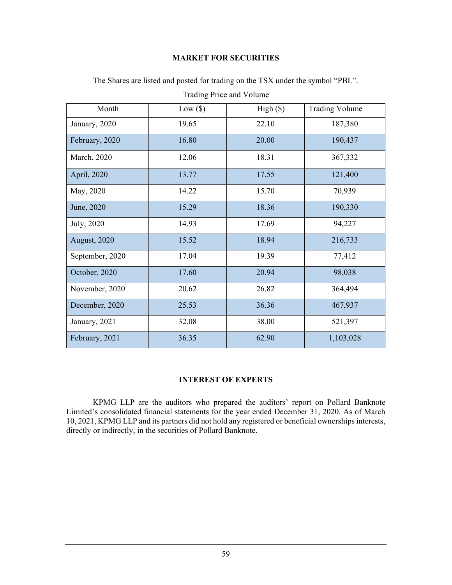# **MARKET FOR SECURITIES**

| Month           | $Low($ \$ $)$ | High(S) | <b>Trading Volume</b> |
|-----------------|---------------|---------|-----------------------|
| January, 2020   | 19.65         | 22.10   | 187,380               |
| February, 2020  | 16.80         | 20.00   | 190,437               |
| March, 2020     | 12.06         | 18.31   | 367,332               |
| April, 2020     | 13.77         | 17.55   | 121,400               |
| May, 2020       | 14.22         | 15.70   | 70,939                |
| June, 2020      | 15.29         | 18.36   | 190,330               |
| July, 2020      | 14.93         | 17.69   | 94,227                |
| August, 2020    | 15.52         | 18.94   | 216,733               |
| September, 2020 | 17.04         | 19.39   | 77,412                |
| October, 2020   | 17.60         | 20.94   | 98,038                |
| November, 2020  | 20.62         | 26.82   | 364,494               |
| December, 2020  | 25.53         | 36.36   | 467,937               |
| January, 2021   | 32.08         | 38.00   | 521,397               |
| February, 2021  | 36.35         | 62.90   | 1,103,028             |

The Shares are listed and posted for trading on the TSX under the symbol "PBL".

# **INTEREST OF EXPERTS**

KPMG LLP are the auditors who prepared the auditors' report on Pollard Banknote Limited's consolidated financial statements for the year ended December 31, 2020. As of March 10, 2021, KPMG LLP and its partners did not hold any registered or beneficial ownerships interests, directly or indirectly, in the securities of Pollard Banknote.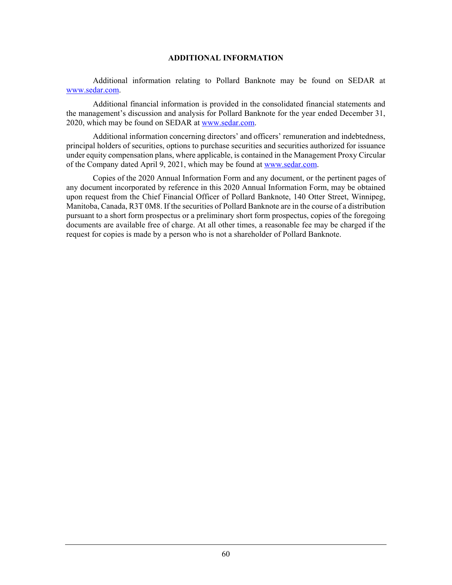#### **ADDITIONAL INFORMATION**

Additional information relating to Pollard Banknote may be found on SEDAR at www.sedar.com.

Additional financial information is provided in the consolidated financial statements and the management's discussion and analysis for Pollard Banknote for the year ended December 31, 2020, which may be found on SEDAR at www.sedar.com.

Additional information concerning directors' and officers' remuneration and indebtedness, principal holders of securities, options to purchase securities and securities authorized for issuance under equity compensation plans, where applicable, is contained in the Management Proxy Circular of the Company dated April 9, 2021, which may be found at www.sedar.com.

Copies of the 2020 Annual Information Form and any document, or the pertinent pages of any document incorporated by reference in this 2020 Annual Information Form, may be obtained upon request from the Chief Financial Officer of Pollard Banknote, 140 Otter Street, Winnipeg, Manitoba, Canada, R3T 0M8. If the securities of Pollard Banknote are in the course of a distribution pursuant to a short form prospectus or a preliminary short form prospectus, copies of the foregoing documents are available free of charge. At all other times, a reasonable fee may be charged if the request for copies is made by a person who is not a shareholder of Pollard Banknote.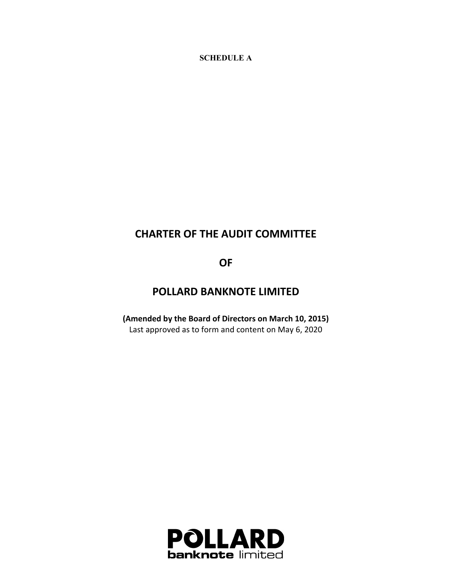**SCHEDULE A** 

# **CHARTER OF THE AUDIT COMMITTEE**

**OF**

# **POLLARD BANKNOTE LIMITED**

**(Amended by the Board of Directors on March 10, 2015)** Last approved as to form and content on May 6, 2020

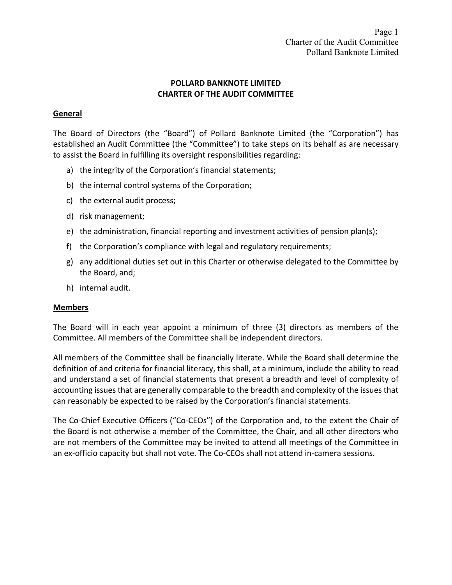# **POLLARD BANKNOTE LIMITED CHARTER OF THE AUDIT COMMITTEE**

# **General**

The Board of Directors (the "Board") of Pollard Banknote Limited (the "Corporation") has established an Audit Committee (the "Committee") to take steps on its behalf as are necessary to assist the Board in fulfilling its oversight responsibilities regarding:

- a) the integrity of the Corporation's financial statements;
- b) the internal control systems of the Corporation;
- c) the external audit process;
- d) risk management;
- e) the administration, financial reporting and investment activities of pension plan(s);
- f) the Corporation's compliance with legal and regulatory requirements;
- g) any additional duties set out in this Charter or otherwise delegated to the Committee by the Board, and;
- h) internal audit.

# **Members**

The Board will in each year appoint a minimum of three (3) directors as members of the Committee. All members of the Committee shall be independent directors.

All members of the Committee shall be financially literate. While the Board shall determine the definition of and criteria for financial literacy, this shall, at a minimum, include the ability to read and understand a set of financial statements that present a breadth and level of complexity of accounting issues that are generally comparable to the breadth and complexity of the issues that can reasonably be expected to be raised by the Corporation's financial statements.

The Co-Chief Executive Officers ("Co-CEOs") of the Corporation and, to the extent the Chair of the Board is not otherwise a member of the Committee, the Chair, and all other directors who are not members of the Committee may be invited to attend all meetings of the Committee in an ex-officio capacity but shall not vote. The Co-CEOs shall not attend in-camera sessions.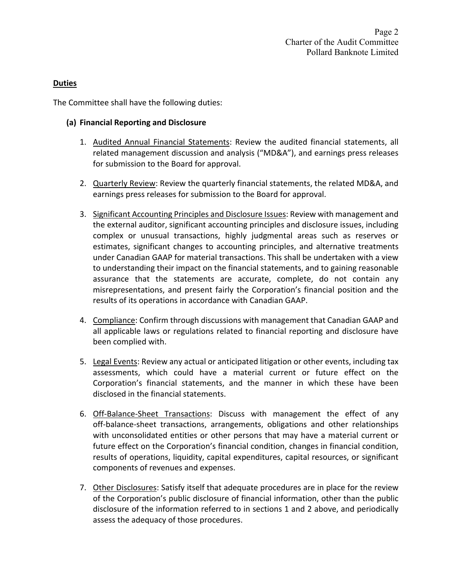# **Duties**

The Committee shall have the following duties:

# **(a) Financial Reporting and Disclosure**

- 1. Audited Annual Financial Statements: Review the audited financial statements, all related management discussion and analysis ("MD&A"), and earnings press releases for submission to the Board for approval.
- 2. Quarterly Review: Review the quarterly financial statements, the related MD&A, and earnings press releases for submission to the Board for approval.
- 3. Significant Accounting Principles and Disclosure Issues: Review with management and the external auditor, significant accounting principles and disclosure issues, including complex or unusual transactions, highly judgmental areas such as reserves or estimates, significant changes to accounting principles, and alternative treatments under Canadian GAAP for material transactions. This shall be undertaken with a view to understanding their impact on the financial statements, and to gaining reasonable assurance that the statements are accurate, complete, do not contain any misrepresentations, and present fairly the Corporation's financial position and the results of its operations in accordance with Canadian GAAP.
- 4. Compliance: Confirm through discussions with management that Canadian GAAP and all applicable laws or regulations related to financial reporting and disclosure have been complied with.
- 5. Legal Events: Review any actual or anticipated litigation or other events, including tax assessments, which could have a material current or future effect on the Corporation's financial statements, and the manner in which these have been disclosed in the financial statements.
- 6. Off-Balance-Sheet Transactions: Discuss with management the effect of any off‐balance‐sheet transactions, arrangements, obligations and other relationships with unconsolidated entities or other persons that may have a material current or future effect on the Corporation's financial condition, changes in financial condition, results of operations, liquidity, capital expenditures, capital resources, or significant components of revenues and expenses.
- 7. Other Disclosures: Satisfy itself that adequate procedures are in place for the review of the Corporation's public disclosure of financial information, other than the public disclosure of the information referred to in sections 1 and 2 above, and periodically assess the adequacy of those procedures.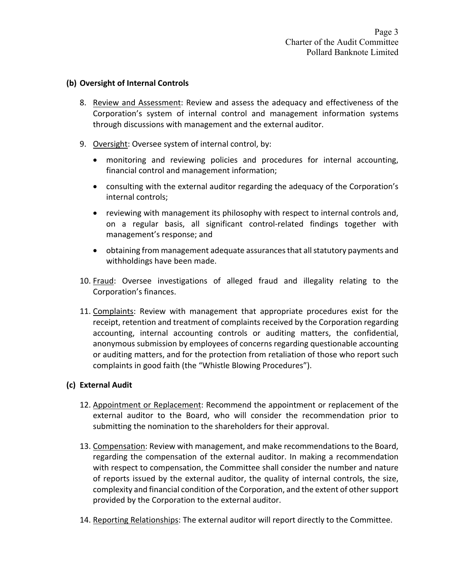# **(b) Oversight of Internal Controls**

- 8. Review and Assessment: Review and assess the adequacy and effectiveness of the Corporation's system of internal control and management information systems through discussions with management and the external auditor.
- 9. Oversight: Oversee system of internal control, by:
	- monitoring and reviewing policies and procedures for internal accounting, financial control and management information;
	- consulting with the external auditor regarding the adequacy of the Corporation's internal controls;
	- reviewing with management its philosophy with respect to internal controls and, on a regular basis, all significant control‐related findings together with management's response; and
	- obtaining from management adequate assurances that all statutory payments and withholdings have been made.
- 10. Fraud: Oversee investigations of alleged fraud and illegality relating to the Corporation's finances.
- 11. Complaints: Review with management that appropriate procedures exist for the receipt, retention and treatment of complaints received by the Corporation regarding accounting, internal accounting controls or auditing matters, the confidential, anonymous submission by employees of concerns regarding questionable accounting or auditing matters, and for the protection from retaliation of those who report such complaints in good faith (the "Whistle Blowing Procedures").

# **(c) External Audit**

- 12. Appointment or Replacement: Recommend the appointment or replacement of the external auditor to the Board, who will consider the recommendation prior to submitting the nomination to the shareholders for their approval.
- 13. Compensation: Review with management, and make recommendations to the Board, regarding the compensation of the external auditor. In making a recommendation with respect to compensation, the Committee shall consider the number and nature of reports issued by the external auditor, the quality of internal controls, the size, complexity and financial condition of the Corporation, and the extent of other support provided by the Corporation to the external auditor.
- 14. Reporting Relationships: The external auditor will report directly to the Committee.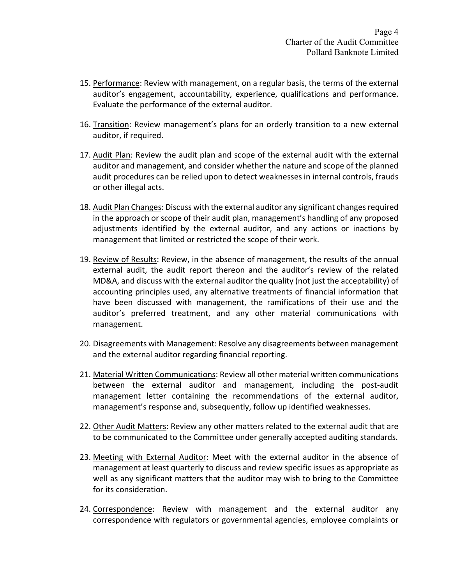- 15. Performance: Review with management, on a regular basis, the terms of the external auditor's engagement, accountability, experience, qualifications and performance. Evaluate the performance of the external auditor.
- 16. Transition: Review management's plans for an orderly transition to a new external auditor, if required.
- 17. Audit Plan: Review the audit plan and scope of the external audit with the external auditor and management, and consider whether the nature and scope of the planned audit procedures can be relied upon to detect weaknesses in internal controls, frauds or other illegal acts.
- 18. Audit Plan Changes: Discuss with the external auditor any significant changes required in the approach or scope of their audit plan, management's handling of any proposed adjustments identified by the external auditor, and any actions or inactions by management that limited or restricted the scope of their work.
- 19. Review of Results: Review, in the absence of management, the results of the annual external audit, the audit report thereon and the auditor's review of the related MD&A, and discuss with the external auditor the quality (not just the acceptability) of accounting principles used, any alternative treatments of financial information that have been discussed with management, the ramifications of their use and the auditor's preferred treatment, and any other material communications with management.
- 20. Disagreements with Management: Resolve any disagreements between management and the external auditor regarding financial reporting.
- 21. Material Written Communications: Review all other material written communications between the external auditor and management, including the post-audit management letter containing the recommendations of the external auditor, management's response and, subsequently, follow up identified weaknesses.
- 22. Other Audit Matters: Review any other matters related to the external audit that are to be communicated to the Committee under generally accepted auditing standards.
- 23. Meeting with External Auditor: Meet with the external auditor in the absence of management at least quarterly to discuss and review specific issues as appropriate as well as any significant matters that the auditor may wish to bring to the Committee for its consideration.
- 24. Correspondence: Review with management and the external auditor any correspondence with regulators or governmental agencies, employee complaints or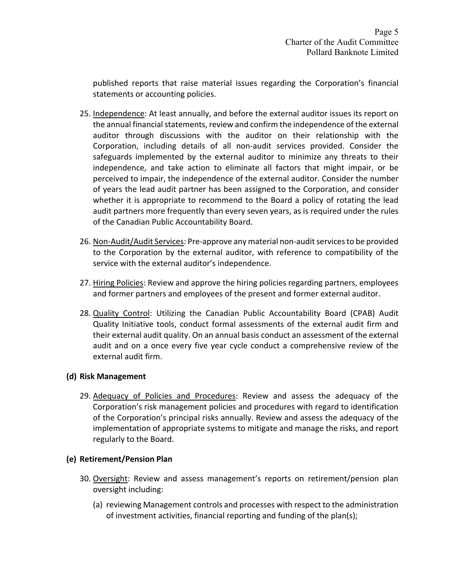published reports that raise material issues regarding the Corporation's financial statements or accounting policies.

- 25. Independence: At least annually, and before the external auditor issues its report on the annual financial statements, review and confirm the independence of the external auditor through discussions with the auditor on their relationship with the Corporation, including details of all non‐audit services provided. Consider the safeguards implemented by the external auditor to minimize any threats to their independence, and take action to eliminate all factors that might impair, or be perceived to impair, the independence of the external auditor. Consider the number of years the lead audit partner has been assigned to the Corporation, and consider whether it is appropriate to recommend to the Board a policy of rotating the lead audit partners more frequently than every seven years, as is required under the rules of the Canadian Public Accountability Board.
- 26. Non-Audit/Audit Services: Pre-approve any material non-audit services to be provided to the Corporation by the external auditor, with reference to compatibility of the service with the external auditor's independence.
- 27. Hiring Policies: Review and approve the hiring policies regarding partners, employees and former partners and employees of the present and former external auditor.
- 28. Quality Control: Utilizing the Canadian Public Accountability Board (CPAB) Audit Quality Initiative tools, conduct formal assessments of the external audit firm and their external audit quality. On an annual basis conduct an assessment of the external audit and on a once every five year cycle conduct a comprehensive review of the external audit firm.

# **(d) Risk Management**

29. Adequacy of Policies and Procedures: Review and assess the adequacy of the Corporation's risk management policies and procedures with regard to identification of the Corporation's principal risks annually. Review and assess the adequacy of the implementation of appropriate systems to mitigate and manage the risks, and report regularly to the Board.

# **(e) Retirement/Pension Plan**

- 30. Oversight: Review and assess management's reports on retirement/pension plan oversight including:
	- (a) reviewing Management controls and processes with respect to the administration of investment activities, financial reporting and funding of the plan(s);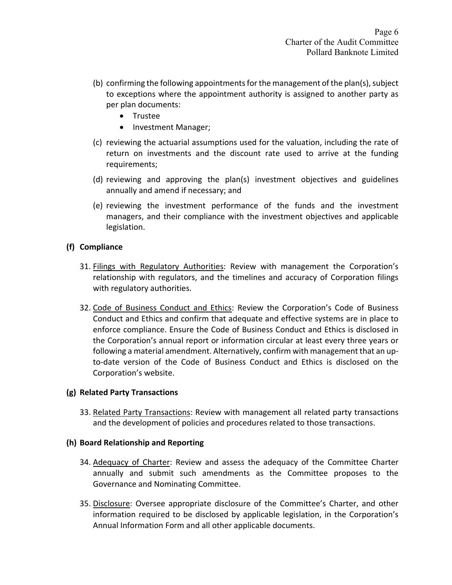- (b) confirming the following appointments for the management of the plan(s), subject to exceptions where the appointment authority is assigned to another party as per plan documents:
	- Trustee
	- Investment Manager;
- (c) reviewing the actuarial assumptions used for the valuation, including the rate of return on investments and the discount rate used to arrive at the funding requirements;
- (d) reviewing and approving the plan(s) investment objectives and guidelines annually and amend if necessary; and
- (e) reviewing the investment performance of the funds and the investment managers, and their compliance with the investment objectives and applicable legislation.

## **(f) Compliance**

- 31. Filings with Regulatory Authorities: Review with management the Corporation's relationship with regulators, and the timelines and accuracy of Corporation filings with regulatory authorities.
- 32. Code of Business Conduct and Ethics: Review the Corporation's Code of Business Conduct and Ethics and confirm that adequate and effective systems are in place to enforce compliance. Ensure the Code of Business Conduct and Ethics is disclosed in the Corporation's annual report or information circular at least every three years or following a material amendment. Alternatively, confirm with management that an up‐ to-date version of the Code of Business Conduct and Ethics is disclosed on the Corporation's website.

## **(g) Related Party Transactions**

33. Related Party Transactions: Review with management all related party transactions and the development of policies and procedures related to those transactions.

## **(h) Board Relationship and Reporting**

- 34. Adequacy of Charter: Review and assess the adequacy of the Committee Charter annually and submit such amendments as the Committee proposes to the Governance and Nominating Committee.
- 35. Disclosure: Oversee appropriate disclosure of the Committee's Charter, and other information required to be disclosed by applicable legislation, in the Corporation's Annual Information Form and all other applicable documents.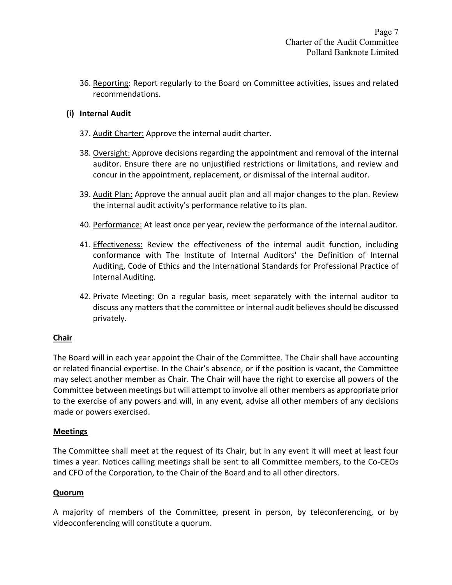36. Reporting: Report regularly to the Board on Committee activities, issues and related recommendations.

# **(i) Internal Audit**

- 37. Audit Charter: Approve the internal audit charter.
- 38. Oversight: Approve decisions regarding the appointment and removal of the internal auditor. Ensure there are no unjustified restrictions or limitations, and review and concur in the appointment, replacement, or dismissal of the internal auditor.
- 39. Audit Plan: Approve the annual audit plan and all major changes to the plan. Review the internal audit activity's performance relative to its plan.
- 40. Performance: At least once per year, review the performance of the internal auditor.
- 41. Effectiveness: Review the effectiveness of the internal audit function, including conformance with The Institute of Internal Auditors' the Definition of Internal Auditing, Code of Ethics and the International Standards for Professional Practice of Internal Auditing.
- 42. Private Meeting: On a regular basis, meet separately with the internal auditor to discuss any matters that the committee or internal audit believes should be discussed privately.

## **Chair**

The Board will in each year appoint the Chair of the Committee. The Chair shall have accounting or related financial expertise. In the Chair's absence, or if the position is vacant, the Committee may select another member as Chair. The Chair will have the right to exercise all powers of the Committee between meetings but will attempt to involve all other members as appropriate prior to the exercise of any powers and will, in any event, advise all other members of any decisions made or powers exercised.

## **Meetings**

The Committee shall meet at the request of its Chair, but in any event it will meet at least four times a year. Notices calling meetings shall be sent to all Committee members, to the Co‐CEOs and CFO of the Corporation, to the Chair of the Board and to all other directors.

## **Quorum**

A majority of members of the Committee, present in person, by teleconferencing, or by videoconferencing will constitute a quorum.